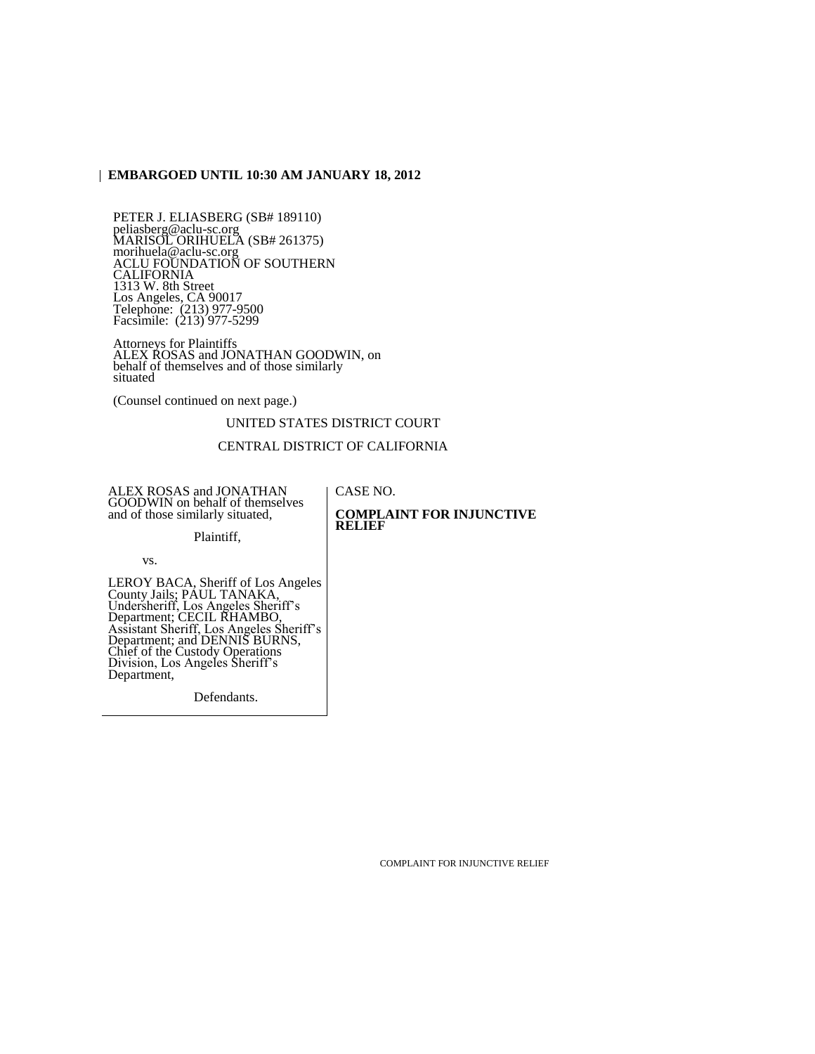## **EMBARGOED UNTIL 10:30 AM JANUARY 18, 2012**

PETER J. ELIASBERG (SB# 189110) peliasberg@aclu-sc.org MARISOL ORIHUELA (SB# 261375) morihuela@aclu-sc.org ACLU FOUNDATION OF SOUTHERN CALIFORNIA 1313 W. 8th Street Los Angeles, CA 90017 Telephone: (213) 977-9500 Facsimile: (213) 977-5299

Attorneys for Plaintiffs ALEX ROSAS and JONATHAN GOODWIN, on behalf of themselves and of those similarly situated

(Counsel continued on next page.)

UNITED STATES DISTRICT COURT

#### CENTRAL DISTRICT OF CALIFORNIA

ALEX ROSAS and JONATHAN GOODWIN on behalf of themselves and of those similarly situated,

CASE NO. **COMPLAINT FOR INJUNCTIVE RELIEF**

Plaintiff,

vs.

LEROY BACA, Sheriff of Los Angeles County Jails; PAUL TANAKA, Undersheriff, Los Angeles Sheriff's Department; CECIL RHAMBO, Assistant Sheriff, Los Angeles Sheriff's Department; and DENNIS BURNS, Chief of the Custody Operations Division, Los Angeles Sheriff's Department,

Defendants.

COMPLAINT FOR INJUNCTIVE RELIEF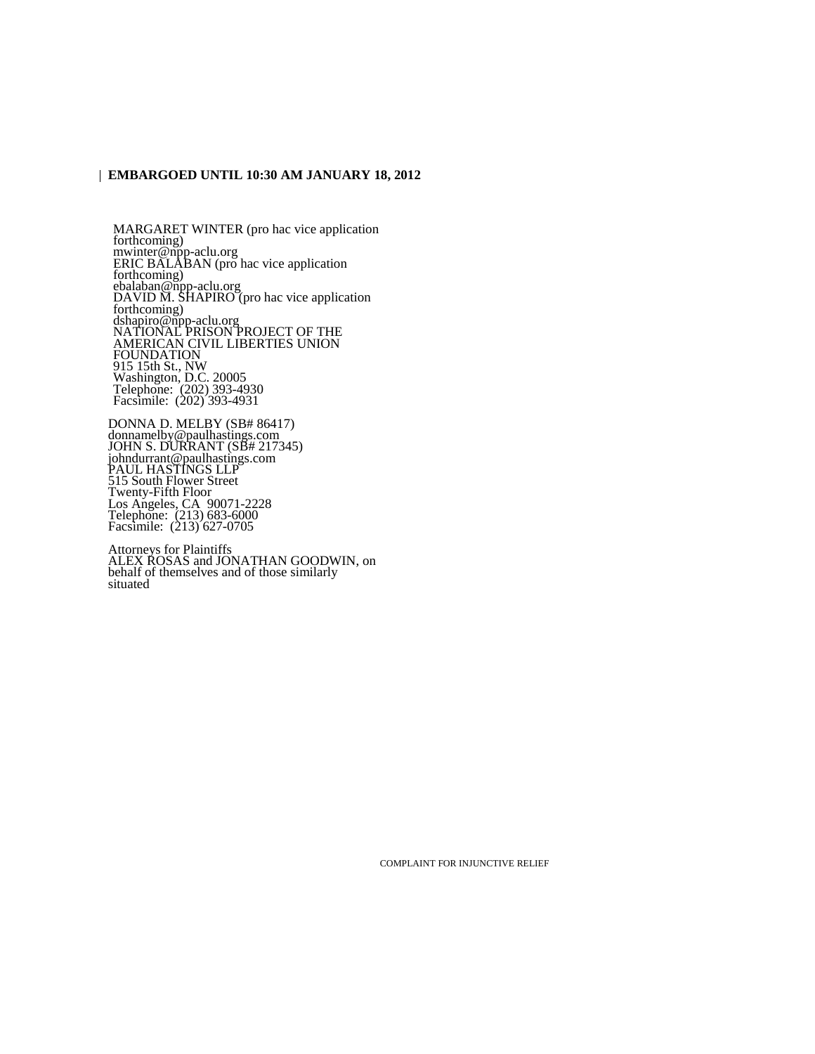### **EMBARGOED UNTIL 10:30 AM JANUARY 18, 2012**

MARGARET WINTER (pro hac vice application forthcoming) mwinter@npp-aclu.org ERIC BALABAN (pro hac vice application forthcoming) ebalaban@npp-aclu.org DAVID M. SHAPIRO (pro hac vice application forthcoming) dshapiro@npp-aclu.org NATIONAL PRISON PROJECT OF THE AMERICAN CIVIL LIBERTIES UNION FOUNDATION 915 15th St., NW Washington, D.C. 20005 Telephone: (202) 393-4930 Facsimile: (202) 393-4931

DONNA D. MELBY (SB# 86417) donnamelby@paulhastings.com JOHN S. DURRANT (SB# 217345) johndurrant@paulhastings.com PAUL HASTINGS LLP 515 South Flower Street Twenty-Fifth Floor Los Angeles, CA 90071-2228 Telephone: (213) 683-6000 Facsimile: (213) 627-0705

Attorneys for Plaintiffs ALEX ROSAS and JONATHAN GOODWIN, on behalf of themselves and of those similarly situated

COMPLAINT FOR INJUNCTIVE RELIEF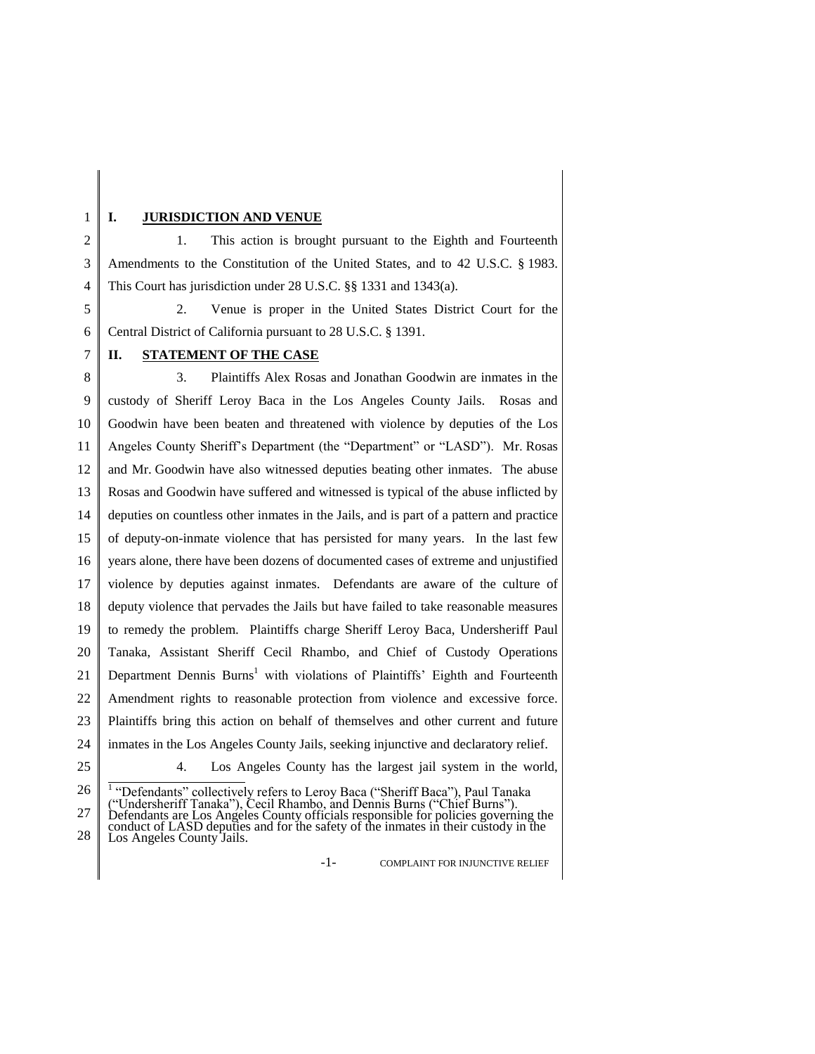## **I. JURISDICTION AND VENUE**

1

2 3 4 1. This action is brought pursuant to the Eighth and Fourteenth Amendments to the Constitution of the United States, and to 42 U.S.C. § 1983. This Court has jurisdiction under 28 U.S.C. §§ 1331 and 1343(a).

5 6 2. Venue is proper in the United States District Court for the Central District of California pursuant to 28 U.S.C. § 1391.

#### 7 **II. STATEMENT OF THE CASE**

8 9 10 11 12 13 14 15 16 17 18 19 20 21 22 23 24 25 3. Plaintiffs Alex Rosas and Jonathan Goodwin are inmates in the custody of Sheriff Leroy Baca in the Los Angeles County Jails. Rosas and Goodwin have been beaten and threatened with violence by deputies of the Los Angeles County Sheriff's Department (the "Department" or "LASD"). Mr. Rosas and Mr. Goodwin have also witnessed deputies beating other inmates. The abuse Rosas and Goodwin have suffered and witnessed is typical of the abuse inflicted by deputies on countless other inmates in the Jails, and is part of a pattern and practice of deputy-on-inmate violence that has persisted for many years. In the last few years alone, there have been dozens of documented cases of extreme and unjustified violence by deputies against inmates. Defendants are aware of the culture of deputy violence that pervades the Jails but have failed to take reasonable measures to remedy the problem. Plaintiffs charge Sheriff Leroy Baca, Undersheriff Paul Tanaka, Assistant Sheriff Cecil Rhambo, and Chief of Custody Operations Department Dennis Burns<sup>1</sup> with violations of Plaintiffs' Eighth and Fourteenth Amendment rights to reasonable protection from violence and excessive force. Plaintiffs bring this action on behalf of themselves and other current and future inmates in the Los Angeles County Jails, seeking injunctive and declaratory relief. 4. Los Angeles County has the largest jail system in the world,

-1- COMPLAINT FOR INJUNCTIVE RELIEF

<sup>26</sup> 27 <sup>1</sup> "Defendants" collectively refers to Leroy Baca ("Sheriff Baca"), Paul Tanaka ("Undersheriff Tanaka"), Cecil Rhambo, and Dennis Burns ("Chief Burns"). Defendants are Los Angeles County officials responsible for policies governing the

<sup>28</sup> conduct of LASD deputies and for the safety of the inmates in their custody in the Los Angeles County Jails.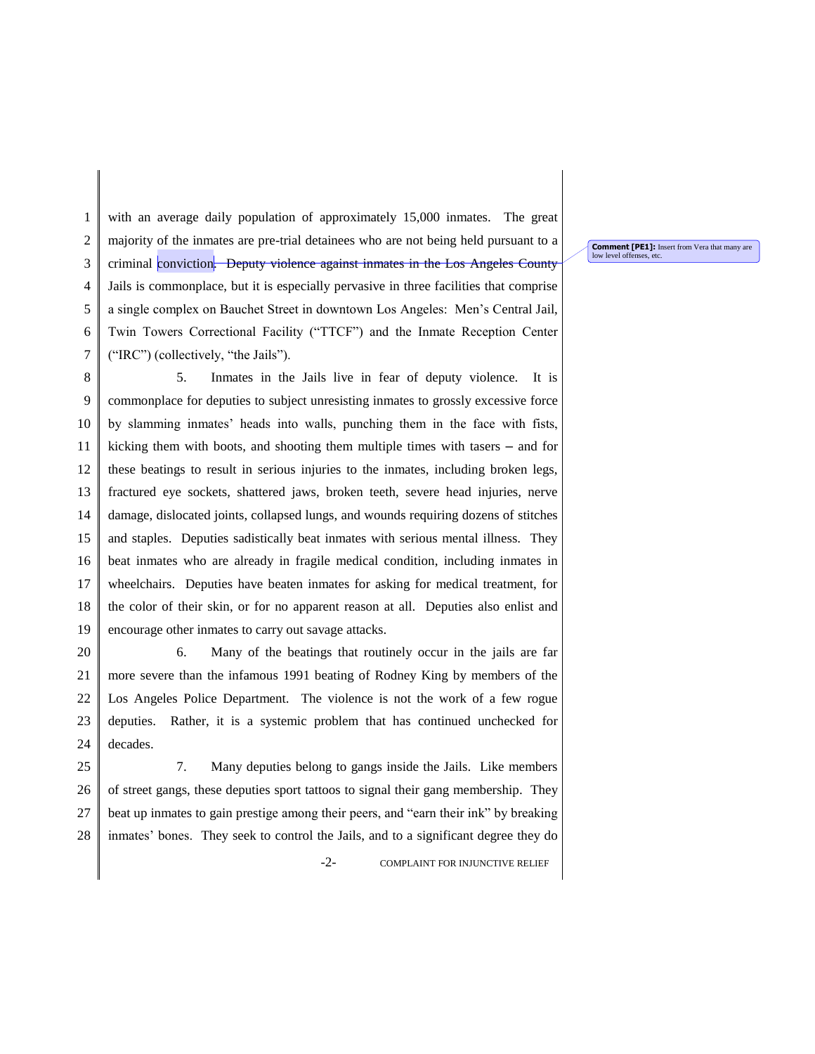1 2 3 4 5 6 7 with an average daily population of approximately 15,000 inmates. The great majority of the inmates are pre-trial detainees who are not being held pursuant to a criminal conviction. Deputy violence against inmates in the Los Angeles County Jails is commonplace, but it is especially pervasive in three facilities that comprise a single complex on Bauchet Street in downtown Los Angeles: Men's Central Jail, Twin Towers Correctional Facility ("TTCF") and the Inmate Reception Center ("IRC") (collectively, "the Jails").

8 9 10 11 12 13 14 15 16 17 18 19 5. Inmates in the Jails live in fear of deputy violence. It is commonplace for deputies to subject unresisting inmates to grossly excessive force by slamming inmates' heads into walls, punching them in the face with fists, kicking them with boots, and shooting them multiple times with tasers – and for these beatings to result in serious injuries to the inmates, including broken legs, fractured eye sockets, shattered jaws, broken teeth, severe head injuries, nerve damage, dislocated joints, collapsed lungs, and wounds requiring dozens of stitches and staples. Deputies sadistically beat inmates with serious mental illness. They beat inmates who are already in fragile medical condition, including inmates in wheelchairs. Deputies have beaten inmates for asking for medical treatment, for the color of their skin, or for no apparent reason at all. Deputies also enlist and encourage other inmates to carry out savage attacks.

20 21 22 23 24 6. Many of the beatings that routinely occur in the jails are far more severe than the infamous 1991 beating of Rodney King by members of the Los Angeles Police Department. The violence is not the work of a few rogue deputies. Rather, it is a systemic problem that has continued unchecked for decades.

25 26 27 28 7. Many deputies belong to gangs inside the Jails. Like members of street gangs, these deputies sport tattoos to signal their gang membership. They beat up inmates to gain prestige among their peers, and "earn their ink" by breaking inmates' bones. They seek to control the Jails, and to a significant degree they do

-2- COMPLAINT FOR INJUNCTIVE RELIEF

**Comment [PE1]:** Insert from Vera that many are low level offenses, etc.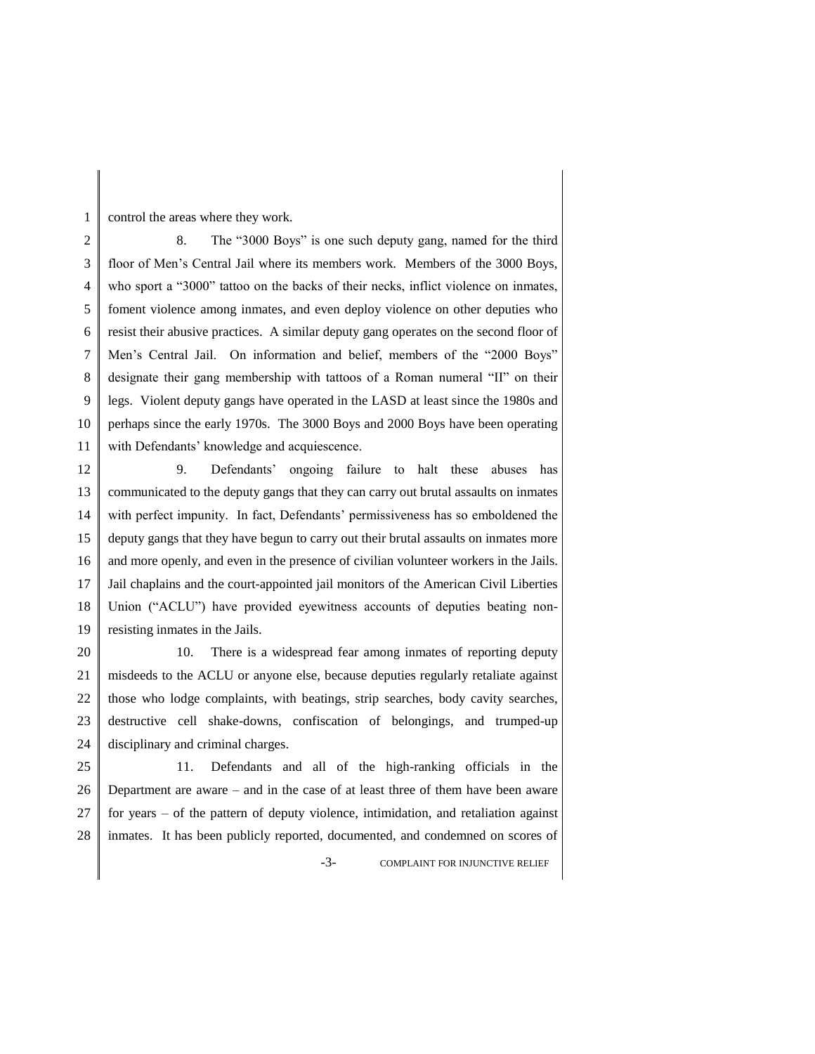control the areas where they work.

1

2 3 4 5 6 7 8 9 10 11 8. The "3000 Boys" is one such deputy gang, named for the third floor of Men's Central Jail where its members work. Members of the 3000 Boys, who sport a "3000" tattoo on the backs of their necks, inflict violence on inmates, foment violence among inmates, and even deploy violence on other deputies who resist their abusive practices. A similar deputy gang operates on the second floor of Men's Central Jail. On information and belief, members of the "2000 Boys" designate their gang membership with tattoos of a Roman numeral "II" on their legs. Violent deputy gangs have operated in the LASD at least since the 1980s and perhaps since the early 1970s. The 3000 Boys and 2000 Boys have been operating with Defendants' knowledge and acquiescence.

12 13 14 15 16 17 18 19 9. Defendants' ongoing failure to halt these abuses has communicated to the deputy gangs that they can carry out brutal assaults on inmates with perfect impunity. In fact, Defendants' permissiveness has so emboldened the deputy gangs that they have begun to carry out their brutal assaults on inmates more and more openly, and even in the presence of civilian volunteer workers in the Jails. Jail chaplains and the court-appointed jail monitors of the American Civil Liberties Union ("ACLU") have provided eyewitness accounts of deputies beating nonresisting inmates in the Jails.

20 21 22 23 24 10. There is a widespread fear among inmates of reporting deputy misdeeds to the ACLU or anyone else, because deputies regularly retaliate against those who lodge complaints, with beatings, strip searches, body cavity searches, destructive cell shake-downs, confiscation of belongings, and trumped-up disciplinary and criminal charges.

25 26 27 28 11. Defendants and all of the high-ranking officials in the Department are aware – and in the case of at least three of them have been aware for years – of the pattern of deputy violence, intimidation, and retaliation against inmates. It has been publicly reported, documented, and condemned on scores of

-3- COMPLAINT FOR INJUNCTIVE RELIEF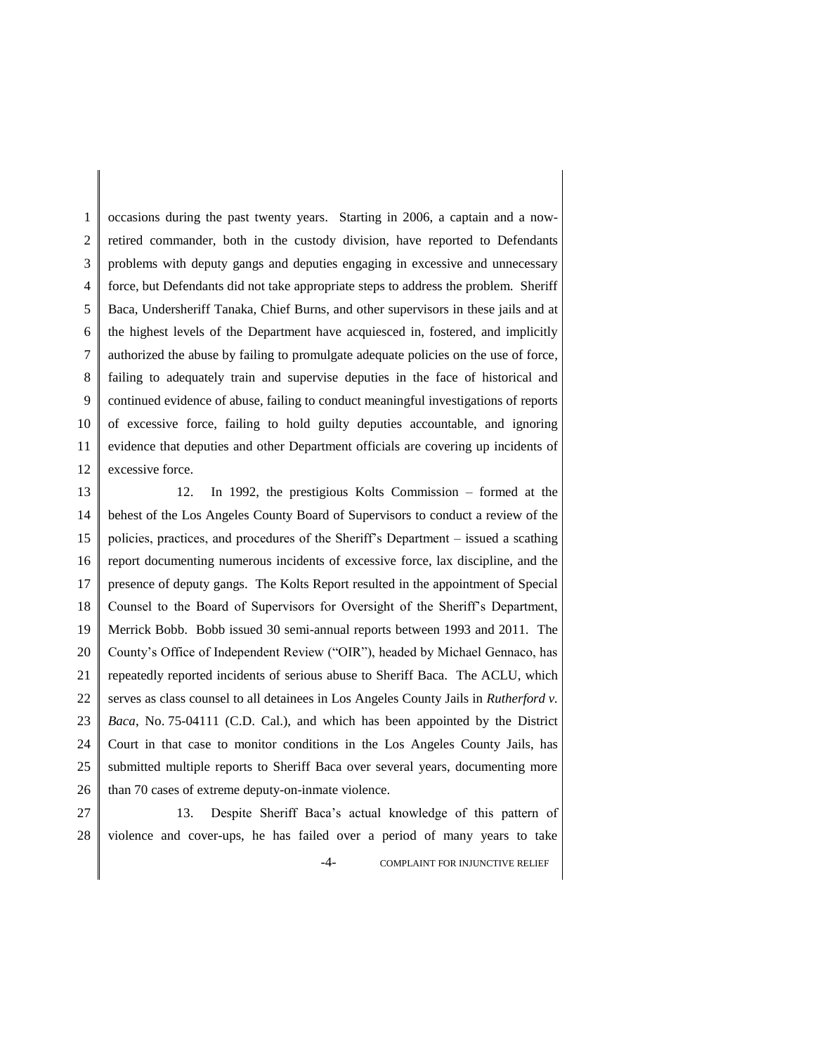1 2 3 4 5 6 7 8 9 10 11 12 occasions during the past twenty years. Starting in 2006, a captain and a nowretired commander, both in the custody division, have reported to Defendants problems with deputy gangs and deputies engaging in excessive and unnecessary force, but Defendants did not take appropriate steps to address the problem. Sheriff Baca, Undersheriff Tanaka, Chief Burns, and other supervisors in these jails and at the highest levels of the Department have acquiesced in, fostered, and implicitly authorized the abuse by failing to promulgate adequate policies on the use of force, failing to adequately train and supervise deputies in the face of historical and continued evidence of abuse, failing to conduct meaningful investigations of reports of excessive force, failing to hold guilty deputies accountable, and ignoring evidence that deputies and other Department officials are covering up incidents of excessive force.

13 14 15 16 17 18 19 20 21 22 23 24 25 26 12. In 1992, the prestigious Kolts Commission – formed at the behest of the Los Angeles County Board of Supervisors to conduct a review of the policies, practices, and procedures of the Sheriff's Department – issued a scathing report documenting numerous incidents of excessive force, lax discipline, and the presence of deputy gangs. The Kolts Report resulted in the appointment of Special Counsel to the Board of Supervisors for Oversight of the Sheriff's Department, Merrick Bobb. Bobb issued 30 semi-annual reports between 1993 and 2011. The County's Office of Independent Review ("OIR"), headed by Michael Gennaco, has repeatedly reported incidents of serious abuse to Sheriff Baca. The ACLU, which serves as class counsel to all detainees in Los Angeles County Jails in *Rutherford v. Baca*, No. 75-04111 (C.D. Cal.), and which has been appointed by the District Court in that case to monitor conditions in the Los Angeles County Jails, has submitted multiple reports to Sheriff Baca over several years, documenting more than 70 cases of extreme deputy-on-inmate violence.

27 28 -4- COMPLAINT FOR INJUNCTIVE RELIEF 13. Despite Sheriff Baca's actual knowledge of this pattern of violence and cover-ups, he has failed over a period of many years to take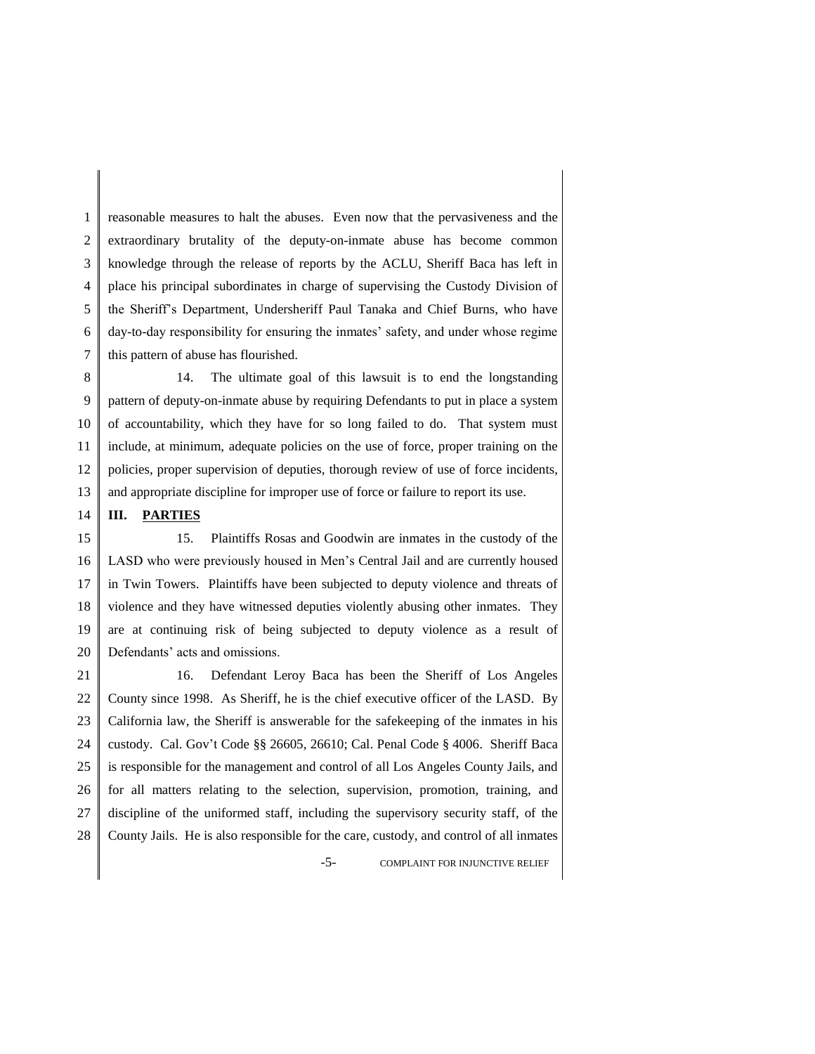1 2 3 4 5 6 7 reasonable measures to halt the abuses. Even now that the pervasiveness and the extraordinary brutality of the deputy-on-inmate abuse has become common knowledge through the release of reports by the ACLU, Sheriff Baca has left in place his principal subordinates in charge of supervising the Custody Division of the Sheriff's Department, Undersheriff Paul Tanaka and Chief Burns, who have day-to-day responsibility for ensuring the inmates' safety, and under whose regime this pattern of abuse has flourished.

8 9 10 11 12 13 14. The ultimate goal of this lawsuit is to end the longstanding pattern of deputy-on-inmate abuse by requiring Defendants to put in place a system of accountability, which they have for so long failed to do. That system must include, at minimum, adequate policies on the use of force, proper training on the policies, proper supervision of deputies, thorough review of use of force incidents, and appropriate discipline for improper use of force or failure to report its use.

#### 14 **III. PARTIES**

15 16 17 18 19 20 15. Plaintiffs Rosas and Goodwin are inmates in the custody of the LASD who were previously housed in Men's Central Jail and are currently housed in Twin Towers. Plaintiffs have been subjected to deputy violence and threats of violence and they have witnessed deputies violently abusing other inmates. They are at continuing risk of being subjected to deputy violence as a result of Defendants' acts and omissions.

21 22 23 24 25 26 27 28 16. Defendant Leroy Baca has been the Sheriff of Los Angeles County since 1998. As Sheriff, he is the chief executive officer of the LASD. By California law, the Sheriff is answerable for the safekeeping of the inmates in his custody. Cal. Gov't Code §§ 26605, 26610; Cal. Penal Code § 4006. Sheriff Baca is responsible for the management and control of all Los Angeles County Jails, and for all matters relating to the selection, supervision, promotion, training, and discipline of the uniformed staff, including the supervisory security staff, of the County Jails. He is also responsible for the care, custody, and control of all inmates

-5- COMPLAINT FOR INJUNCTIVE RELIEF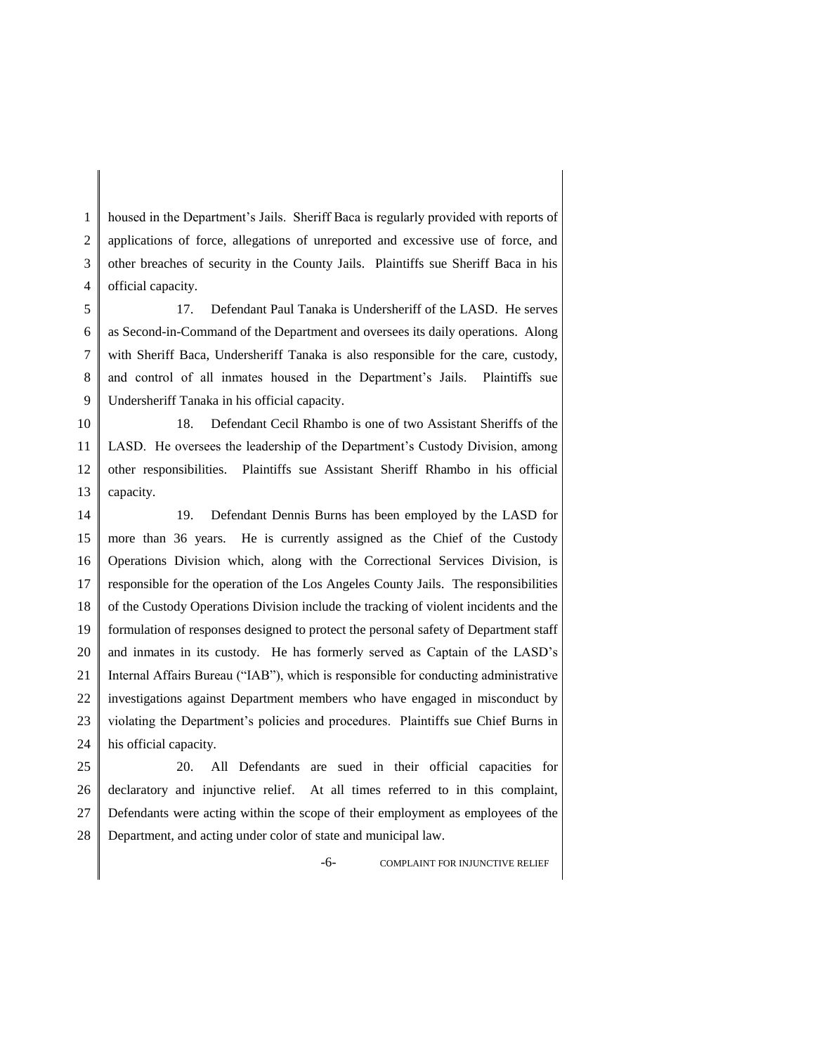1 2 3 4 housed in the Department's Jails. Sheriff Baca is regularly provided with reports of applications of force, allegations of unreported and excessive use of force, and other breaches of security in the County Jails. Plaintiffs sue Sheriff Baca in his official capacity.

5 6 7 8 9 17. Defendant Paul Tanaka is Undersheriff of the LASD. He serves as Second-in-Command of the Department and oversees its daily operations. Along with Sheriff Baca, Undersheriff Tanaka is also responsible for the care, custody, and control of all inmates housed in the Department's Jails. Plaintiffs sue Undersheriff Tanaka in his official capacity.

10 11 12 13 18. Defendant Cecil Rhambo is one of two Assistant Sheriffs of the LASD. He oversees the leadership of the Department's Custody Division, among other responsibilities. Plaintiffs sue Assistant Sheriff Rhambo in his official capacity.

14 15 16 17 18 19 20 21 22 23 24 19. Defendant Dennis Burns has been employed by the LASD for more than 36 years. He is currently assigned as the Chief of the Custody Operations Division which, along with the Correctional Services Division, is responsible for the operation of the Los Angeles County Jails. The responsibilities of the Custody Operations Division include the tracking of violent incidents and the formulation of responses designed to protect the personal safety of Department staff and inmates in its custody. He has formerly served as Captain of the LASD's Internal Affairs Bureau ("IAB"), which is responsible for conducting administrative investigations against Department members who have engaged in misconduct by violating the Department's policies and procedures. Plaintiffs sue Chief Burns in his official capacity.

25 26 27 28 20. All Defendants are sued in their official capacities for declaratory and injunctive relief. At all times referred to in this complaint, Defendants were acting within the scope of their employment as employees of the Department, and acting under color of state and municipal law.

-6- COMPLAINT FOR INJUNCTIVE RELIEF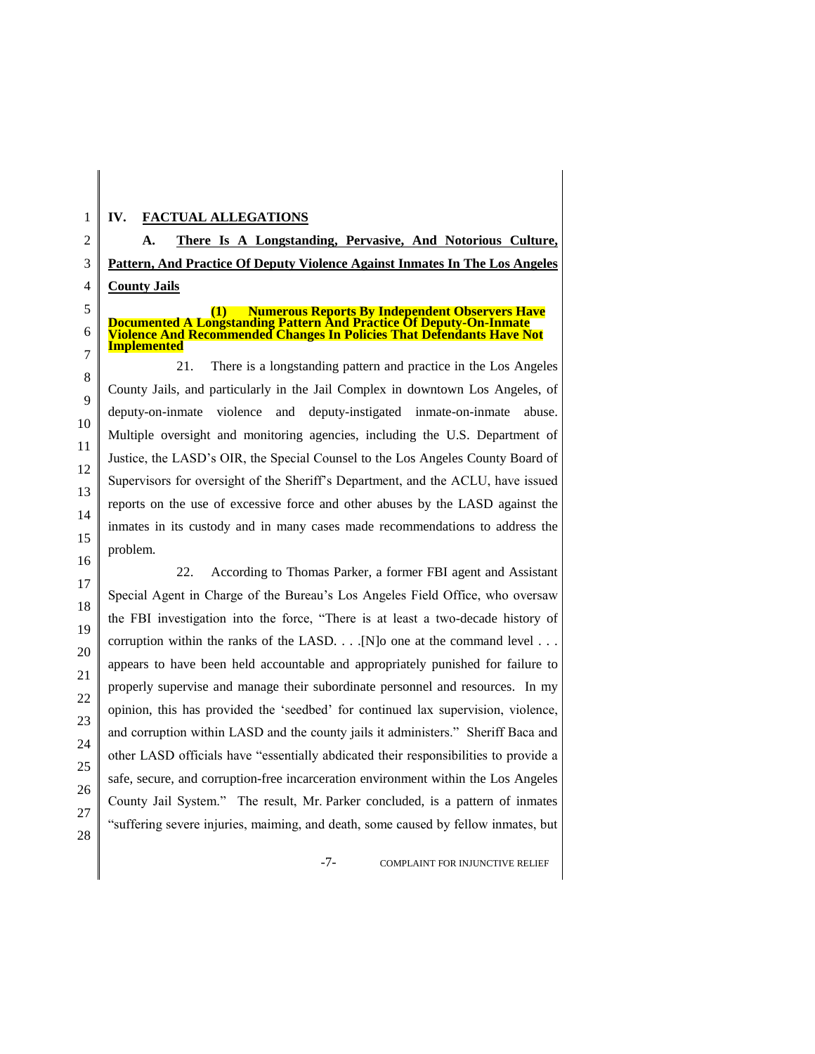## **IV. FACTUAL ALLEGATIONS**

**A. There Is A Longstanding, Pervasive, And Notorious Culture, Pattern, And Practice Of Deputy Violence Against Inmates In The Los Angeles County Jails**

**(1) Numerous Reports By Independent Observers Have Documented A Longstanding Pattern And Practice Of Deputy-On-Inmate Violence And Recommended Changes In Policies That Defendants Have Not Implemented**

21. There is a longstanding pattern and practice in the Los Angeles County Jails, and particularly in the Jail Complex in downtown Los Angeles, of deputy-on-inmate violence and deputy-instigated inmate-on-inmate abuse. Multiple oversight and monitoring agencies, including the U.S. Department of Justice, the LASD's OIR, the Special Counsel to the Los Angeles County Board of Supervisors for oversight of the Sheriff's Department, and the ACLU, have issued reports on the use of excessive force and other abuses by the LASD against the inmates in its custody and in many cases made recommendations to address the problem.

22. According to Thomas Parker, a former FBI agent and Assistant Special Agent in Charge of the Bureau's Los Angeles Field Office, who oversaw the FBI investigation into the force, "There is at least a two-decade history of corruption within the ranks of the LASD. . . .[N]o one at the command level . . . appears to have been held accountable and appropriately punished for failure to properly supervise and manage their subordinate personnel and resources. In my opinion, this has provided the 'seedbed' for continued lax supervision, violence, and corruption within LASD and the county jails it administers." Sheriff Baca and other LASD officials have "essentially abdicated their responsibilities to provide a safe, secure, and corruption-free incarceration environment within the Los Angeles County Jail System." The result, Mr. Parker concluded, is a pattern of inmates "suffering severe injuries, maiming, and death, some caused by fellow inmates, but

-7- COMPLAINT FOR INJUNCTIVE RELIEF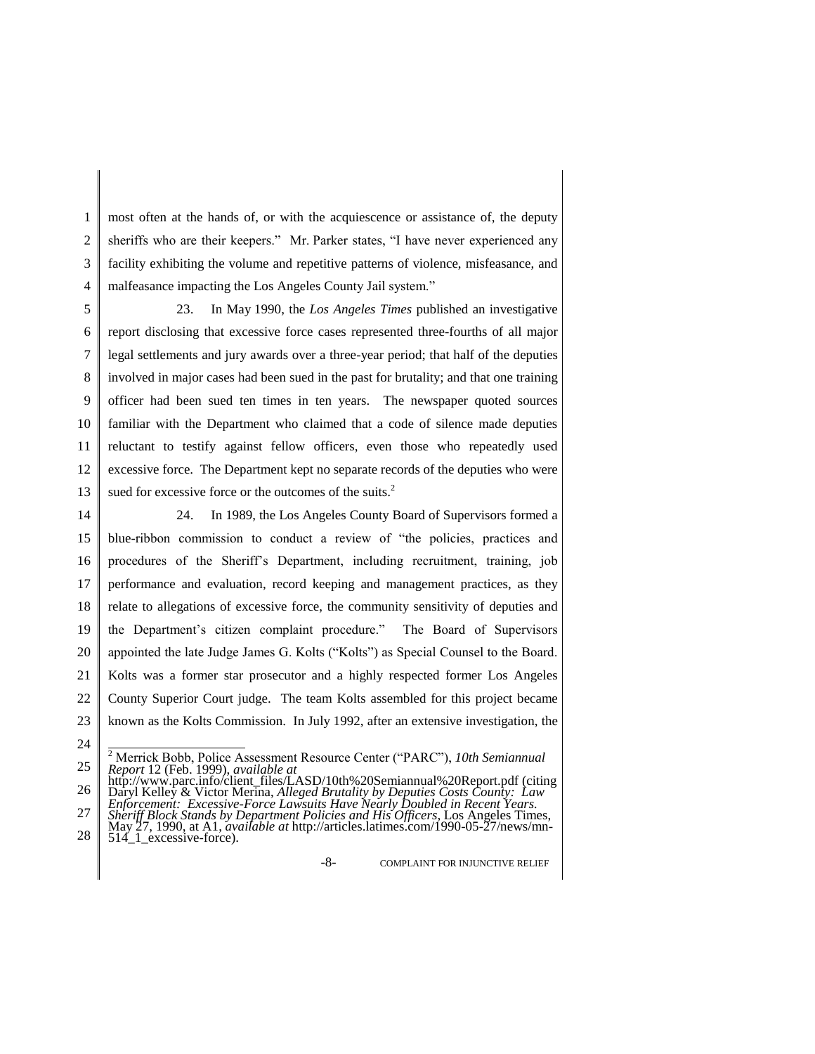1 2 3 4 most often at the hands of, or with the acquiescence or assistance of, the deputy sheriffs who are their keepers." Mr. Parker states, "I have never experienced any facility exhibiting the volume and repetitive patterns of violence, misfeasance, and malfeasance impacting the Los Angeles County Jail system."

5 6 7 8 9 10 11 12 13 23. In May 1990, the *Los Angeles Times* published an investigative report disclosing that excessive force cases represented three-fourths of all major legal settlements and jury awards over a three-year period; that half of the deputies involved in major cases had been sued in the past for brutality; and that one training officer had been sued ten times in ten years. The newspaper quoted sources familiar with the Department who claimed that a code of silence made deputies reluctant to testify against fellow officers, even those who repeatedly used excessive force. The Department kept no separate records of the deputies who were sued for excessive force or the outcomes of the suits.<sup>2</sup>

14 15 16 17 18 19 20 21 22 23 24 24. In 1989, the Los Angeles County Board of Supervisors formed a blue-ribbon commission to conduct a review of "the policies, practices and procedures of the Sheriff's Department, including recruitment, training, job performance and evaluation, record keeping and management practices, as they relate to allegations of excessive force, the community sensitivity of deputies and the Department's citizen complaint procedure." The Board of Supervisors appointed the late Judge James G. Kolts ("Kolts") as Special Counsel to the Board. Kolts was a former star prosecutor and a highly respected former Los Angeles County Superior Court judge. The team Kolts assembled for this project became known as the Kolts Commission. In July 1992, after an extensive investigation, the

-8- COMPLAINT FOR INJUNCTIVE RELIEF

<sup>25</sup> <sup>2</sup> Merrick Bobb, Police Assessment Resource Center ("PARC"), *10th Semiannual Report* 12 (Feb. 1999), *available at* 

<sup>26</sup> 27 http://www.parc.info/client\_files/LASD/10th%20Semiannual%20Report.pdf (citing Daryl Kelley & Victor Merina, *Alleged Brutality by Deputies Costs County: Law Enforcement: Excessive-Force Lawsuits Have Nearly Doubled in Recent Years.* 

<sup>28</sup> *Sheriff Block Stands by Department Policies and His Officers*, Los Angeles Times, May 27, 1990, at A1, *available at* http://articles.latimes.com/1990-05-27/news/mn-514\_1\_excessive-force).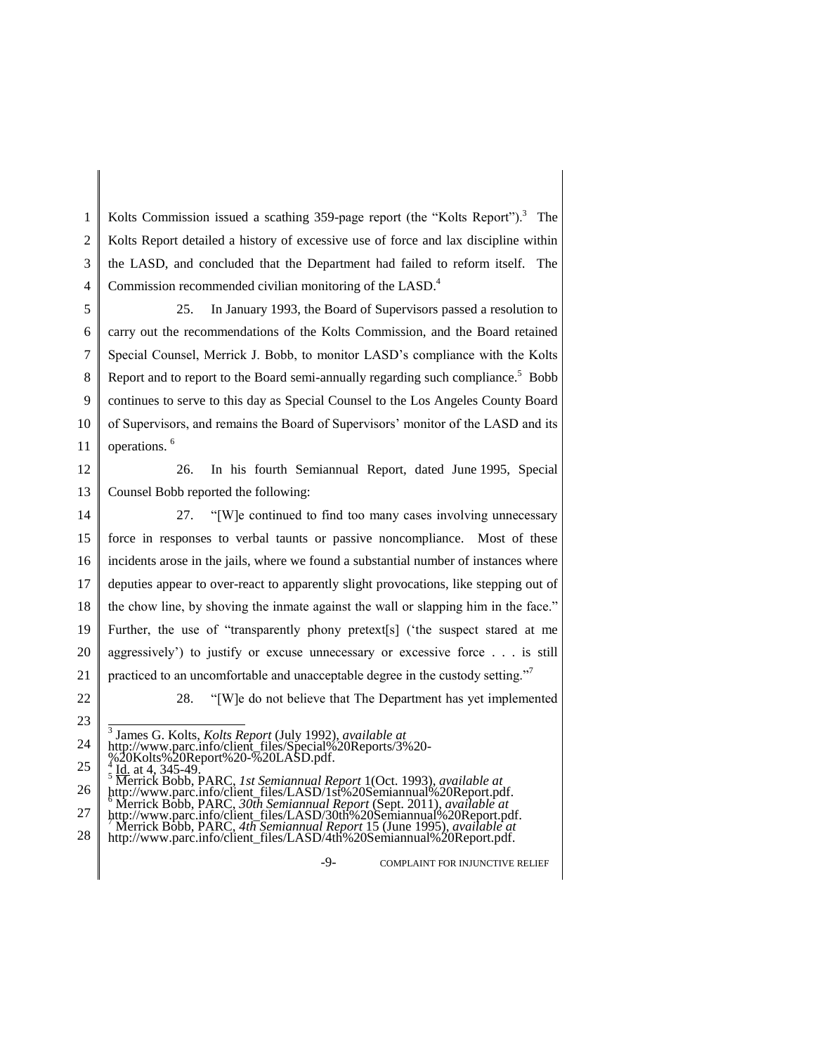1 2 3 4 Kolts Commission issued a scathing 359-page report (the "Kolts Report").<sup>3</sup> The Kolts Report detailed a history of excessive use of force and lax discipline within the LASD, and concluded that the Department had failed to reform itself. The Commission recommended civilian monitoring of the LASD.<sup>4</sup>

5 6 7 8 9 10 11 25. In January 1993, the Board of Supervisors passed a resolution to carry out the recommendations of the Kolts Commission, and the Board retained Special Counsel, Merrick J. Bobb, to monitor LASD's compliance with the Kolts Report and to report to the Board semi-annually regarding such compliance.<sup>5</sup> Bobb continues to serve to this day as Special Counsel to the Los Angeles County Board of Supervisors, and remains the Board of Supervisors' monitor of the LASD and its operations. <sup>6</sup>

12 13 26. In his fourth Semiannual Report, dated June 1995, Special Counsel Bobb reported the following:

14 15 16 17 18 19 20 21 27. "[W]e continued to find too many cases involving unnecessary force in responses to verbal taunts or passive noncompliance. Most of these incidents arose in the jails, where we found a substantial number of instances where deputies appear to over-react to apparently slight provocations, like stepping out of the chow line, by shoving the inmate against the wall or slapping him in the face." Further, the use of "transparently phony pretext[s] ('the suspect stared at me aggressively') to justify or excuse unnecessary or excessive force . . . is still practiced to an uncomfortable and unacceptable degree in the custody setting."<sup>7</sup>

22 23 28. "[W]e do not believe that The Department has yet implemented

3 James G. Kolts, *Kolts Report* (July 1992), *available at* 

http://www.parc.info/client\_files/LASD/30th%20Semiannual%20Report.pdf. <sup>7</sup> Merrick Bobb, PARC, *4th Semiannual Report* 15 (June 1995), *available at* 

-9- COMPLAINT FOR INJUNCTIVE RELIEF

<sup>24</sup> http://www.parc.info/client\_files/Special%20Reports/3%20-

<sup>%20</sup>Kolts%20Report%20-%20LASD.pdf.

<sup>25</sup> 26 <sup>4</sup> Id. at 4, 345-49.<br><sup>5</sup> Merrick Bobb, PARC, *1st Semiannual Report* 1(Oct. 1993), *available at* 

http://www.parc.info/client\_files/LASD/1st%20Semiannual%20Report.pdf.

<sup>27</sup> <sup>6</sup> Merrick Bobb, PARC, *30th Semiannual Report* (Sept. 2011), *available at* 

<sup>28</sup> http://www.parc.info/client\_files/LASD/4th%20Semiannual%20Report.pdf.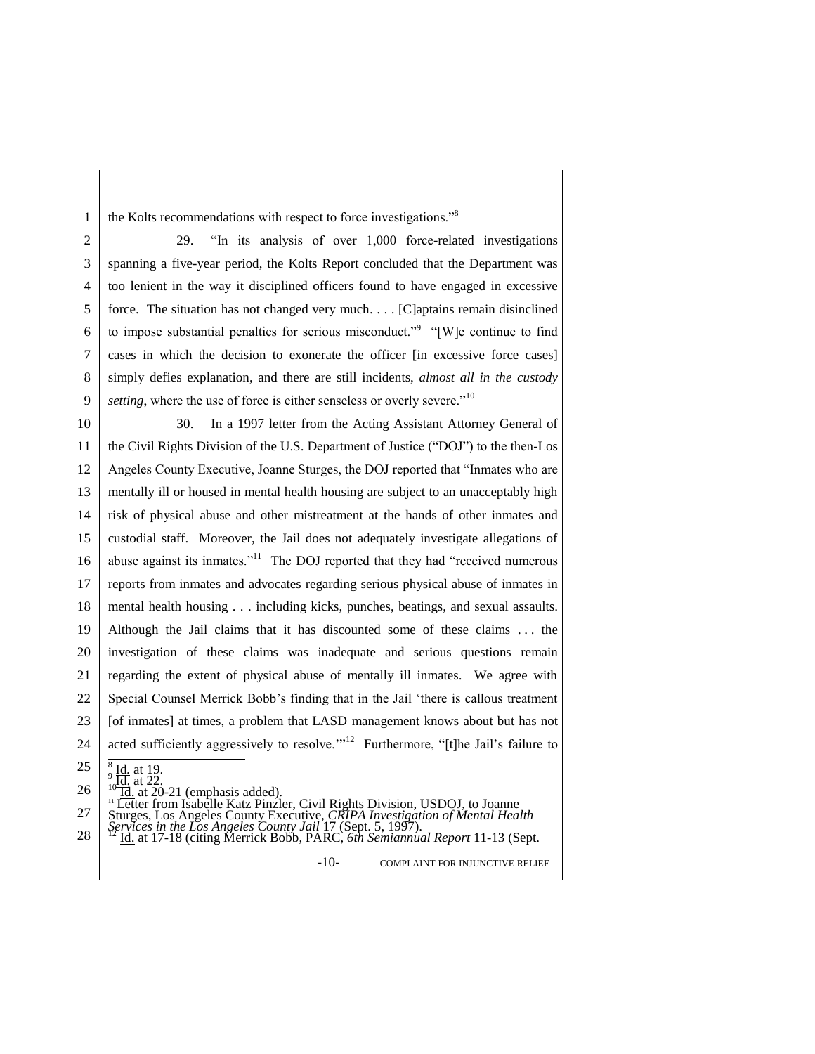1 the Kolts recommendations with respect to force investigations."<sup>8</sup>

2 3 4 5 6 7 8 9 29. "In its analysis of over 1,000 force-related investigations spanning a five-year period, the Kolts Report concluded that the Department was too lenient in the way it disciplined officers found to have engaged in excessive force. The situation has not changed very much. . . . [C]aptains remain disinclined to impose substantial penalties for serious misconduct."<sup>9</sup> "[W]e continue to find cases in which the decision to exonerate the officer [in excessive force cases] simply defies explanation, and there are still incidents, *almost all in the custody setting*, where the use of force is either senseless or overly severe."<sup>10</sup>

10 11 12 13 14 15 16 17 18 19 20 21 22 23 24 30. In a 1997 letter from the Acting Assistant Attorney General of the Civil Rights Division of the U.S. Department of Justice ("DOJ") to the then-Los Angeles County Executive, Joanne Sturges, the DOJ reported that "Inmates who are mentally ill or housed in mental health housing are subject to an unacceptably high risk of physical abuse and other mistreatment at the hands of other inmates and custodial staff. Moreover, the Jail does not adequately investigate allegations of abuse against its inmates."<sup>11</sup> The DOJ reported that they had "received numerous reports from inmates and advocates regarding serious physical abuse of inmates in mental health housing . . . including kicks, punches, beatings, and sexual assaults. Although the Jail claims that it has discounted some of these claims . . . the investigation of these claims was inadequate and serious questions remain regarding the extent of physical abuse of mentally ill inmates. We agree with Special Counsel Merrick Bobb's finding that in the Jail 'there is callous treatment [of inmates] at times, a problem that LASD management knows about but has not acted sufficiently aggressively to resolve."<sup>12</sup> Furthermore, "[t]he Jail's failure to

26  $\frac{10^{9} \text{Id}}{10 \text{Id}}$  at 22. (emphasis added).

<sup>11</sup> Letter from Isabelle Katz Pinzler, Civil Rights Division, USDOJ, to Joanne

27 Sturges, Los Angeles County Executive, *CRIPA Investigation of Mental Health* 

28 *Services in the Los Angeles County Jail* 17 (Sept. 5, 1997). <sup>12</sup> Id. at 17-18 (citing Merrick Bobb, PARC, *6th Semiannual Report* 11-13 (Sept.

-10- COMPLAINT FOR INJUNCTIVE RELIEF

<sup>25</sup> 8  $\frac{1}{9}$  <u>Id.</u> at 19.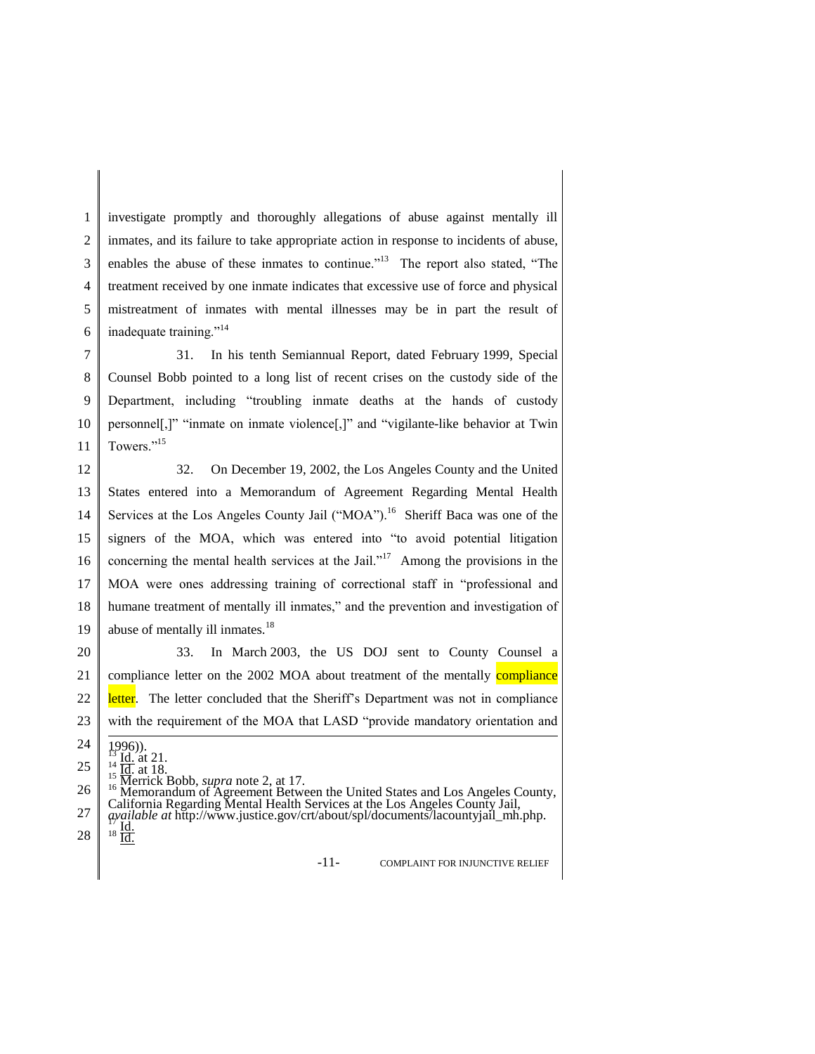1 2 3 4 5 6 investigate promptly and thoroughly allegations of abuse against mentally ill inmates, and its failure to take appropriate action in response to incidents of abuse, enables the abuse of these inmates to continue."<sup>13</sup> The report also stated, "The treatment received by one inmate indicates that excessive use of force and physical mistreatment of inmates with mental illnesses may be in part the result of inadequate training."<sup>14</sup>

7 8 9 10 11 31. In his tenth Semiannual Report, dated February 1999, Special Counsel Bobb pointed to a long list of recent crises on the custody side of the Department, including "troubling inmate deaths at the hands of custody personnel[,]" "inmate on inmate violence[,]" and "vigilante-like behavior at Twin Towers."<sup>15</sup>

12 13 14 15 16 17 18 19 32. On December 19, 2002, the Los Angeles County and the United States entered into a Memorandum of Agreement Regarding Mental Health Services at the Los Angeles County Jail ("MOA").<sup>16</sup> Sheriff Baca was one of the signers of the MOA, which was entered into "to avoid potential litigation concerning the mental health services at the Jail."<sup>17</sup> Among the provisions in the MOA were ones addressing training of correctional staff in "professional and humane treatment of mentally ill inmates," and the prevention and investigation of abuse of mentally ill inmates.<sup>18</sup>

20 21 22 23 33. In March 2003, the US DOJ sent to County Counsel a compliance letter on the 2002 MOA about treatment of the mentally **compliance** letter. The letter concluded that the Sheriff's Department was not in compliance with the requirement of the MOA that LASD "provide mandatory orientation and

-11- COMPLAINT FOR INJUNCTIVE RELIEF

<sup>24</sup> 25 26 27  $1996)$ . 1996)).<br><sup>13</sup> Id. at 21.<br><sup>14</sup> Id. at 18.<br><sup>15</sup> Merrick Bobb, *supra* note 2, at 17. <sup>16</sup> Memorandum of Agreement Between the United States and Los Angeles County, California Regarding Mental Health Services at the Los Angeles County Jail, *available at* http://www.justice.gov/crt/about/spl/documents/lacountyjail\_mh.php.<br><sup>17</sup> Id. 18 Id.

<sup>28</sup>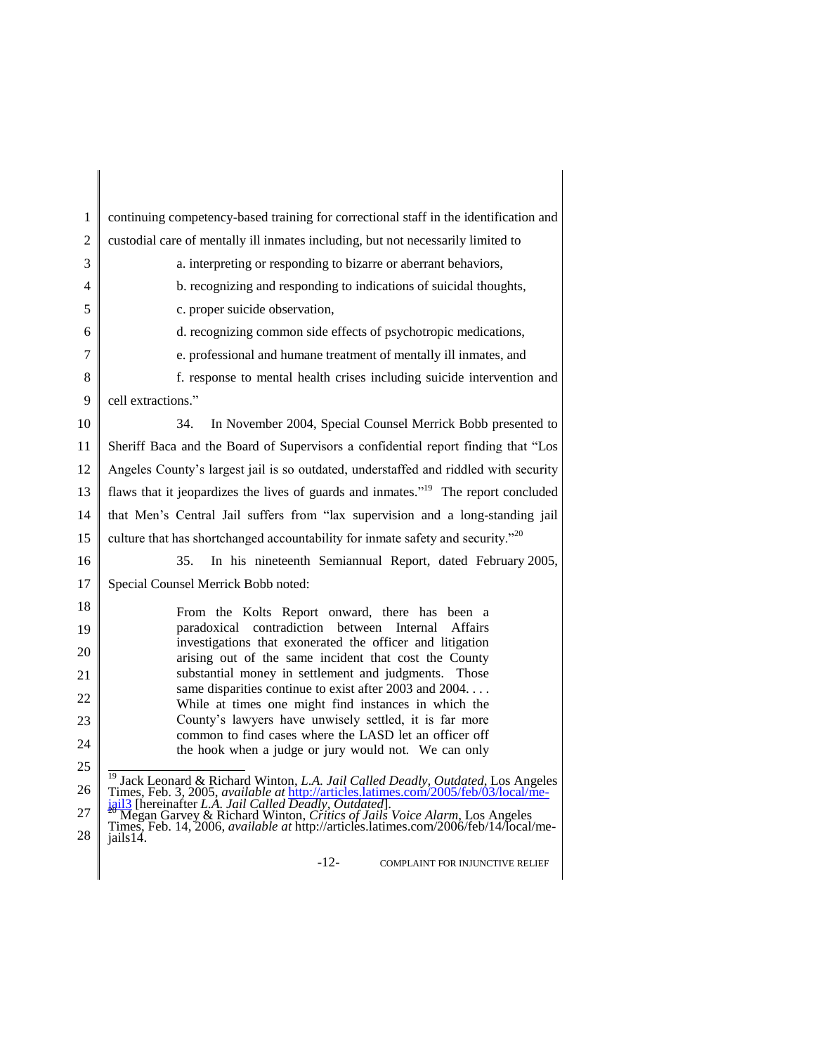| 1              | continuing competency-based training for correctional staff in the identification and                                                                                                                                                                      |
|----------------|------------------------------------------------------------------------------------------------------------------------------------------------------------------------------------------------------------------------------------------------------------|
| $\overline{c}$ | custodial care of mentally ill inmates including, but not necessarily limited to                                                                                                                                                                           |
| 3              | a. interpreting or responding to bizarre or aberrant behaviors,                                                                                                                                                                                            |
| 4              | b. recognizing and responding to indications of suicidal thoughts,                                                                                                                                                                                         |
| 5              | c. proper suicide observation,                                                                                                                                                                                                                             |
| 6              | d. recognizing common side effects of psychotropic medications,                                                                                                                                                                                            |
| 7              | e. professional and humane treatment of mentally ill inmates, and                                                                                                                                                                                          |
| 8              | f. response to mental health crises including suicide intervention and                                                                                                                                                                                     |
| 9              | cell extractions."                                                                                                                                                                                                                                         |
| 10             | In November 2004, Special Counsel Merrick Bobb presented to<br>34.                                                                                                                                                                                         |
| 11             | Sheriff Baca and the Board of Supervisors a confidential report finding that "Los                                                                                                                                                                          |
| 12             | Angeles County's largest jail is so outdated, understaffed and riddled with security                                                                                                                                                                       |
| 13             | flaws that it jeopardizes the lives of guards and inmates." <sup>19</sup> The report concluded                                                                                                                                                             |
| 14             | that Men's Central Jail suffers from "lax supervision and a long-standing jail                                                                                                                                                                             |
| 15             | culture that has shortchanged accountability for inmate safety and security." <sup>20</sup>                                                                                                                                                                |
| 16             | In his nineteenth Semiannual Report, dated February 2005,<br>35.                                                                                                                                                                                           |
| 17             | Special Counsel Merrick Bobb noted:                                                                                                                                                                                                                        |
| 18             | From the Kolts Report onward, there has been a                                                                                                                                                                                                             |
| 19             | paradoxical contradiction between Internal<br><b>Affairs</b>                                                                                                                                                                                               |
| 20             | investigations that exonerated the officer and litigation<br>arising out of the same incident that cost the County                                                                                                                                         |
| 21             | substantial money in settlement and judgments. Those<br>same disparities continue to exist after 2003 and 2004                                                                                                                                             |
| 22             | While at times one might find instances in which the                                                                                                                                                                                                       |
| 23             | County's lawyers have unwisely settled, it is far more<br>common to find cases where the LASD let an officer off                                                                                                                                           |
| 24             | the hook when a judge or jury would not. We can only                                                                                                                                                                                                       |
| 25             |                                                                                                                                                                                                                                                            |
| 26             | <sup>19</sup> Jack Leonard & Richard Winton, <i>L.A. Jail Called Deadly, Outdated</i> , Los Angeles Times, Feb. 3, 2005, <i>available at http://articles.latimes.com/2005/feb/03/local/me-</i><br>jail3 [hereinafter <i>L.A. Jail Called Deadly, Outda</i> |
| 27             | and The Carrier <i>Lating &amp; Richard Winton, Critics of Jails Voice Alarm</i> , Los Angeles<br>Times, Feb. 14, 2006, <i>available at</i> http://articles.latimes.com/2006/feb/14/local/me-                                                              |
| 28             | iails 14.                                                                                                                                                                                                                                                  |
|                |                                                                                                                                                                                                                                                            |

-12- COMPLAINT FOR INJUNCTIVE RELIEF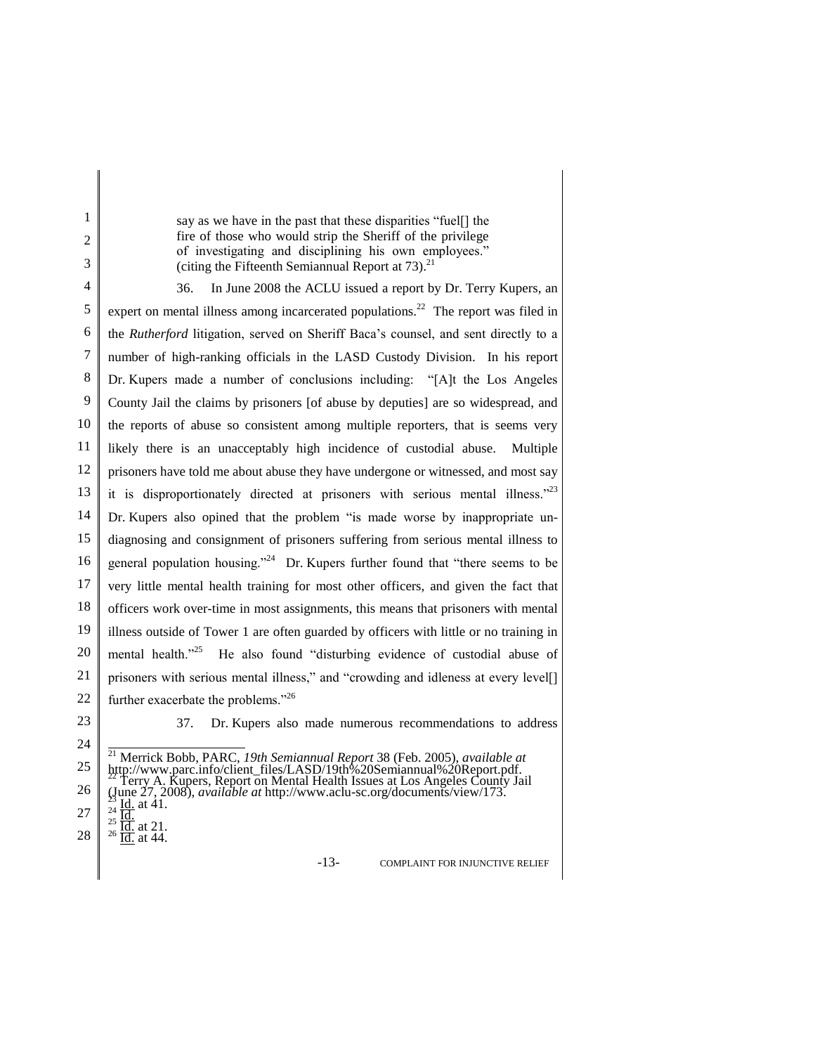say as we have in the past that these disparities "fuel[] the fire of those who would strip the Sheriff of the privilege of investigating and disciplining his own employees." (citing the Fifteenth Semiannual Report at  $73$ ).<sup>21</sup>

4 5 6 7 8 9 10 11 12 13 14 15 16 17 18 19 20 21 22 36. In June 2008 the ACLU issued a report by Dr. Terry Kupers, an expert on mental illness among incarcerated populations.<sup>22</sup> The report was filed in the *Rutherford* litigation, served on Sheriff Baca's counsel, and sent directly to a number of high-ranking officials in the LASD Custody Division. In his report Dr. Kupers made a number of conclusions including: "[A]t the Los Angeles County Jail the claims by prisoners [of abuse by deputies] are so widespread, and the reports of abuse so consistent among multiple reporters, that is seems very likely there is an unacceptably high incidence of custodial abuse. Multiple prisoners have told me about abuse they have undergone or witnessed, and most say it is disproportionately directed at prisoners with serious mental illness."<sup>23</sup> Dr. Kupers also opined that the problem "is made worse by inappropriate undiagnosing and consignment of prisoners suffering from serious mental illness to general population housing."<sup>24</sup> Dr. Kupers further found that "there seems to be very little mental health training for most other officers, and given the fact that officers work over-time in most assignments, this means that prisoners with mental illness outside of Tower 1 are often guarded by officers with little or no training in mental health."<sup>25</sup> He also found "disturbing evidence of custodial abuse of prisoners with serious mental illness," and "crowding and idleness at every level[] further exacerbate the problems."<sup>26</sup>

23

24

1 2 3

37. Dr. Kupers also made numerous recommendations to address

| 24 I |                                                                                                                                                                                                                                                                |
|------|----------------------------------------------------------------------------------------------------------------------------------------------------------------------------------------------------------------------------------------------------------------|
|      | <sup>21</sup> Merrick Bobb, PARC, 19th Semiannual Report 38 (Feb. 2005), available at<br>25 http://www.parc.info/client_files/LASD/19th%20Semiannual%20Report.pdf.<br><sup>22</sup> Terry A. Kupers, Report on Mental Health Issues at Los Angeles County Jail |
|      | 26 (June 27, 2008), <i>available at http://www.aclu-sc.org/documents/view/173.</i>                                                                                                                                                                             |
|      | 27<br>$27\begin{array}{} \n\frac{23}{24} \text{ Hd. at } 41. \\ \frac{25}{10} \text{ Hd. at } 21. \\ \frac{28}{10} \text{ Hd. at } 44. \n\end{array}$                                                                                                          |
|      |                                                                                                                                                                                                                                                                |

<u>Id.</u> at 44.

-13- COMPLAINT FOR INJUNCTIVE RELIEF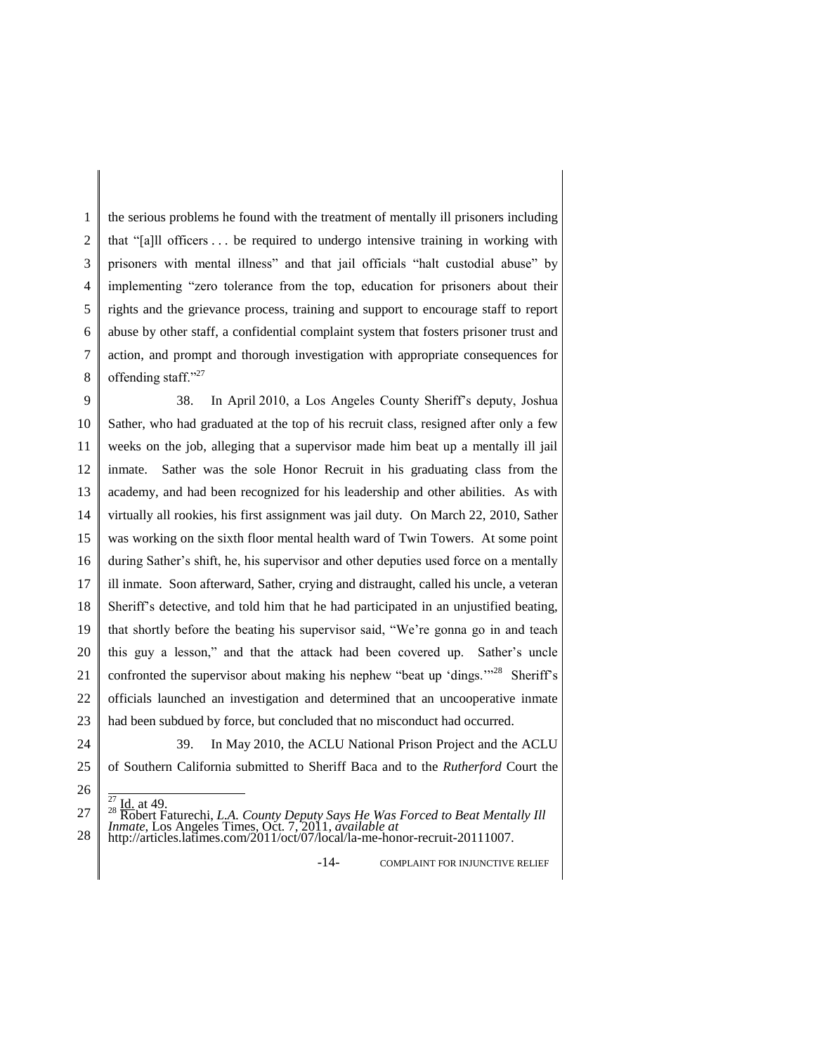1 2 3 4 5 6 7 8 the serious problems he found with the treatment of mentally ill prisoners including that "[a]ll officers . . . be required to undergo intensive training in working with prisoners with mental illness" and that jail officials "halt custodial abuse" by implementing "zero tolerance from the top, education for prisoners about their rights and the grievance process, training and support to encourage staff to report abuse by other staff, a confidential complaint system that fosters prisoner trust and action, and prompt and thorough investigation with appropriate consequences for offending staff."<sup>27</sup>

9 10 11 12 13 14 15 16 17 18 19 20 21 22 23 38. In April 2010, a Los Angeles County Sheriff's deputy, Joshua Sather, who had graduated at the top of his recruit class, resigned after only a few weeks on the job, alleging that a supervisor made him beat up a mentally ill jail inmate. Sather was the sole Honor Recruit in his graduating class from the academy, and had been recognized for his leadership and other abilities. As with virtually all rookies, his first assignment was jail duty. On March 22, 2010, Sather was working on the sixth floor mental health ward of Twin Towers. At some point during Sather's shift, he, his supervisor and other deputies used force on a mentally ill inmate. Soon afterward, Sather, crying and distraught, called his uncle, a veteran Sheriff's detective, and told him that he had participated in an unjustified beating, that shortly before the beating his supervisor said, "We're gonna go in and teach this guy a lesson," and that the attack had been covered up. Sather's uncle confronted the supervisor about making his nephew "beat up 'dings."<sup>28</sup> Sheriff's officials launched an investigation and determined that an uncooperative inmate had been subdued by force, but concluded that no misconduct had occurred.

- 24
- 25

39. In May 2010, the ACLU National Prison Project and the ACLU of Southern California submitted to Sheriff Baca and to the *Rutherford* Court the

-14- COMPLAINT FOR INJUNCTIVE RELIEF

<sup>26</sup>

<sup>27</sup> 28 <sup>27</sup> Id. at 49.<br><sup>28</sup> Robert Faturechi, *L.A. County Deputy Says He Was Forced to Beat Mentally Ill Inmate*, Los Angeles Times, Oct. 7, 2011, *available at* http://articles.latimes.com/2011/oct/07/local/la-me-honor-recruit-20111007.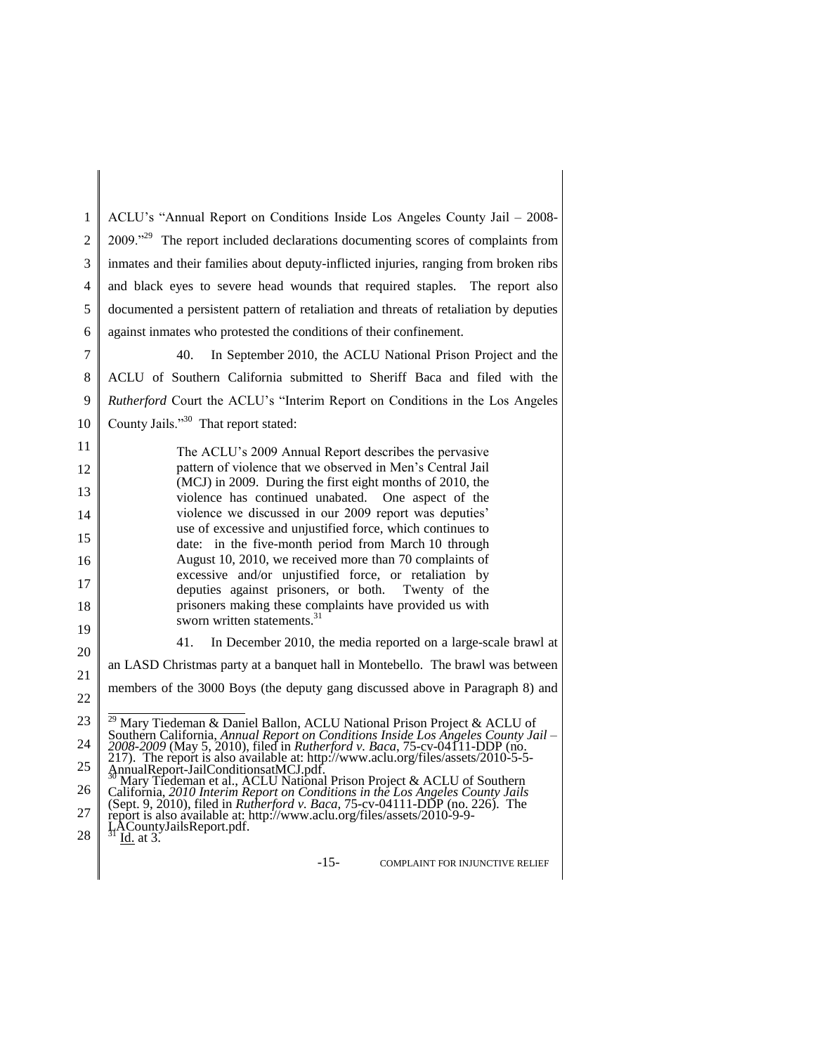1 2 3 4 5 6 ACLU's "Annual Report on Conditions Inside Los Angeles County Jail – 2008- 2009."<sup>29</sup> The report included declarations documenting scores of complaints from inmates and their families about deputy-inflicted injuries, ranging from broken ribs and black eyes to severe head wounds that required staples. The report also documented a persistent pattern of retaliation and threats of retaliation by deputies against inmates who protested the conditions of their confinement.

7 8 9 10 40. In September 2010, the ACLU National Prison Project and the ACLU of Southern California submitted to Sheriff Baca and filed with the *Rutherford* Court the ACLU's "Interim Report on Conditions in the Los Angeles County Jails."<sup>30</sup> That report stated:

The ACLU's 2009 Annual Report describes the pervasive pattern of violence that we observed in Men's Central Jail (MCJ) in 2009. During the first eight months of 2010, the violence has continued unabated. One aspect of the violence we discussed in our 2009 report was deputies' use of excessive and unjustified force, which continues to date: in the five-month period from March 10 through August 10, 2010, we received more than 70 complaints of excessive and/or unjustified force, or retaliation by deputies against prisoners, or both. Twenty of the prisoners making these complaints have provided us with sworn written statements.<sup>31</sup>

41. In December 2010, the media reported on a large-scale brawl at an LASD Christmas party at a banquet hall in Montebello. The brawl was between

21 22 members of the 3000 Boys (the deputy gang discussed above in Paragraph 8) and

-15- COMPLAINT FOR INJUNCTIVE RELIEF

<sup>23</sup> 24 Mary Tiedeman & Daniel Ballon, ACLU National Prison Project & ACLU of Southern California, *Annual Report on Conditions Inside Los Angeles County Jail – 2008-2009* (May 5, 2010), filed in *Rutherford v. Baca*, 75-cv-04111-DDP (no.

<sup>25</sup> 217). The report is also available at: http://www.aclu.org/files/assets/2010-5-5-4<br>AnnualReport-JailConditionsatMCJ.pdf. AnnualReport-JailConditionsatMCJ.pdf.<br><sup>30</sup> Mary Tiedeman et al., ACLU National Prison Project & ACLU of Southern

<sup>26</sup> 27 California, *2010 Interim Report on Conditions in the Los Angeles County Jails* (Sept. 9, 2010), filed in *Rutherford v. Baca*, 75-cv-04111-DDP (no. 226). The report is also available at: http://www.aclu.org/files/assets/2010-9-9-

LACountyJailsReport.pdf.<br><sup>31</sup> I<u>d.</u> at 3.

<sup>28</sup>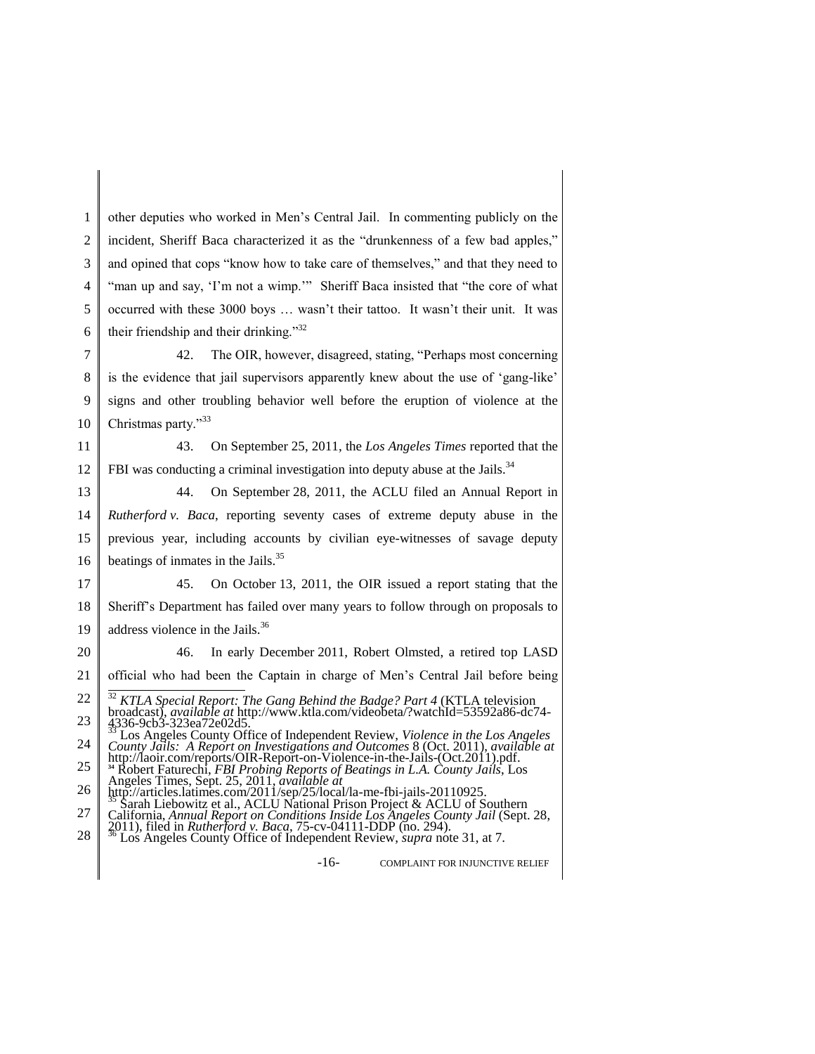1 2 3 4 5 6 other deputies who worked in Men's Central Jail. In commenting publicly on the incident, Sheriff Baca characterized it as the "drunkenness of a few bad apples," and opined that cops "know how to take care of themselves," and that they need to "man up and say, 'I'm not a wimp."" Sheriff Baca insisted that "the core of what occurred with these 3000 boys … wasn't their tattoo. It wasn't their unit. It was their friendship and their drinking."<sup>32</sup>

7 8 9 10 42. The OIR, however, disagreed, stating, "Perhaps most concerning is the evidence that jail supervisors apparently knew about the use of 'gang-like' signs and other troubling behavior well before the eruption of violence at the Christmas party."<sup>33</sup>

11 12 43. On September 25, 2011, the *Los Angeles Times* reported that the FBI was conducting a criminal investigation into deputy abuse at the Jails.<sup>34</sup>

13 14 15 16 44. On September 28, 2011, the ACLU filed an Annual Report in *Rutherford v. Baca*, reporting seventy cases of extreme deputy abuse in the previous year, including accounts by civilian eye-witnesses of savage deputy beatings of inmates in the Jails.<sup>35</sup>

17 18 19 45. On October 13, 2011, the OIR issued a report stating that the Sheriff's Department has failed over many years to follow through on proposals to address violence in the Jails.<sup>36</sup>

20 46. In early December 2011, Robert Olmsted, a retired top LASD

21 official who had been the Captain in charge of Men's Central Jail before being

24 *County Jails: A Report on Investigations and Outcomes* 8 (Oct. 2011), *available at* http://laoir.com/reports/OIR-Report-on-Violence-in-the-Jails-(Oct.2011).pdf.

- 26 27 http://articles.latimes.com/2011/sep/25/local/la-me-fbi-jails-20110925.<br><sup>35</sup> Sarah Liebowitz et al., ACLU National Prison Project & ACLU of Southern
- 28 California, *Annual Report on Conditions Inside Los Angeles County Jail* (Sept. 28, 2011), filed in *Rutherford v. Baca*, 75-cv-04111-DDP (no. 294). <sup>36</sup> Los Angeles County Office of Independent Review, *supra* note 31, at 7.
- 

-16- COMPLAINT FOR INJUNCTIVE RELIEF

<sup>22</sup> 23 <sup>32</sup> *KTLA Special Report: The Gang Behind the Badge? Part 4* (KTLA television broadcast), *available at* http://www.ktla.com/videobeta/?watchId=53592a86-dc74- 4336-9cb3-323ea72e02d5. <sup>33</sup> Los Angeles County Office of Independent Review, *Violence in the Los Angeles* 

<sup>25</sup> **<sup>34</sup>** Robert Faturechi, *FBI Probing Reports of Beatings in L.A. County Jails*, Los Angeles Times, Sept. 25, 2011, *available at*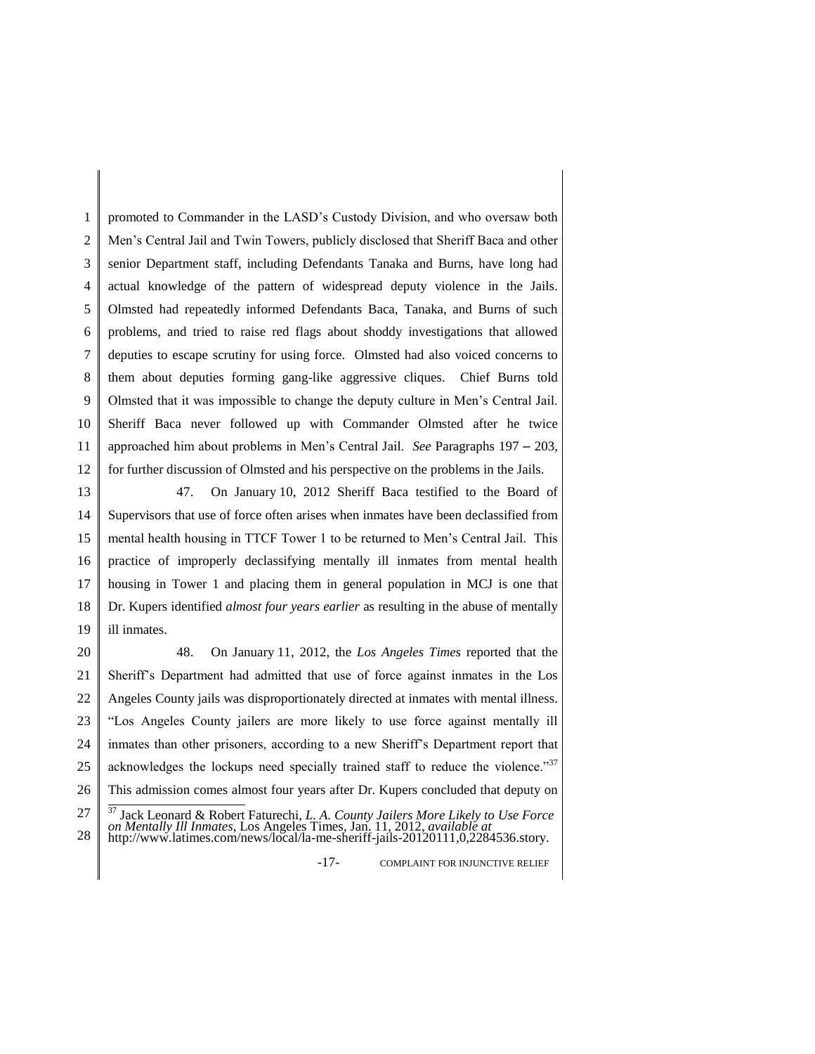1 2 3 4 5 6 7 8 9 10 11 12 promoted to Commander in the LASD's Custody Division, and who oversaw both Men's Central Jail and Twin Towers, publicly disclosed that Sheriff Baca and other senior Department staff, including Defendants Tanaka and Burns, have long had actual knowledge of the pattern of widespread deputy violence in the Jails. Olmsted had repeatedly informed Defendants Baca, Tanaka, and Burns of such problems, and tried to raise red flags about shoddy investigations that allowed deputies to escape scrutiny for using force. Olmsted had also voiced concerns to them about deputies forming gang-like aggressive cliques. Chief Burns told Olmsted that it was impossible to change the deputy culture in Men's Central Jail. Sheriff Baca never followed up with Commander Olmsted after he twice approached him about problems in Men's Central Jail. *See* Paragraphs 197 – 203, for further discussion of Olmsted and his perspective on the problems in the Jails.

13 14 15 16 17 18 19 47. On January 10, 2012 Sheriff Baca testified to the Board of Supervisors that use of force often arises when inmates have been declassified from mental health housing in TTCF Tower 1 to be returned to Men's Central Jail. This practice of improperly declassifying mentally ill inmates from mental health housing in Tower 1 and placing them in general population in MCJ is one that Dr. Kupers identified *almost four years earlier* as resulting in the abuse of mentally ill inmates.

20 21 22 23 24 25 26 27 48. On January 11, 2012, the *Los Angeles Times* reported that the Sheriff's Department had admitted that use of force against inmates in the Los Angeles County jails was disproportionately directed at inmates with mental illness. "Los Angeles County jailers are more likely to use force against mentally ill inmates than other prisoners, according to a new Sheriff's Department report that acknowledges the lockups need specially trained staff to reduce the violence." $37$ This admission comes almost four years after Dr. Kupers concluded that deputy on <sup>37</sup> Jack Leonard & Robert Faturechi, *L. A. County Jailers More Likely to Use Force* 

-17- COMPLAINT FOR INJUNCTIVE RELIEF

<sup>28</sup> *on Mentally Ill Inmates*, Los Angeles Times, Jan. 11, 2012, *available at* http://www.latimes.com/news/local/la-me-sheriff-jails-20120111,0,2284536.story.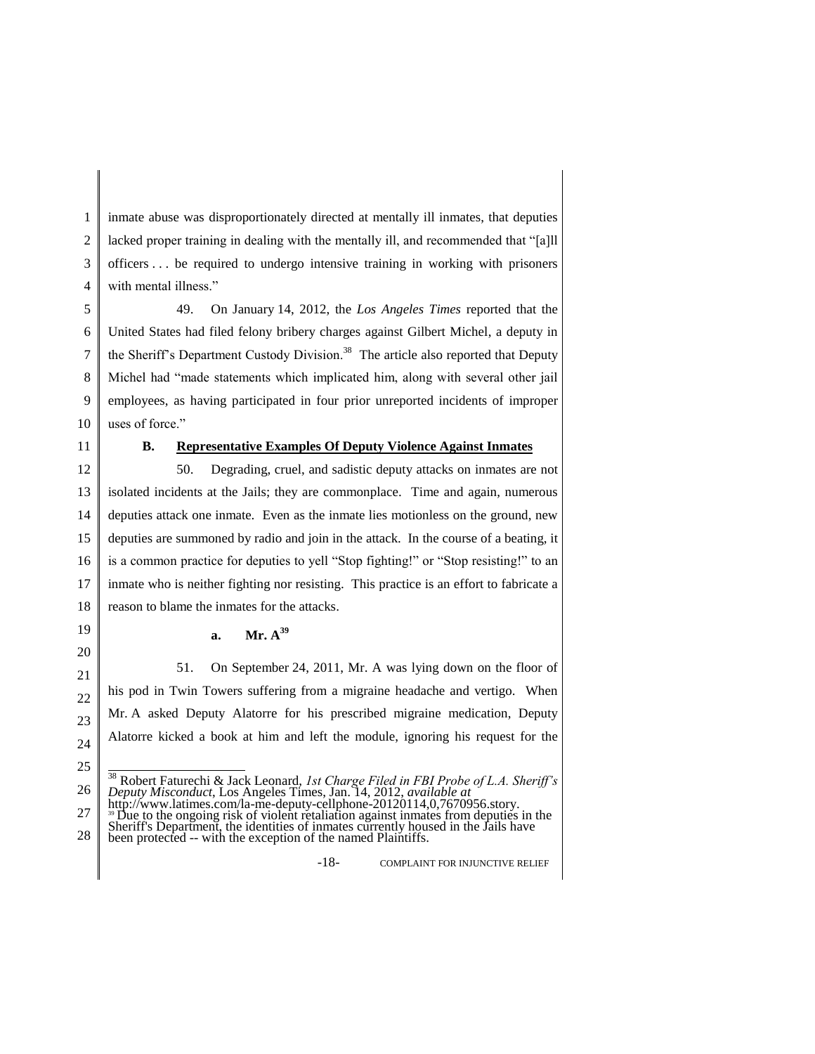1 2 3 4 inmate abuse was disproportionately directed at mentally ill inmates, that deputies lacked proper training in dealing with the mentally ill, and recommended that "[a]ll officers . . . be required to undergo intensive training in working with prisoners with mental illness."

5 6 7 8 9 10 49. On January 14, 2012, the *Los Angeles Times* reported that the United States had filed felony bribery charges against Gilbert Michel, a deputy in the Sheriff's Department Custody Division.<sup>38</sup> The article also reported that Deputy Michel had "made statements which implicated him, along with several other jail employees, as having participated in four prior unreported incidents of improper uses of force."

11

## **B. Representative Examples Of Deputy Violence Against Inmates**

12 13 14 15 16 17 18 50. Degrading, cruel, and sadistic deputy attacks on inmates are not isolated incidents at the Jails; they are commonplace. Time and again, numerous deputies attack one inmate. Even as the inmate lies motionless on the ground, new deputies are summoned by radio and join in the attack. In the course of a beating, it is a common practice for deputies to yell "Stop fighting!" or "Stop resisting!" to an inmate who is neither fighting nor resisting. This practice is an effort to fabricate a reason to blame the inmates for the attacks.

## **a. Mr. A<sup>39</sup>**

51. On September 24, 2011, Mr. A was lying down on the floor of his pod in Twin Towers suffering from a migraine headache and vertigo. When Mr. A asked Deputy Alatorre for his prescribed migraine medication, Deputy Alatorre kicked a book at him and left the module, ignoring his request for the

-18- COMPLAINT FOR INJUNCTIVE RELIEF

<sup>26</sup> <sup>38</sup> Robert Faturechi & Jack Leonard, *1st Charge Filed in FBI Probe of L.A. Sheriff's Deputy Misconduct*, Los Angeles Times, Jan. 14, 2012, *available at* http://www.latimes.com/la-me-deputy-cellphone-20120114,0,7670956.story.

<sup>27</sup> <sup>39</sup> Due to the ongoing risk of violent retaliation against inmates from deputies in the

<sup>28</sup> Sheriff's Department, the identities of inmates currently housed in the Jails have been protected -- with the exception of the named Plaintiffs.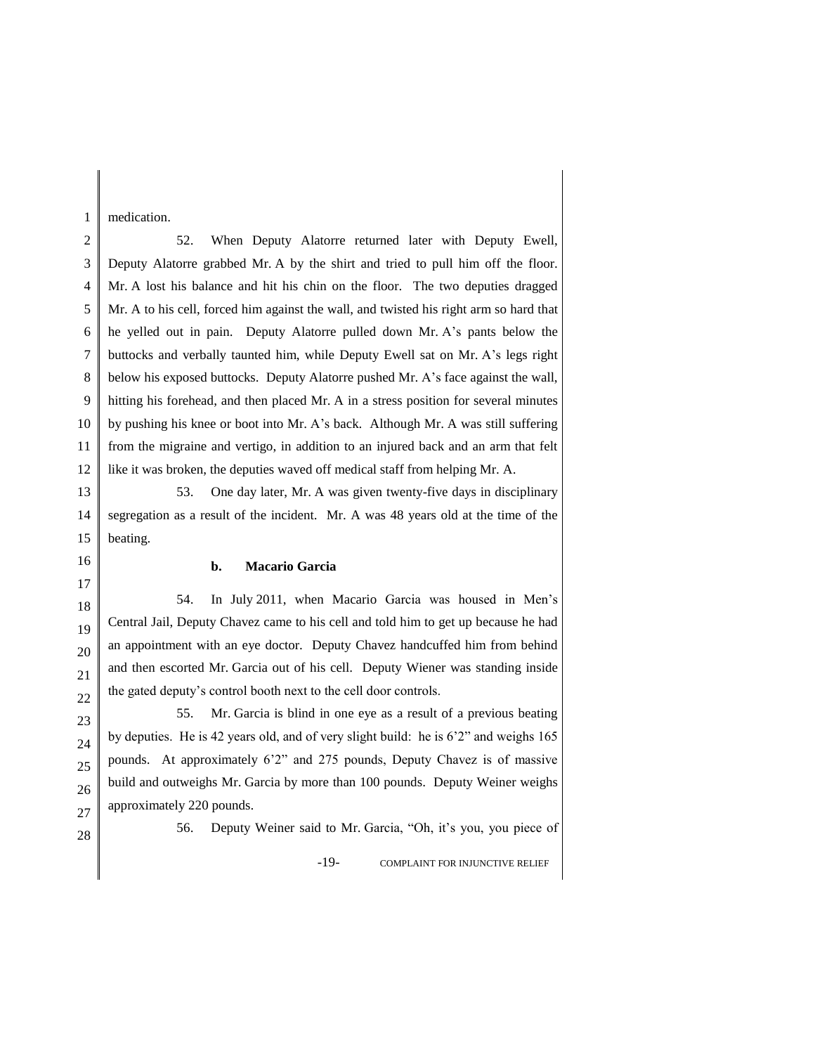medication.

1

2 3 4 5 6 7 8 9 10 11 12 52. When Deputy Alatorre returned later with Deputy Ewell, Deputy Alatorre grabbed Mr. A by the shirt and tried to pull him off the floor. Mr. A lost his balance and hit his chin on the floor. The two deputies dragged Mr. A to his cell, forced him against the wall, and twisted his right arm so hard that he yelled out in pain. Deputy Alatorre pulled down Mr. A's pants below the buttocks and verbally taunted him, while Deputy Ewell sat on Mr. A's legs right below his exposed buttocks. Deputy Alatorre pushed Mr. A's face against the wall, hitting his forehead, and then placed Mr. A in a stress position for several minutes by pushing his knee or boot into Mr. A's back. Although Mr. A was still suffering from the migraine and vertigo, in addition to an injured back and an arm that felt like it was broken, the deputies waved off medical staff from helping Mr. A.

13 14 15 53. One day later, Mr. A was given twenty-five days in disciplinary segregation as a result of the incident. Mr. A was 48 years old at the time of the beating.

#### **b. Macario Garcia**

18 20 54. In July 2011, when Macario Garcia was housed in Men's Central Jail, Deputy Chavez came to his cell and told him to get up because he had an appointment with an eye doctor. Deputy Chavez handcuffed him from behind and then escorted Mr. Garcia out of his cell. Deputy Wiener was standing inside the gated deputy's control booth next to the cell door controls.

55. Mr. Garcia is blind in one eye as a result of a previous beating by deputies. He is 42 years old, and of very slight build: he is 6'2" and weighs 165 pounds. At approximately 6'2" and 275 pounds, Deputy Chavez is of massive build and outweighs Mr. Garcia by more than 100 pounds. Deputy Weiner weighs approximately 220 pounds.

27 28

16 17

19

56. Deputy Weiner said to Mr. Garcia, "Oh, it's you, you piece of

-19- COMPLAINT FOR INJUNCTIVE RELIEF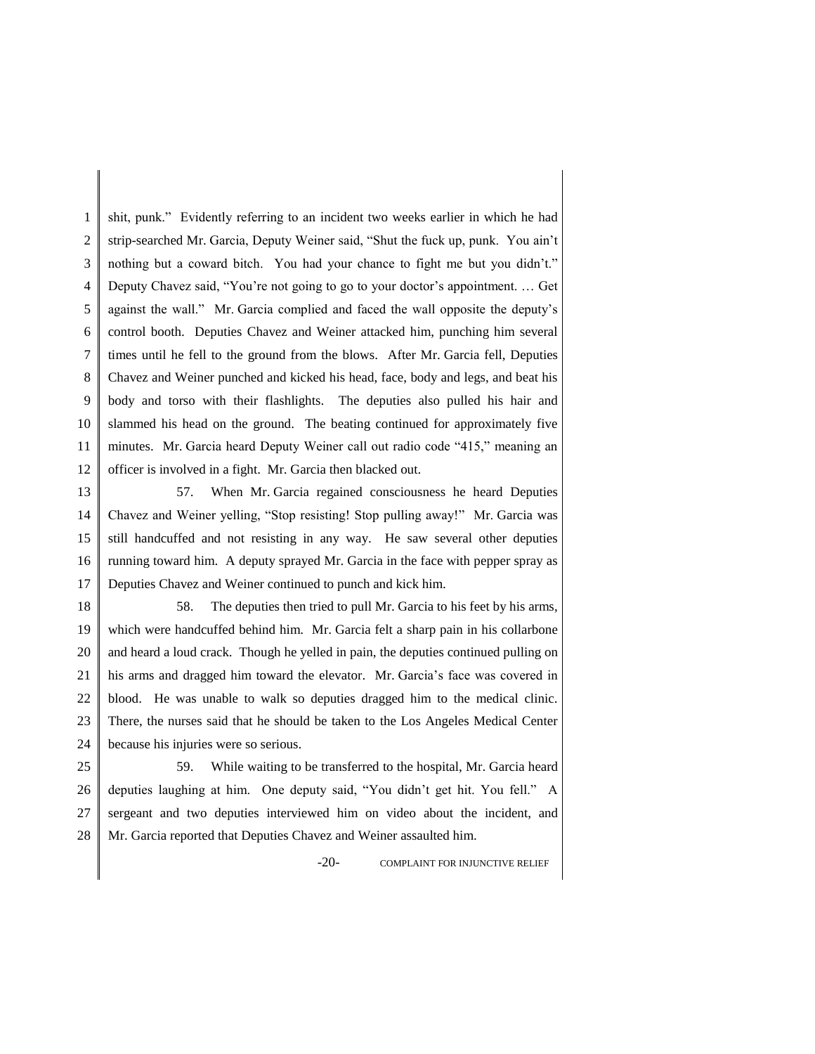1 2 3 4 5 6 7 8 9 10 11 12 shit, punk." Evidently referring to an incident two weeks earlier in which he had strip-searched Mr. Garcia, Deputy Weiner said, "Shut the fuck up, punk. You ain't nothing but a coward bitch. You had your chance to fight me but you didn't." Deputy Chavez said, "You're not going to go to your doctor's appointment. … Get against the wall." Mr. Garcia complied and faced the wall opposite the deputy's control booth. Deputies Chavez and Weiner attacked him, punching him several times until he fell to the ground from the blows. After Mr. Garcia fell, Deputies Chavez and Weiner punched and kicked his head, face, body and legs, and beat his body and torso with their flashlights. The deputies also pulled his hair and slammed his head on the ground. The beating continued for approximately five minutes. Mr. Garcia heard Deputy Weiner call out radio code "415," meaning an officer is involved in a fight. Mr. Garcia then blacked out.

13 14 15 16 17 57. When Mr. Garcia regained consciousness he heard Deputies Chavez and Weiner yelling, "Stop resisting! Stop pulling away!" Mr. Garcia was still handcuffed and not resisting in any way. He saw several other deputies running toward him. A deputy sprayed Mr. Garcia in the face with pepper spray as Deputies Chavez and Weiner continued to punch and kick him.

18 19 20 21 22 23 24 58. The deputies then tried to pull Mr. Garcia to his feet by his arms, which were handcuffed behind him. Mr. Garcia felt a sharp pain in his collarbone and heard a loud crack. Though he yelled in pain, the deputies continued pulling on his arms and dragged him toward the elevator. Mr. Garcia's face was covered in blood. He was unable to walk so deputies dragged him to the medical clinic. There, the nurses said that he should be taken to the Los Angeles Medical Center because his injuries were so serious.

25 26 27 28 59. While waiting to be transferred to the hospital, Mr. Garcia heard deputies laughing at him. One deputy said, "You didn't get hit. You fell." A sergeant and two deputies interviewed him on video about the incident, and Mr. Garcia reported that Deputies Chavez and Weiner assaulted him.

-20- COMPLAINT FOR INJUNCTIVE RELIEF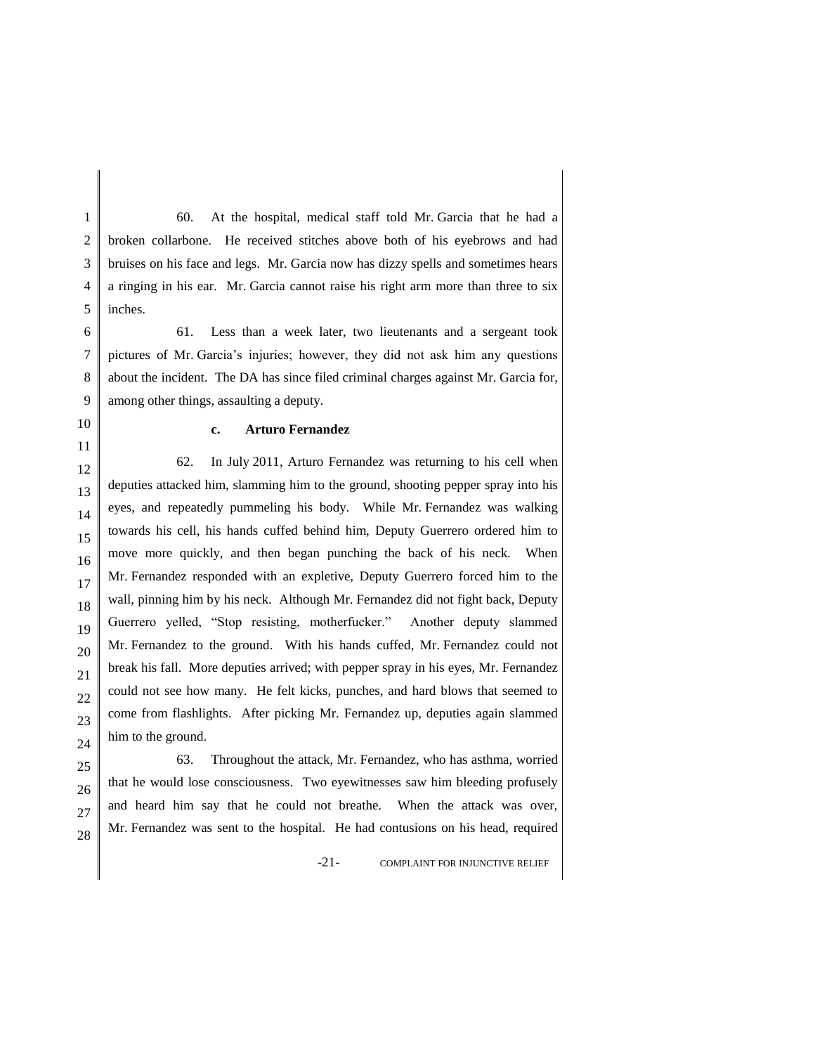1 2 3 4 5 60. At the hospital, medical staff told Mr. Garcia that he had a broken collarbone. He received stitches above both of his eyebrows and had bruises on his face and legs. Mr. Garcia now has dizzy spells and sometimes hears a ringing in his ear. Mr. Garcia cannot raise his right arm more than three to six inches.

6 7 8 9 61. Less than a week later, two lieutenants and a sergeant took pictures of Mr. Garcia's injuries; however, they did not ask him any questions about the incident. The DA has since filed criminal charges against Mr. Garcia for, among other things, assaulting a deputy.

10 11

## **c. Arturo Fernandez**

12 13 14 15 16 17 18 19 20 21 22 23 24 62. In July 2011, Arturo Fernandez was returning to his cell when deputies attacked him, slamming him to the ground, shooting pepper spray into his eyes, and repeatedly pummeling his body. While Mr. Fernandez was walking towards his cell, his hands cuffed behind him, Deputy Guerrero ordered him to move more quickly, and then began punching the back of his neck. When Mr. Fernandez responded with an expletive, Deputy Guerrero forced him to the wall, pinning him by his neck. Although Mr. Fernandez did not fight back, Deputy Guerrero yelled, "Stop resisting, motherfucker." Another deputy slammed Mr. Fernandez to the ground. With his hands cuffed, Mr. Fernandez could not break his fall. More deputies arrived; with pepper spray in his eyes, Mr. Fernandez could not see how many. He felt kicks, punches, and hard blows that seemed to come from flashlights. After picking Mr. Fernandez up, deputies again slammed him to the ground.

63. Throughout the attack, Mr. Fernandez, who has asthma, worried that he would lose consciousness. Two eyewitnesses saw him bleeding profusely and heard him say that he could not breathe. When the attack was over, Mr. Fernandez was sent to the hospital. He had contusions on his head, required

-21- COMPLAINT FOR INJUNCTIVE RELIEF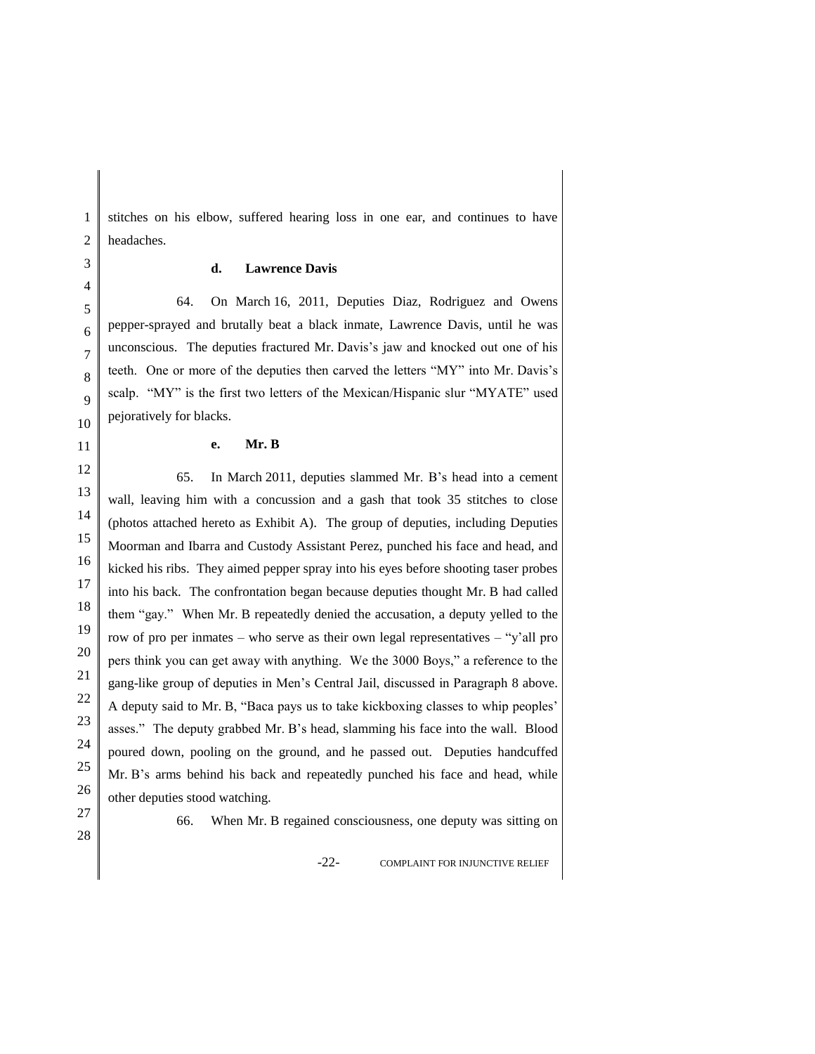stitches on his elbow, suffered hearing loss in one ear, and continues to have headaches.

### **d. Lawrence Davis**

64. On March 16, 2011, Deputies Diaz, Rodriguez and Owens pepper-sprayed and brutally beat a black inmate, Lawrence Davis, until he was unconscious. The deputies fractured Mr. Davis's jaw and knocked out one of his teeth. One or more of the deputies then carved the letters "MY" into Mr. Davis's scalp. "MY" is the first two letters of the Mexican/Hispanic slur "MYATE" used pejoratively for blacks.

#### **e. Mr. B**

12 13 14 15 16 17 18 19 20 21 22 23 24 25 26 65. In March 2011, deputies slammed Mr. B's head into a cement wall, leaving him with a concussion and a gash that took 35 stitches to close (photos attached hereto as Exhibit A). The group of deputies, including Deputies Moorman and Ibarra and Custody Assistant Perez, punched his face and head, and kicked his ribs. They aimed pepper spray into his eyes before shooting taser probes into his back. The confrontation began because deputies thought Mr. B had called them "gay." When Mr. B repeatedly denied the accusation, a deputy yelled to the row of pro per inmates – who serve as their own legal representatives – "y'all pro pers think you can get away with anything. We the 3000 Boys," a reference to the gang-like group of deputies in Men's Central Jail, discussed in Paragraph 8 above. A deputy said to Mr. B, "Baca pays us to take kickboxing classes to whip peoples' asses." The deputy grabbed Mr. B's head, slamming his face into the wall. Blood poured down, pooling on the ground, and he passed out. Deputies handcuffed Mr. B's arms behind his back and repeatedly punched his face and head, while other deputies stood watching.

27 28

66. When Mr. B regained consciousness, one deputy was sitting on

-22- COMPLAINT FOR INJUNCTIVE RELIEF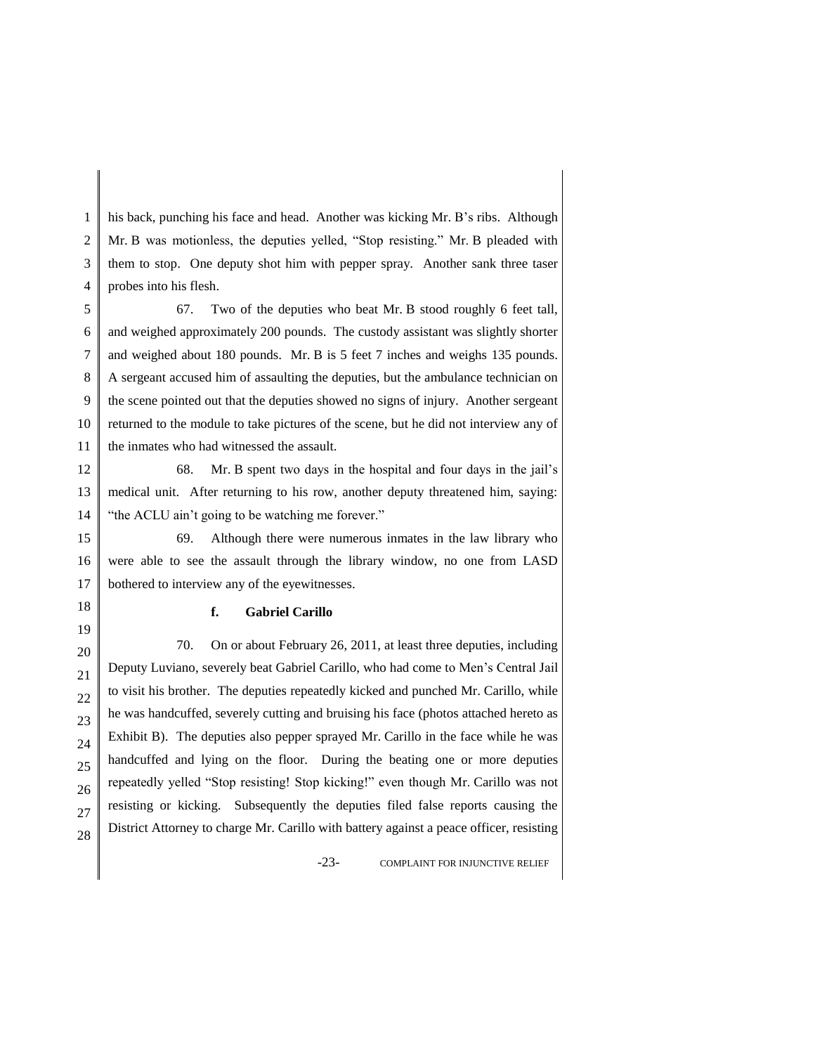1 2 3 4 his back, punching his face and head. Another was kicking Mr. B's ribs. Although Mr. B was motionless, the deputies yelled, "Stop resisting." Mr. B pleaded with them to stop. One deputy shot him with pepper spray. Another sank three taser probes into his flesh.

5 6 7 8 9 10 11 67. Two of the deputies who beat Mr. B stood roughly 6 feet tall, and weighed approximately 200 pounds. The custody assistant was slightly shorter and weighed about 180 pounds. Mr. B is 5 feet 7 inches and weighs 135 pounds. A sergeant accused him of assaulting the deputies, but the ambulance technician on the scene pointed out that the deputies showed no signs of injury. Another sergeant returned to the module to take pictures of the scene, but he did not interview any of the inmates who had witnessed the assault.

12 13 14 68. Mr. B spent two days in the hospital and four days in the jail's medical unit. After returning to his row, another deputy threatened him, saying: "the ACLU ain't going to be watching me forever."

15 16 17 69. Although there were numerous inmates in the law library who were able to see the assault through the library window, no one from LASD bothered to interview any of the eyewitnesses.

#### **f. Gabriel Carillo**

18 19

21

25

27 28

20 22 23 24 26 70. On or about February 26, 2011, at least three deputies, including Deputy Luviano, severely beat Gabriel Carillo, who had come to Men's Central Jail to visit his brother. The deputies repeatedly kicked and punched Mr. Carillo, while he was handcuffed, severely cutting and bruising his face (photos attached hereto as Exhibit B). The deputies also pepper sprayed Mr. Carillo in the face while he was handcuffed and lying on the floor. During the beating one or more deputies repeatedly yelled "Stop resisting! Stop kicking!" even though Mr. Carillo was not resisting or kicking. Subsequently the deputies filed false reports causing the District Attorney to charge Mr. Carillo with battery against a peace officer, resisting

-23- COMPLAINT FOR INJUNCTIVE RELIEF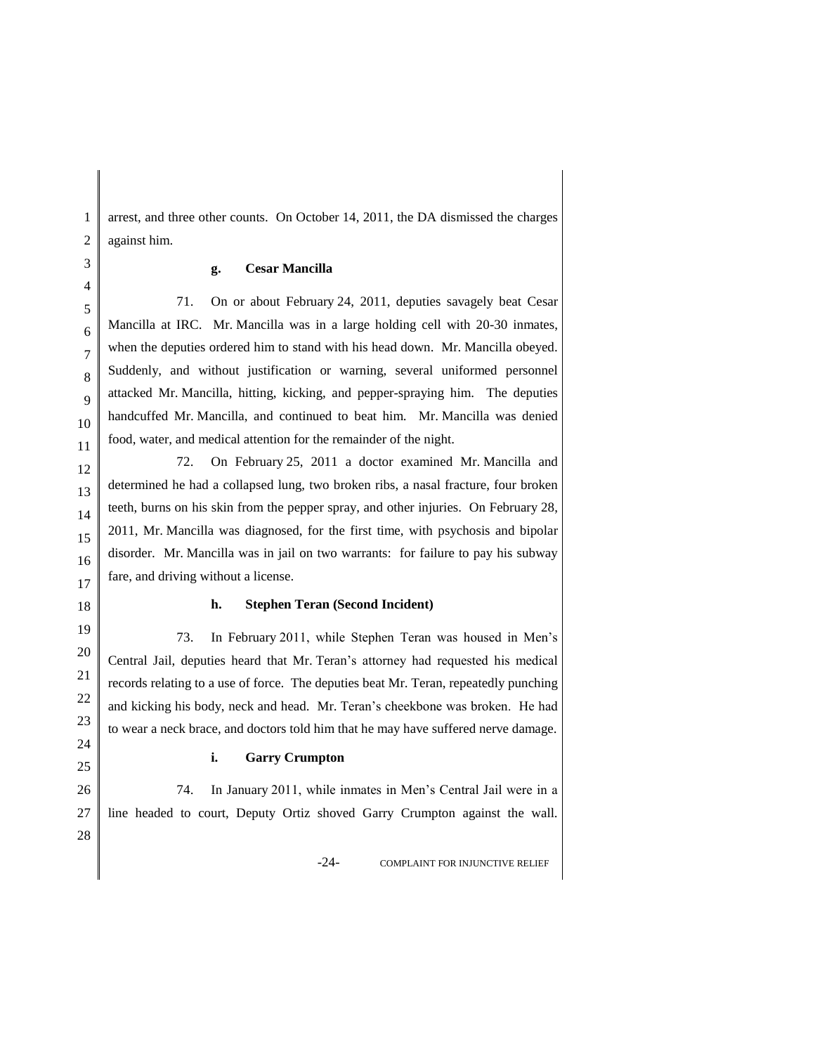arrest, and three other counts. On October 14, 2011, the DA dismissed the charges against him.

#### **g. Cesar Mancilla**

71. On or about February 24, 2011, deputies savagely beat Cesar Mancilla at IRC. Mr. Mancilla was in a large holding cell with 20-30 inmates, when the deputies ordered him to stand with his head down. Mr. Mancilla obeyed. Suddenly, and without justification or warning, several uniformed personnel attacked Mr. Mancilla, hitting, kicking, and pepper-spraying him. The deputies handcuffed Mr. Mancilla, and continued to beat him. Mr. Mancilla was denied food, water, and medical attention for the remainder of the night.

72. On February 25, 2011 a doctor examined Mr. Mancilla and determined he had a collapsed lung, two broken ribs, a nasal fracture, four broken teeth, burns on his skin from the pepper spray, and other injuries. On February 28, 2011, Mr. Mancilla was diagnosed, for the first time, with psychosis and bipolar disorder. Mr. Mancilla was in jail on two warrants: for failure to pay his subway fare, and driving without a license.

#### **h. Stephen Teran (Second Incident)**

73. In February 2011, while Stephen Teran was housed in Men's Central Jail, deputies heard that Mr. Teran's attorney had requested his medical records relating to a use of force. The deputies beat Mr. Teran, repeatedly punching and kicking his body, neck and head. Mr. Teran's cheekbone was broken. He had to wear a neck brace, and doctors told him that he may have suffered nerve damage.

#### **i. Garry Crumpton**

74. In January 2011, while inmates in Men's Central Jail were in a line headed to court, Deputy Ortiz shoved Garry Crumpton against the wall.

-24- COMPLAINT FOR INJUNCTIVE RELIEF

1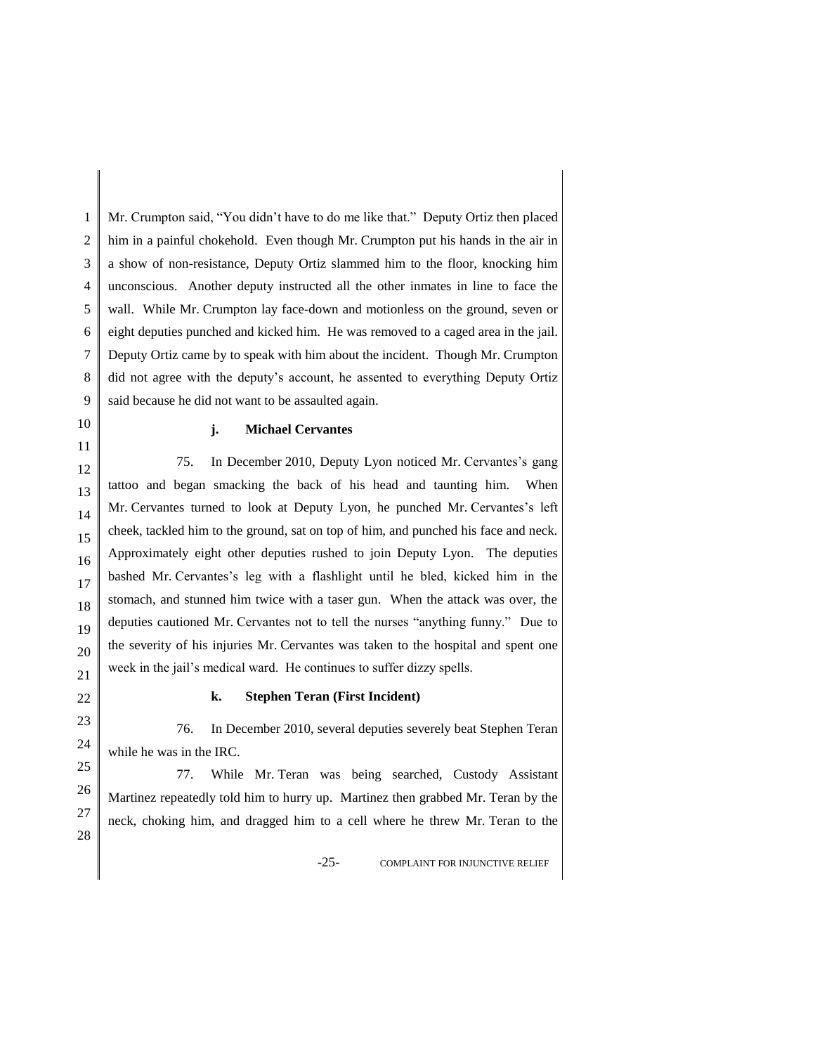1 2 3 4 5 6 7 8 9 Mr. Crumpton said, "You didn't have to do me like that." Deputy Ortiz then placed him in a painful chokehold. Even though Mr. Crumpton put his hands in the air in a show of non-resistance, Deputy Ortiz slammed him to the floor, knocking him unconscious. Another deputy instructed all the other inmates in line to face the wall. While Mr. Crumpton lay face-down and motionless on the ground, seven or eight deputies punched and kicked him. He was removed to a caged area in the jail. Deputy Ortiz came by to speak with him about the incident. Though Mr. Crumpton did not agree with the deputy's account, he assented to everything Deputy Ortiz said because he did not want to be assaulted again.

10 11

#### **j. Michael Cervantes**

16 75. In December 2010, Deputy Lyon noticed Mr. Cervantes's gang tattoo and began smacking the back of his head and taunting him. When Mr. Cervantes turned to look at Deputy Lyon, he punched Mr. Cervantes's left cheek, tackled him to the ground, sat on top of him, and punched his face and neck. Approximately eight other deputies rushed to join Deputy Lyon. The deputies bashed Mr. Cervantes's leg with a flashlight until he bled, kicked him in the stomach, and stunned him twice with a taser gun. When the attack was over, the deputies cautioned Mr. Cervantes not to tell the nurses "anything funny." Due to the severity of his injuries Mr. Cervantes was taken to the hospital and spent one week in the jail's medical ward. He continues to suffer dizzy spells.

## **k. Stephen Teran (First Incident)**

76. In December 2010, several deputies severely beat Stephen Teran while he was in the IRC.

77. While Mr. Teran was being searched, Custody Assistant Martinez repeatedly told him to hurry up. Martinez then grabbed Mr. Teran by the neck, choking him, and dragged him to a cell where he threw Mr. Teran to the

-25- COMPLAINT FOR INJUNCTIVE RELIEF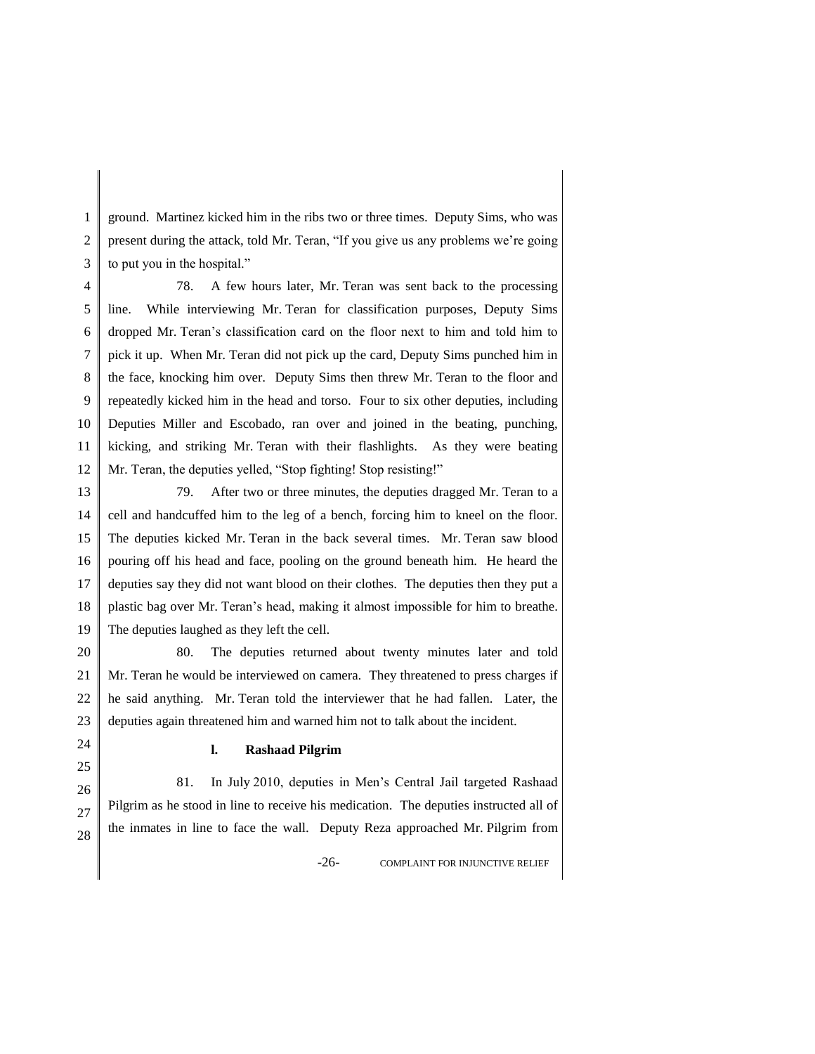1 2 3 ground. Martinez kicked him in the ribs two or three times. Deputy Sims, who was present during the attack, told Mr. Teran, "If you give us any problems we're going to put you in the hospital."

4 5 6 7 8 9 10 11 12 78. A few hours later, Mr. Teran was sent back to the processing line. While interviewing Mr. Teran for classification purposes, Deputy Sims dropped Mr. Teran's classification card on the floor next to him and told him to pick it up. When Mr. Teran did not pick up the card, Deputy Sims punched him in the face, knocking him over. Deputy Sims then threw Mr. Teran to the floor and repeatedly kicked him in the head and torso. Four to six other deputies, including Deputies Miller and Escobado, ran over and joined in the beating, punching, kicking, and striking Mr. Teran with their flashlights. As they were beating Mr. Teran, the deputies yelled, "Stop fighting! Stop resisting!"

13 14 15 16 17 18 19 79. After two or three minutes, the deputies dragged Mr. Teran to a cell and handcuffed him to the leg of a bench, forcing him to kneel on the floor. The deputies kicked Mr. Teran in the back several times. Mr. Teran saw blood pouring off his head and face, pooling on the ground beneath him. He heard the deputies say they did not want blood on their clothes. The deputies then they put a plastic bag over Mr. Teran's head, making it almost impossible for him to breathe. The deputies laughed as they left the cell.

20 21 22 23 80. The deputies returned about twenty minutes later and told Mr. Teran he would be interviewed on camera. They threatened to press charges if he said anything. Mr. Teran told the interviewer that he had fallen. Later, the deputies again threatened him and warned him not to talk about the incident.

### **l. Rashaad Pilgrim**

81. In July 2010, deputies in Men's Central Jail targeted Rashaad Pilgrim as he stood in line to receive his medication. The deputies instructed all of the inmates in line to face the wall. Deputy Reza approached Mr. Pilgrim from

-26- COMPLAINT FOR INJUNCTIVE RELIEF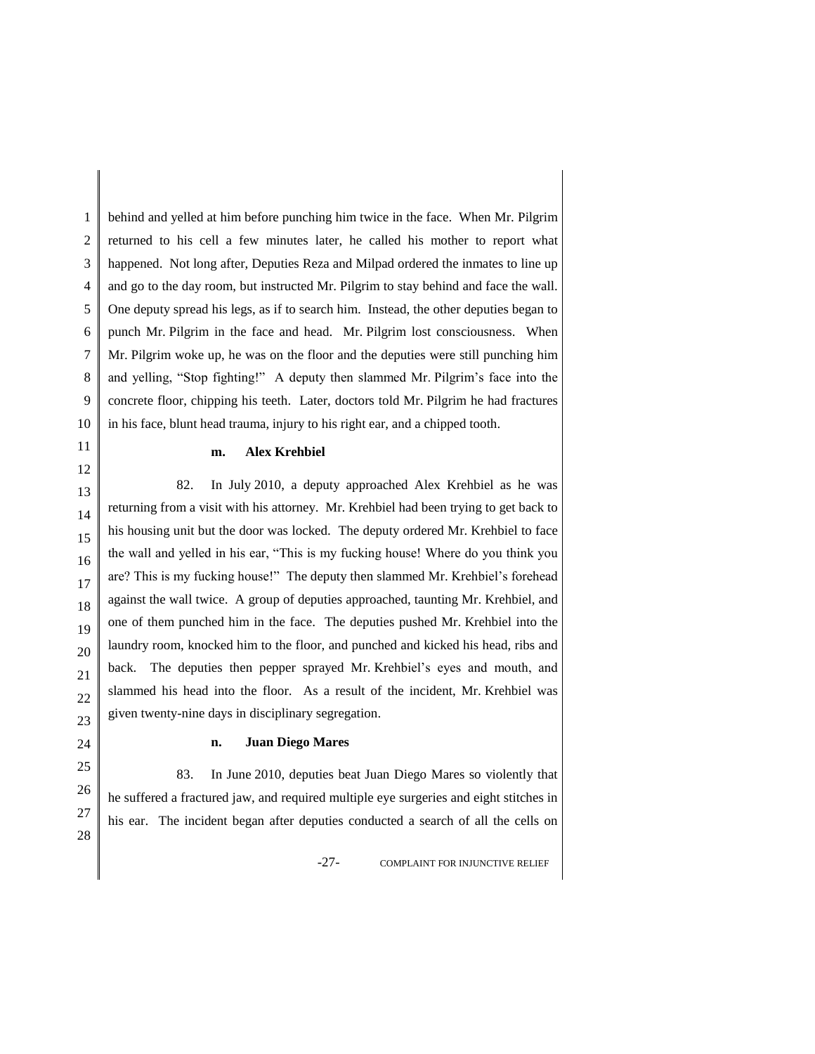1 2 3 4 5 6 7 8 9 10 behind and yelled at him before punching him twice in the face. When Mr. Pilgrim returned to his cell a few minutes later, he called his mother to report what happened. Not long after, Deputies Reza and Milpad ordered the inmates to line up and go to the day room, but instructed Mr. Pilgrim to stay behind and face the wall. One deputy spread his legs, as if to search him. Instead, the other deputies began to punch Mr. Pilgrim in the face and head. Mr. Pilgrim lost consciousness. When Mr. Pilgrim woke up, he was on the floor and the deputies were still punching him and yelling, "Stop fighting!" A deputy then slammed Mr. Pilgrim's face into the concrete floor, chipping his teeth. Later, doctors told Mr. Pilgrim he had fractures in his face, blunt head trauma, injury to his right ear, and a chipped tooth.

### **m. Alex Krehbiel**

82. In July 2010, a deputy approached Alex Krehbiel as he was returning from a visit with his attorney. Mr. Krehbiel had been trying to get back to his housing unit but the door was locked. The deputy ordered Mr. Krehbiel to face the wall and yelled in his ear, "This is my fucking house! Where do you think you are? This is my fucking house!" The deputy then slammed Mr. Krehbiel's forehead against the wall twice. A group of deputies approached, taunting Mr. Krehbiel, and one of them punched him in the face. The deputies pushed Mr. Krehbiel into the laundry room, knocked him to the floor, and punched and kicked his head, ribs and back. The deputies then pepper sprayed Mr. Krehbiel's eyes and mouth, and slammed his head into the floor. As a result of the incident, Mr. Krehbiel was given twenty-nine days in disciplinary segregation.

#### **n. Juan Diego Mares**

83. In June 2010, deputies beat Juan Diego Mares so violently that he suffered a fractured jaw, and required multiple eye surgeries and eight stitches in his ear. The incident began after deputies conducted a search of all the cells on

-27- COMPLAINT FOR INJUNCTIVE RELIEF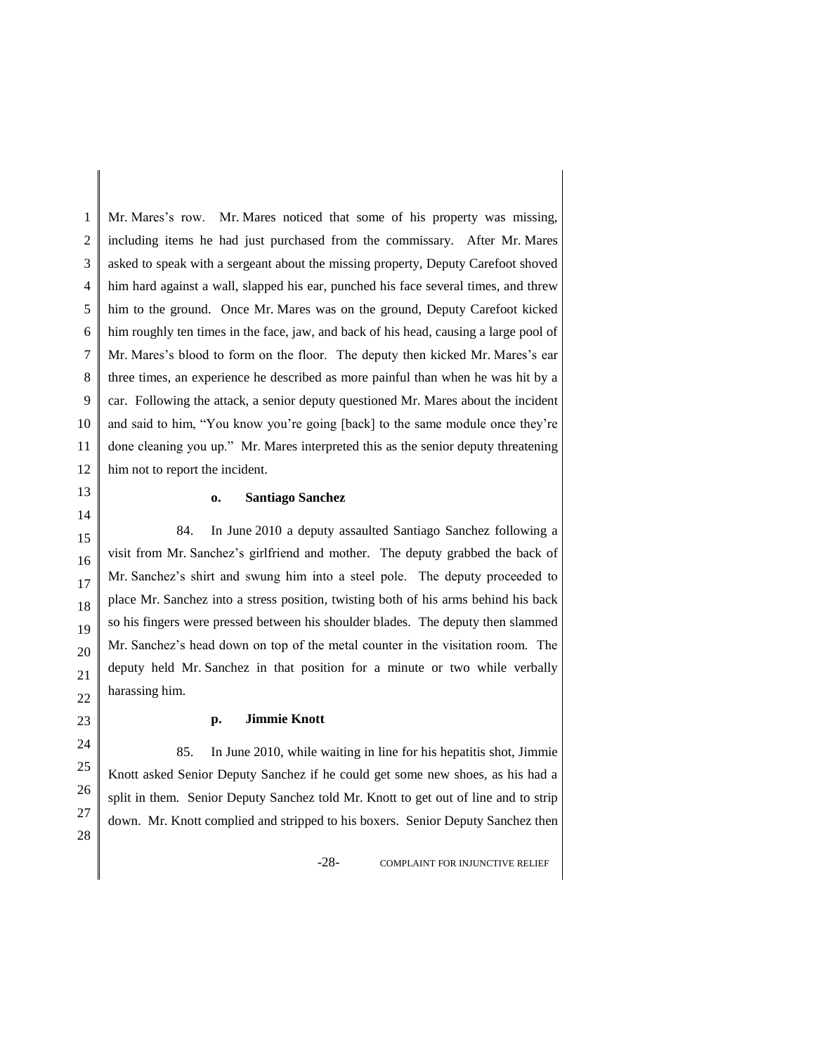1 2 3 4 5 6 7 8 9 10 11 12 Mr. Mares's row. Mr. Mares noticed that some of his property was missing, including items he had just purchased from the commissary. After Mr. Mares asked to speak with a sergeant about the missing property, Deputy Carefoot shoved him hard against a wall, slapped his ear, punched his face several times, and threw him to the ground. Once Mr. Mares was on the ground, Deputy Carefoot kicked him roughly ten times in the face, jaw, and back of his head, causing a large pool of Mr. Mares's blood to form on the floor. The deputy then kicked Mr. Mares's ear three times, an experience he described as more painful than when he was hit by a car. Following the attack, a senior deputy questioned Mr. Mares about the incident and said to him, "You know you're going [back] to the same module once they're done cleaning you up." Mr. Mares interpreted this as the senior deputy threatening him not to report the incident.

## **o. Santiago Sanchez**

84. In June 2010 a deputy assaulted Santiago Sanchez following a visit from Mr. Sanchez's girlfriend and mother. The deputy grabbed the back of Mr. Sanchez's shirt and swung him into a steel pole. The deputy proceeded to place Mr. Sanchez into a stress position, twisting both of his arms behind his back so his fingers were pressed between his shoulder blades. The deputy then slammed Mr. Sanchez's head down on top of the metal counter in the visitation room. The deputy held Mr. Sanchez in that position for a minute or two while verbally harassing him.

#### **p. Jimmie Knott**

85. In June 2010, while waiting in line for his hepatitis shot, Jimmie Knott asked Senior Deputy Sanchez if he could get some new shoes, as his had a split in them. Senior Deputy Sanchez told Mr. Knott to get out of line and to strip down. Mr. Knott complied and stripped to his boxers. Senior Deputy Sanchez then

-28- COMPLAINT FOR INJUNCTIVE RELIEF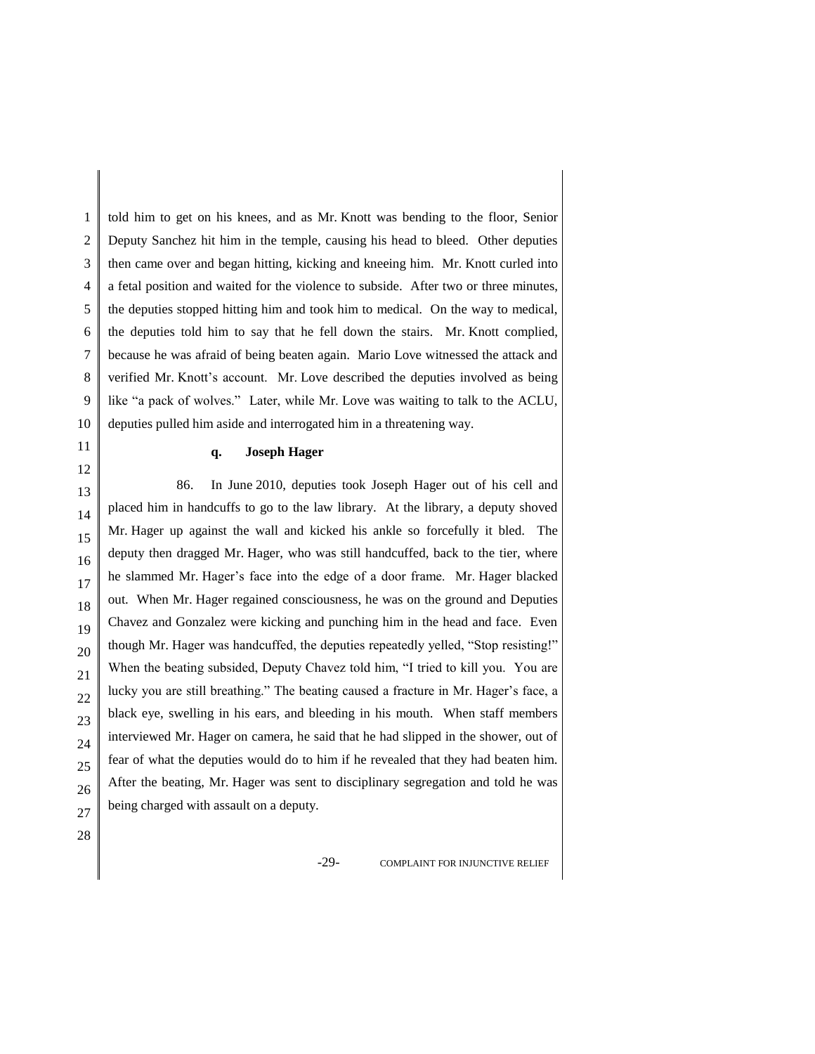1 2 3 4 5 6 7 8 9 10 told him to get on his knees, and as Mr. Knott was bending to the floor, Senior Deputy Sanchez hit him in the temple, causing his head to bleed. Other deputies then came over and began hitting, kicking and kneeing him. Mr. Knott curled into a fetal position and waited for the violence to subside. After two or three minutes, the deputies stopped hitting him and took him to medical. On the way to medical, the deputies told him to say that he fell down the stairs. Mr. Knott complied, because he was afraid of being beaten again. Mario Love witnessed the attack and verified Mr. Knott's account. Mr. Love described the deputies involved as being like "a pack of wolves." Later, while Mr. Love was waiting to talk to the ACLU, deputies pulled him aside and interrogated him in a threatening way.

## **q. Joseph Hager**

13 14 15 16 17 18 19 20 21 22 23 24 25 26 27 86. In June 2010, deputies took Joseph Hager out of his cell and placed him in handcuffs to go to the law library. At the library, a deputy shoved Mr. Hager up against the wall and kicked his ankle so forcefully it bled. The deputy then dragged Mr. Hager, who was still handcuffed, back to the tier, where he slammed Mr. Hager's face into the edge of a door frame. Mr. Hager blacked out. When Mr. Hager regained consciousness, he was on the ground and Deputies Chavez and Gonzalez were kicking and punching him in the head and face. Even though Mr. Hager was handcuffed, the deputies repeatedly yelled, "Stop resisting!" When the beating subsided, Deputy Chavez told him, "I tried to kill you. You are lucky you are still breathing." The beating caused a fracture in Mr. Hager's face, a black eye, swelling in his ears, and bleeding in his mouth. When staff members interviewed Mr. Hager on camera, he said that he had slipped in the shower, out of fear of what the deputies would do to him if he revealed that they had beaten him. After the beating, Mr. Hager was sent to disciplinary segregation and told he was being charged with assault on a deputy.

28

11 12

-29- COMPLAINT FOR INJUNCTIVE RELIEF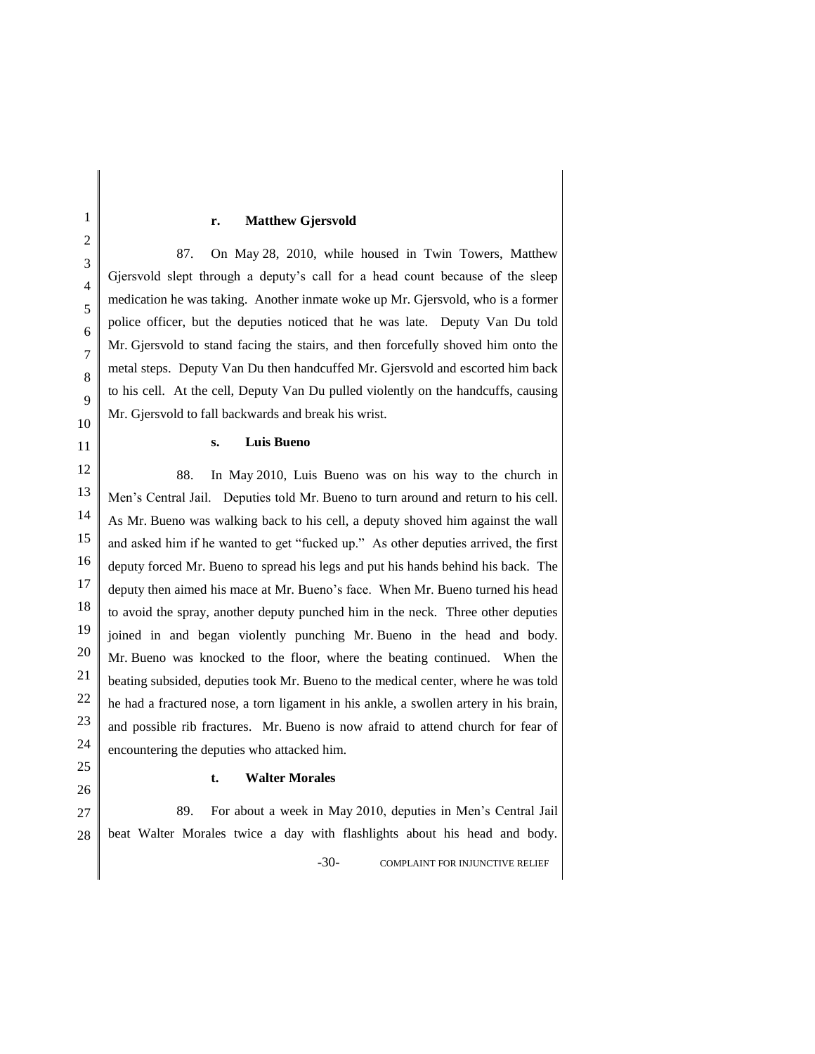#### **r. Matthew Gjersvold**

87. On May 28, 2010, while housed in Twin Towers, Matthew Gjersvold slept through a deputy's call for a head count because of the sleep medication he was taking. Another inmate woke up Mr. Gjersvold, who is a former police officer, but the deputies noticed that he was late. Deputy Van Du told Mr. Gjersvold to stand facing the stairs, and then forcefully shoved him onto the metal steps. Deputy Van Du then handcuffed Mr. Gjersvold and escorted him back to his cell. At the cell, Deputy Van Du pulled violently on the handcuffs, causing Mr. Gjersvold to fall backwards and break his wrist.

#### **s. Luis Bueno**

88. In May 2010, Luis Bueno was on his way to the church in Men's Central Jail. Deputies told Mr. Bueno to turn around and return to his cell. As Mr. Bueno was walking back to his cell, a deputy shoved him against the wall and asked him if he wanted to get "fucked up." As other deputies arrived, the first deputy forced Mr. Bueno to spread his legs and put his hands behind his back. The deputy then aimed his mace at Mr. Bueno's face. When Mr. Bueno turned his head to avoid the spray, another deputy punched him in the neck. Three other deputies joined in and began violently punching Mr. Bueno in the head and body. Mr. Bueno was knocked to the floor, where the beating continued. When the beating subsided, deputies took Mr. Bueno to the medical center, where he was told he had a fractured nose, a torn ligament in his ankle, a swollen artery in his brain, and possible rib fractures. Mr. Bueno is now afraid to attend church for fear of encountering the deputies who attacked him.

**t. Walter Morales**

27 28 -30- COMPLAINT FOR INJUNCTIVE RELIEF 89. For about a week in May 2010, deputies in Men's Central Jail beat Walter Morales twice a day with flashlights about his head and body.

1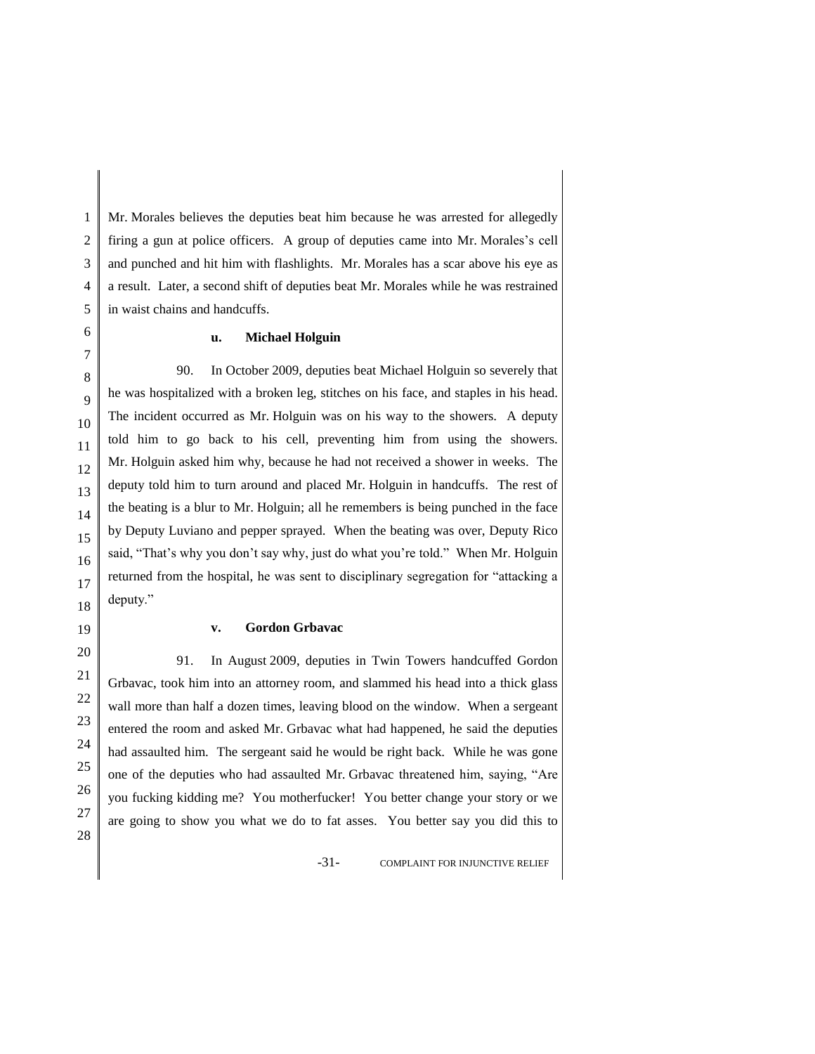Mr. Morales believes the deputies beat him because he was arrested for allegedly firing a gun at police officers. A group of deputies came into Mr. Morales's cell and punched and hit him with flashlights. Mr. Morales has a scar above his eye as a result. Later, a second shift of deputies beat Mr. Morales while he was restrained in waist chains and handcuffs.

## **u. Michael Holguin**

90. In October 2009, deputies beat Michael Holguin so severely that he was hospitalized with a broken leg, stitches on his face, and staples in his head. The incident occurred as Mr. Holguin was on his way to the showers. A deputy told him to go back to his cell, preventing him from using the showers. Mr. Holguin asked him why, because he had not received a shower in weeks. The deputy told him to turn around and placed Mr. Holguin in handcuffs. The rest of the beating is a blur to Mr. Holguin; all he remembers is being punched in the face by Deputy Luviano and pepper sprayed. When the beating was over, Deputy Rico said, "That's why you don't say why, just do what you're told." When Mr. Holguin returned from the hospital, he was sent to disciplinary segregation for "attacking a deputy."

## **v. Gordon Grbavac**

91. In August 2009, deputies in Twin Towers handcuffed Gordon Grbavac, took him into an attorney room, and slammed his head into a thick glass wall more than half a dozen times, leaving blood on the window. When a sergeant entered the room and asked Mr. Grbavac what had happened, he said the deputies had assaulted him. The sergeant said he would be right back. While he was gone one of the deputies who had assaulted Mr. Grbavac threatened him, saying, "Are you fucking kidding me? You motherfucker! You better change your story or we are going to show you what we do to fat asses. You better say you did this to

-31- COMPLAINT FOR INJUNCTIVE RELIEF

1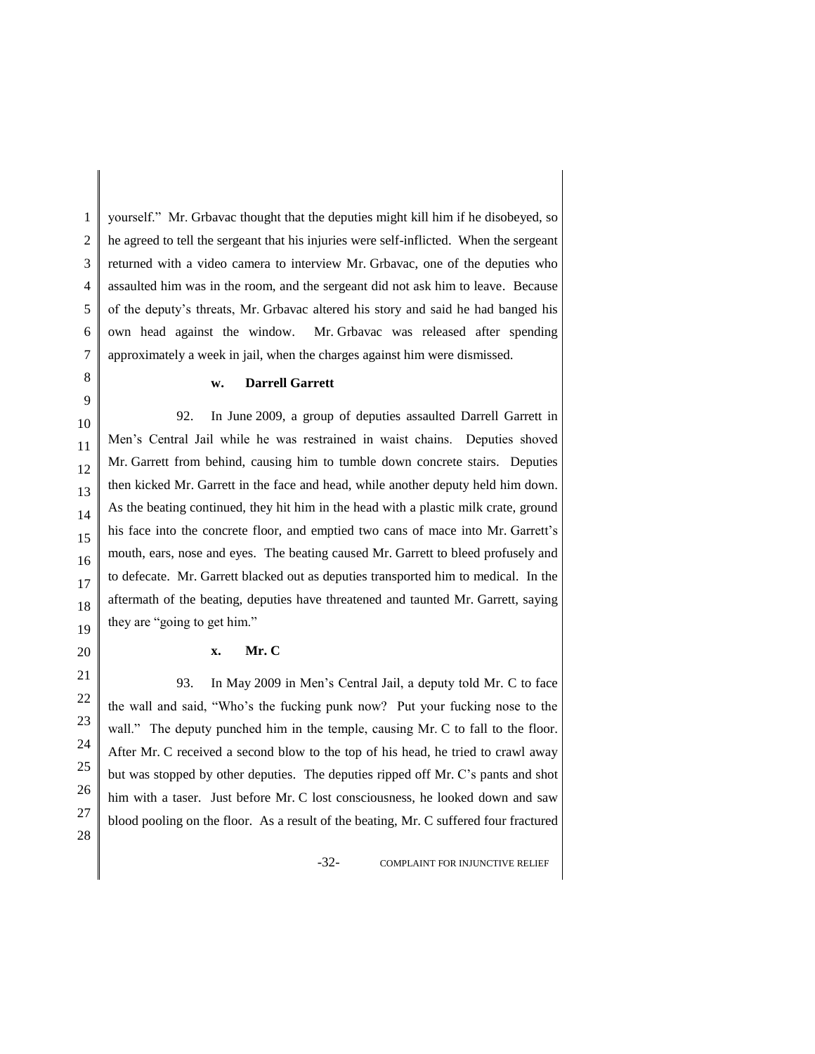1 2 3 4 5 6 7 yourself." Mr. Grbavac thought that the deputies might kill him if he disobeyed, so he agreed to tell the sergeant that his injuries were self-inflicted. When the sergeant returned with a video camera to interview Mr. Grbavac, one of the deputies who assaulted him was in the room, and the sergeant did not ask him to leave. Because of the deputy's threats, Mr. Grbavac altered his story and said he had banged his own head against the window. Mr. Grbavac was released after spending approximately a week in jail, when the charges against him were dismissed.

#### **w. Darrell Garrett**

16 92. In June 2009, a group of deputies assaulted Darrell Garrett in Men's Central Jail while he was restrained in waist chains. Deputies shoved Mr. Garrett from behind, causing him to tumble down concrete stairs. Deputies then kicked Mr. Garrett in the face and head, while another deputy held him down. As the beating continued, they hit him in the head with a plastic milk crate, ground his face into the concrete floor, and emptied two cans of mace into Mr. Garrett's mouth, ears, nose and eyes. The beating caused Mr. Garrett to bleed profusely and to defecate. Mr. Garrett blacked out as deputies transported him to medical. In the aftermath of the beating, deputies have threatened and taunted Mr. Garrett, saying they are "going to get him."

## **x. Mr. C**

93. In May 2009 in Men's Central Jail, a deputy told Mr. C to face the wall and said, "Who's the fucking punk now? Put your fucking nose to the wall." The deputy punched him in the temple, causing Mr. C to fall to the floor. After Mr. C received a second blow to the top of his head, he tried to crawl away but was stopped by other deputies. The deputies ripped off Mr. C's pants and shot him with a taser. Just before Mr. C lost consciousness, he looked down and saw blood pooling on the floor. As a result of the beating, Mr. C suffered four fractured

-32- COMPLAINT FOR INJUNCTIVE RELIEF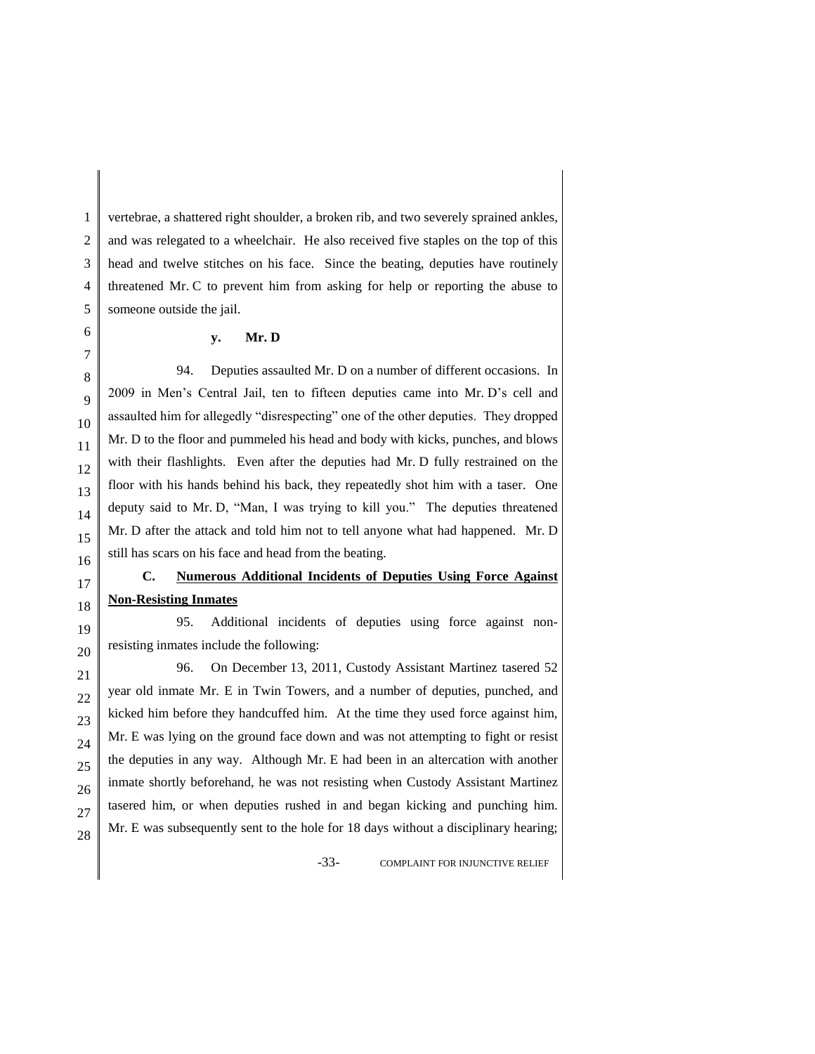1 2 vertebrae, a shattered right shoulder, a broken rib, and two severely sprained ankles, and was relegated to a wheelchair. He also received five staples on the top of this head and twelve stitches on his face. Since the beating, deputies have routinely threatened Mr. C to prevent him from asking for help or reporting the abuse to someone outside the jail.

## **y. Mr. D**

94. Deputies assaulted Mr. D on a number of different occasions. In 2009 in Men's Central Jail, ten to fifteen deputies came into Mr. D's cell and assaulted him for allegedly "disrespecting" one of the other deputies. They dropped Mr. D to the floor and pummeled his head and body with kicks, punches, and blows with their flashlights. Even after the deputies had Mr. D fully restrained on the floor with his hands behind his back, they repeatedly shot him with a taser. One deputy said to Mr. D, "Man, I was trying to kill you." The deputies threatened Mr. D after the attack and told him not to tell anyone what had happened. Mr. D still has scars on his face and head from the beating.

# **C. Numerous Additional Incidents of Deputies Using Force Against Non-Resisting Inmates**

95. Additional incidents of deputies using force against nonresisting inmates include the following:

96. On December 13, 2011, Custody Assistant Martinez tasered 52 year old inmate Mr. E in Twin Towers, and a number of deputies, punched, and kicked him before they handcuffed him. At the time they used force against him, Mr. E was lying on the ground face down and was not attempting to fight or resist the deputies in any way. Although Mr. E had been in an altercation with another inmate shortly beforehand, he was not resisting when Custody Assistant Martinez tasered him, or when deputies rushed in and began kicking and punching him. Mr. E was subsequently sent to the hole for 18 days without a disciplinary hearing;

-33- COMPLAINT FOR INJUNCTIVE RELIEF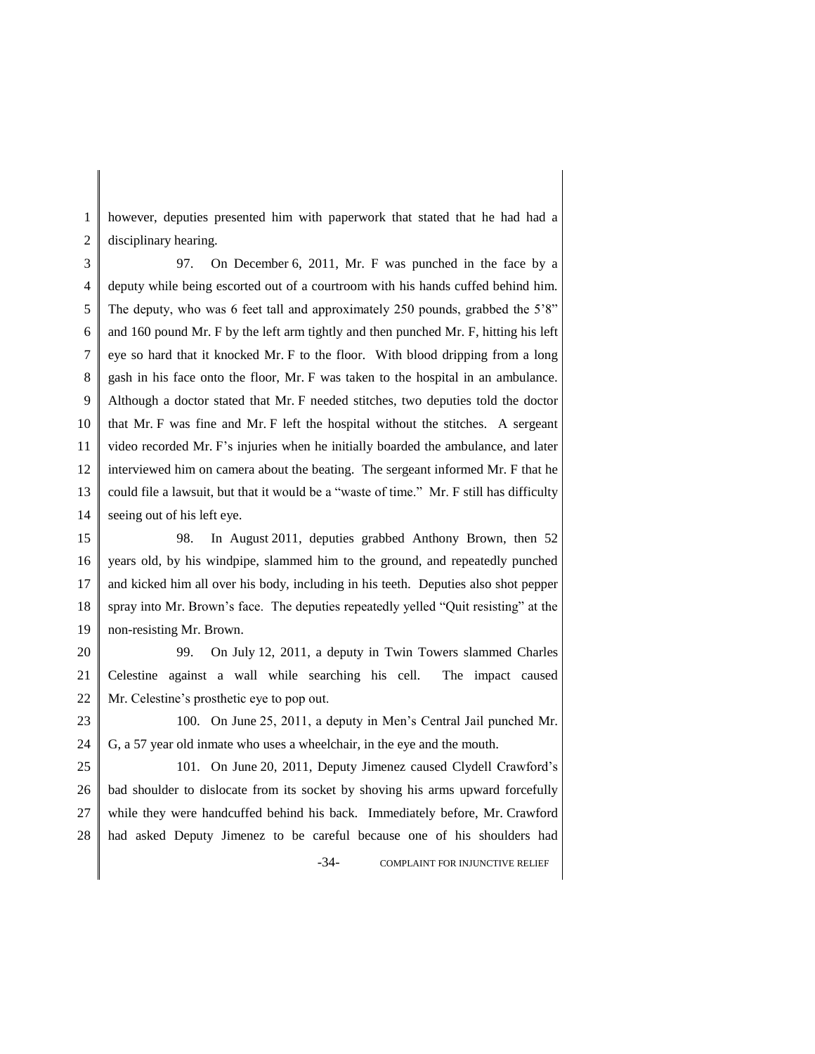1 2 however, deputies presented him with paperwork that stated that he had had a disciplinary hearing.

3 4 5 6 7 8 9 10 11 12 13 14 97. On December 6, 2011, Mr. F was punched in the face by a deputy while being escorted out of a courtroom with his hands cuffed behind him. The deputy, who was 6 feet tall and approximately 250 pounds, grabbed the 5'8" and 160 pound Mr. F by the left arm tightly and then punched Mr. F, hitting his left eye so hard that it knocked Mr. F to the floor. With blood dripping from a long gash in his face onto the floor, Mr. F was taken to the hospital in an ambulance. Although a doctor stated that Mr. F needed stitches, two deputies told the doctor that Mr. F was fine and Mr. F left the hospital without the stitches. A sergeant video recorded Mr. F's injuries when he initially boarded the ambulance, and later interviewed him on camera about the beating. The sergeant informed Mr. F that he could file a lawsuit, but that it would be a "waste of time." Mr. F still has difficulty seeing out of his left eye.

15 16 17 18 19 98. In August 2011, deputies grabbed Anthony Brown, then 52 years old, by his windpipe, slammed him to the ground, and repeatedly punched and kicked him all over his body, including in his teeth. Deputies also shot pepper spray into Mr. Brown's face. The deputies repeatedly yelled "Quit resisting" at the non-resisting Mr. Brown.

20 21 22 99. On July 12, 2011, a deputy in Twin Towers slammed Charles Celestine against a wall while searching his cell. The impact caused Mr. Celestine's prosthetic eye to pop out.

23 24 100. On June 25, 2011, a deputy in Men's Central Jail punched Mr. G, a 57 year old inmate who uses a wheelchair, in the eye and the mouth.

25 26 27 28 -34- COMPLAINT FOR INJUNCTIVE RELIEF 101. On June 20, 2011, Deputy Jimenez caused Clydell Crawford's bad shoulder to dislocate from its socket by shoving his arms upward forcefully while they were handcuffed behind his back. Immediately before, Mr. Crawford had asked Deputy Jimenez to be careful because one of his shoulders had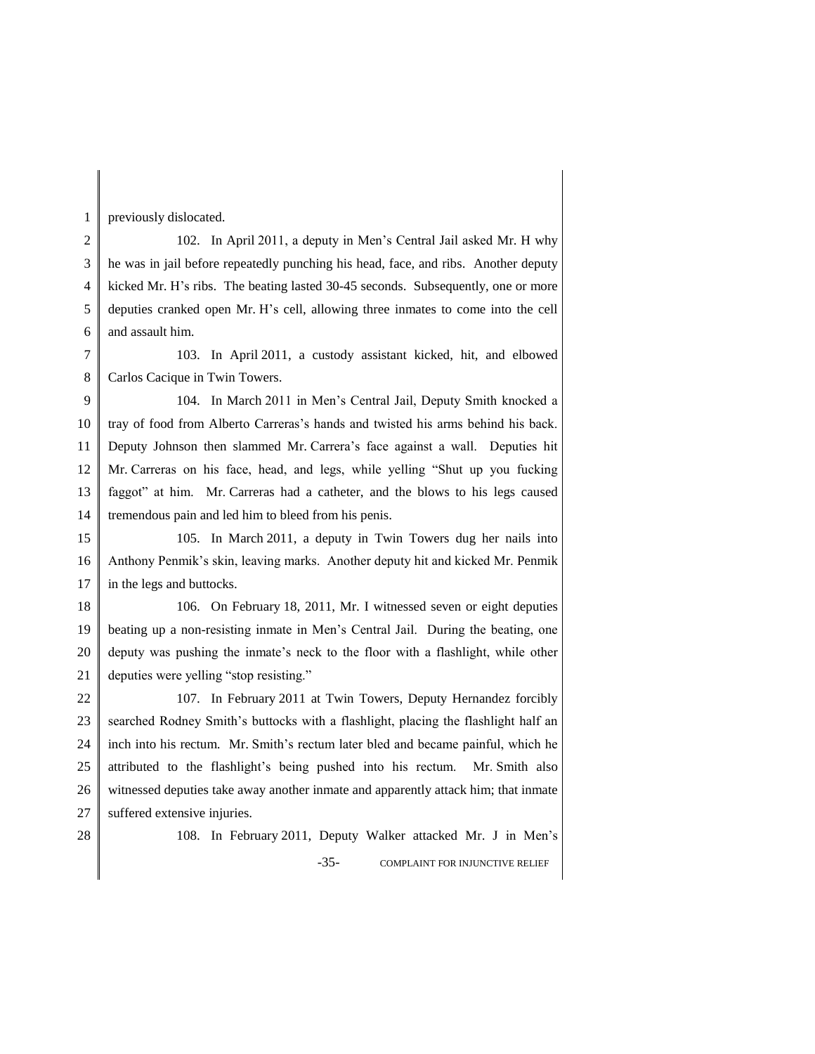1 previously dislocated.

2 3 4 5 6 102. In April 2011, a deputy in Men's Central Jail asked Mr. H why he was in jail before repeatedly punching his head, face, and ribs. Another deputy kicked Mr. H's ribs. The beating lasted 30-45 seconds. Subsequently, one or more deputies cranked open Mr. H's cell, allowing three inmates to come into the cell and assault him.

7 8 103. In April 2011, a custody assistant kicked, hit, and elbowed Carlos Cacique in Twin Towers.

9 10 11 12 13 14 104. In March 2011 in Men's Central Jail, Deputy Smith knocked a tray of food from Alberto Carreras's hands and twisted his arms behind his back. Deputy Johnson then slammed Mr. Carrera's face against a wall. Deputies hit Mr. Carreras on his face, head, and legs, while yelling "Shut up you fucking faggot" at him. Mr. Carreras had a catheter, and the blows to his legs caused tremendous pain and led him to bleed from his penis.

15 16 17 105. In March 2011, a deputy in Twin Towers dug her nails into Anthony Penmik's skin, leaving marks. Another deputy hit and kicked Mr. Penmik in the legs and buttocks.

18 19 20 21 106. On February 18, 2011, Mr. I witnessed seven or eight deputies beating up a non-resisting inmate in Men's Central Jail. During the beating, one deputy was pushing the inmate's neck to the floor with a flashlight, while other deputies were yelling "stop resisting."

22 23 24 25 26 27 107. In February 2011 at Twin Towers, Deputy Hernandez forcibly searched Rodney Smith's buttocks with a flashlight, placing the flashlight half an inch into his rectum. Mr. Smith's rectum later bled and became painful, which he attributed to the flashlight's being pushed into his rectum. Mr. Smith also witnessed deputies take away another inmate and apparently attack him; that inmate suffered extensive injuries.

28

-35- COMPLAINT FOR INJUNCTIVE RELIEF 108. In February 2011, Deputy Walker attacked Mr. J in Men's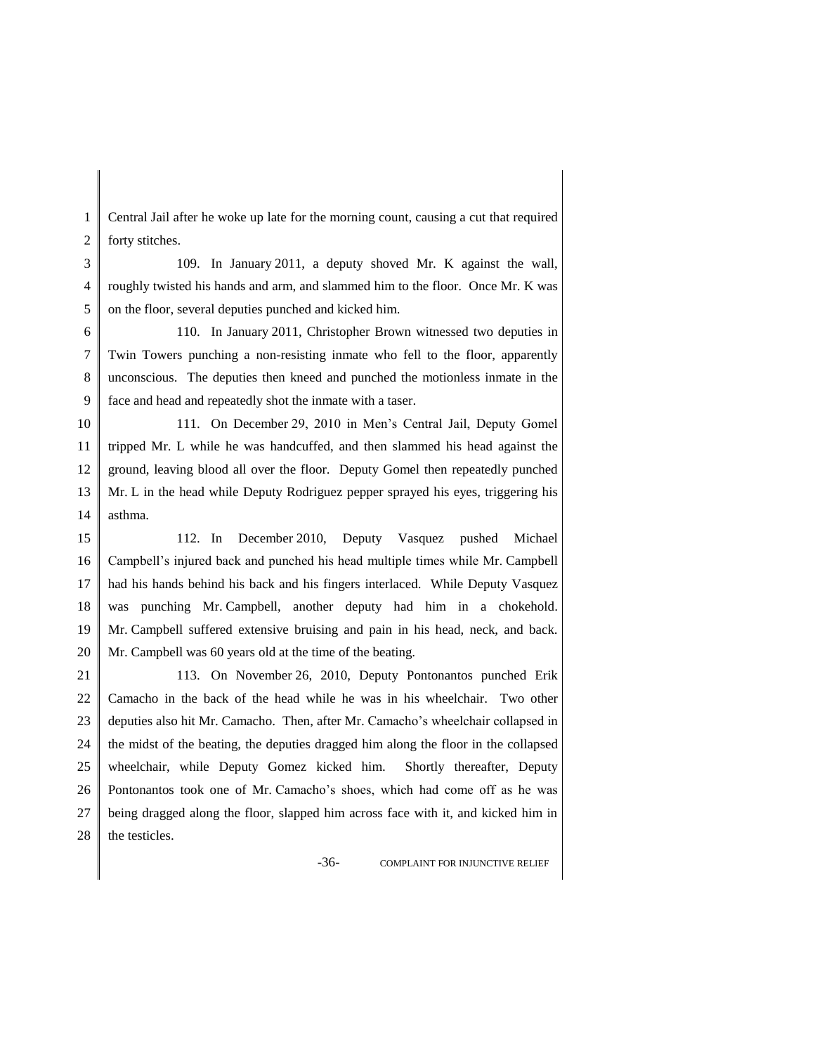1 2 Central Jail after he woke up late for the morning count, causing a cut that required forty stitches.

3 4 5 109. In January 2011, a deputy shoved Mr. K against the wall, roughly twisted his hands and arm, and slammed him to the floor. Once Mr. K was on the floor, several deputies punched and kicked him.

6 7 8 9 110. In January 2011, Christopher Brown witnessed two deputies in Twin Towers punching a non-resisting inmate who fell to the floor, apparently unconscious. The deputies then kneed and punched the motionless inmate in the face and head and repeatedly shot the inmate with a taser.

10 11 12 13 14 111. On December 29, 2010 in Men's Central Jail, Deputy Gomel tripped Mr. L while he was handcuffed, and then slammed his head against the ground, leaving blood all over the floor. Deputy Gomel then repeatedly punched Mr. L in the head while Deputy Rodriguez pepper sprayed his eyes, triggering his asthma.

15 16 17 18 19 20 112. In December 2010, Deputy Vasquez pushed Michael Campbell's injured back and punched his head multiple times while Mr. Campbell had his hands behind his back and his fingers interlaced. While Deputy Vasquez was punching Mr. Campbell, another deputy had him in a chokehold. Mr. Campbell suffered extensive bruising and pain in his head, neck, and back. Mr. Campbell was 60 years old at the time of the beating.

21 22 23 24 25 26 27 28 113. On November 26, 2010, Deputy Pontonantos punched Erik Camacho in the back of the head while he was in his wheelchair. Two other deputies also hit Mr. Camacho. Then, after Mr. Camacho's wheelchair collapsed in the midst of the beating, the deputies dragged him along the floor in the collapsed wheelchair, while Deputy Gomez kicked him. Shortly thereafter, Deputy Pontonantos took one of Mr. Camacho's shoes, which had come off as he was being dragged along the floor, slapped him across face with it, and kicked him in the testicles.

-36- COMPLAINT FOR INJUNCTIVE RELIEF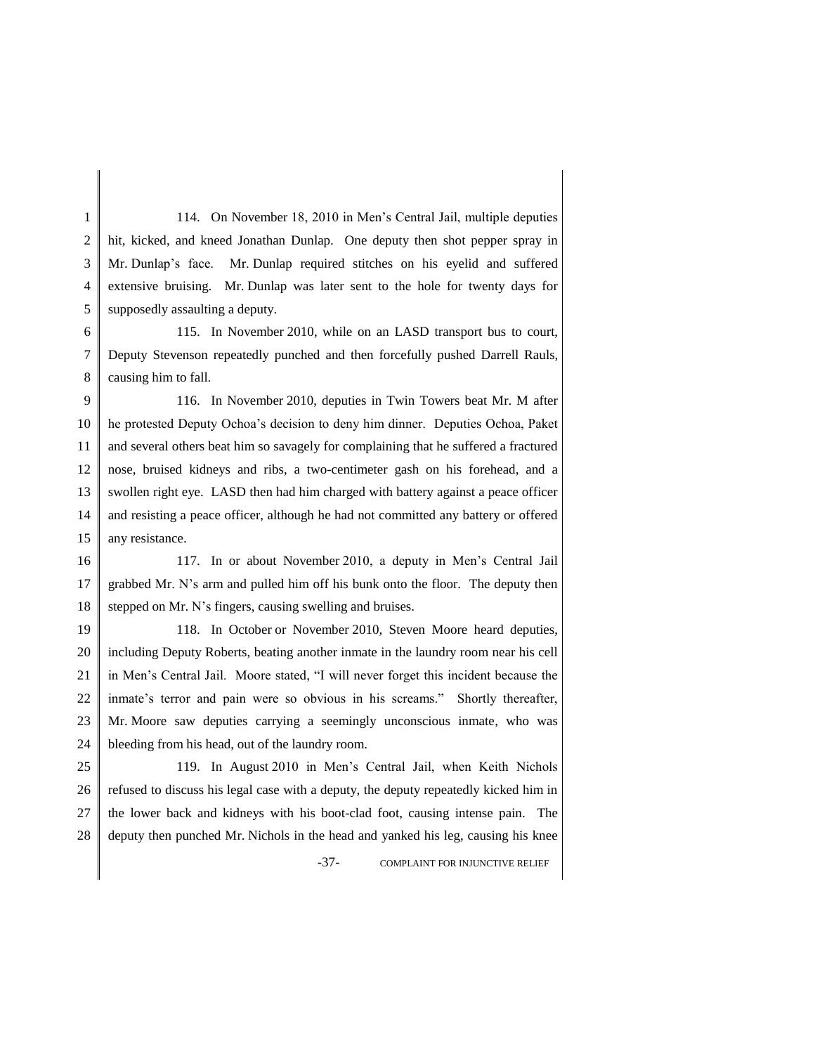1 2 3 4 5 114. On November 18, 2010 in Men's Central Jail, multiple deputies hit, kicked, and kneed Jonathan Dunlap. One deputy then shot pepper spray in Mr. Dunlap's face. Mr. Dunlap required stitches on his eyelid and suffered extensive bruising. Mr. Dunlap was later sent to the hole for twenty days for supposedly assaulting a deputy.

6 7 8 115. In November 2010, while on an LASD transport bus to court, Deputy Stevenson repeatedly punched and then forcefully pushed Darrell Rauls, causing him to fall.

9 10 11 12 13 14 15 116. In November 2010, deputies in Twin Towers beat Mr. M after he protested Deputy Ochoa's decision to deny him dinner. Deputies Ochoa, Paket and several others beat him so savagely for complaining that he suffered a fractured nose, bruised kidneys and ribs, a two-centimeter gash on his forehead, and a swollen right eye. LASD then had him charged with battery against a peace officer and resisting a peace officer, although he had not committed any battery or offered any resistance.

16 17 18 117. In or about November 2010, a deputy in Men's Central Jail grabbed Mr. N's arm and pulled him off his bunk onto the floor. The deputy then stepped on Mr. N's fingers, causing swelling and bruises.

19 20 21 22 23 24 118. In October or November 2010, Steven Moore heard deputies, including Deputy Roberts, beating another inmate in the laundry room near his cell in Men's Central Jail. Moore stated, "I will never forget this incident because the inmate's terror and pain were so obvious in his screams." Shortly thereafter, Mr. Moore saw deputies carrying a seemingly unconscious inmate, who was bleeding from his head, out of the laundry room.

25 26 27 28 119. In August 2010 in Men's Central Jail, when Keith Nichols refused to discuss his legal case with a deputy, the deputy repeatedly kicked him in the lower back and kidneys with his boot-clad foot, causing intense pain. The deputy then punched Mr. Nichols in the head and yanked his leg, causing his knee

-37- COMPLAINT FOR INJUNCTIVE RELIEF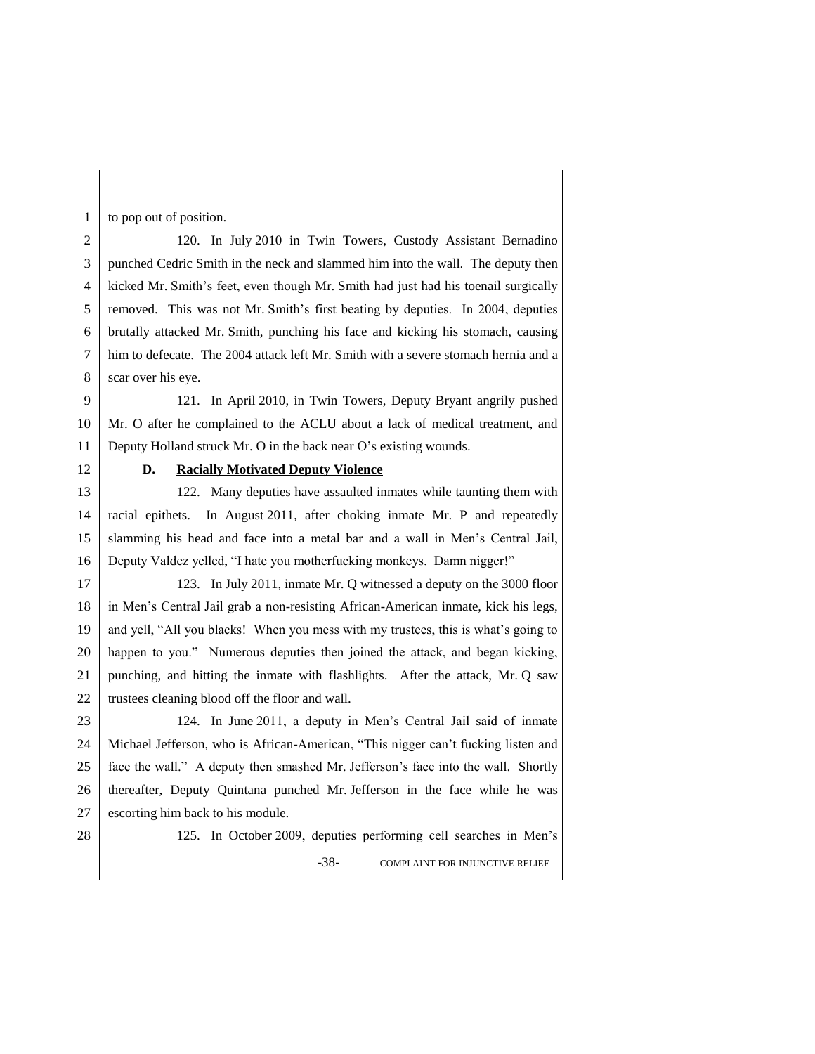to pop out of position.

2 3 4 5 6 7 8 120. In July 2010 in Twin Towers, Custody Assistant Bernadino punched Cedric Smith in the neck and slammed him into the wall. The deputy then kicked Mr. Smith's feet, even though Mr. Smith had just had his toenail surgically removed. This was not Mr. Smith's first beating by deputies. In 2004, deputies brutally attacked Mr. Smith, punching his face and kicking his stomach, causing him to defecate. The 2004 attack left Mr. Smith with a severe stomach hernia and a scar over his eye.

9 10 11 121. In April 2010, in Twin Towers, Deputy Bryant angrily pushed Mr. O after he complained to the ACLU about a lack of medical treatment, and Deputy Holland struck Mr. O in the back near O's existing wounds.

12

1

## **D. Racially Motivated Deputy Violence**

13 14 15 16 122. Many deputies have assaulted inmates while taunting them with racial epithets. In August 2011, after choking inmate Mr. P and repeatedly slamming his head and face into a metal bar and a wall in Men's Central Jail, Deputy Valdez yelled, "I hate you motherfucking monkeys. Damn nigger!"

17 18 19 20 21 22 123. In July 2011, inmate Mr. Q witnessed a deputy on the 3000 floor in Men's Central Jail grab a non-resisting African-American inmate, kick his legs, and yell, "All you blacks! When you mess with my trustees, this is what's going to happen to you." Numerous deputies then joined the attack, and began kicking, punching, and hitting the inmate with flashlights. After the attack, Mr. Q saw trustees cleaning blood off the floor and wall.

23 24 25 26 27 124. In June 2011, a deputy in Men's Central Jail said of inmate Michael Jefferson, who is African-American, "This nigger can't fucking listen and face the wall." A deputy then smashed Mr. Jefferson's face into the wall. Shortly thereafter, Deputy Quintana punched Mr. Jefferson in the face while he was escorting him back to his module.

28

-38- COMPLAINT FOR INJUNCTIVE RELIEF 125. In October 2009, deputies performing cell searches in Men's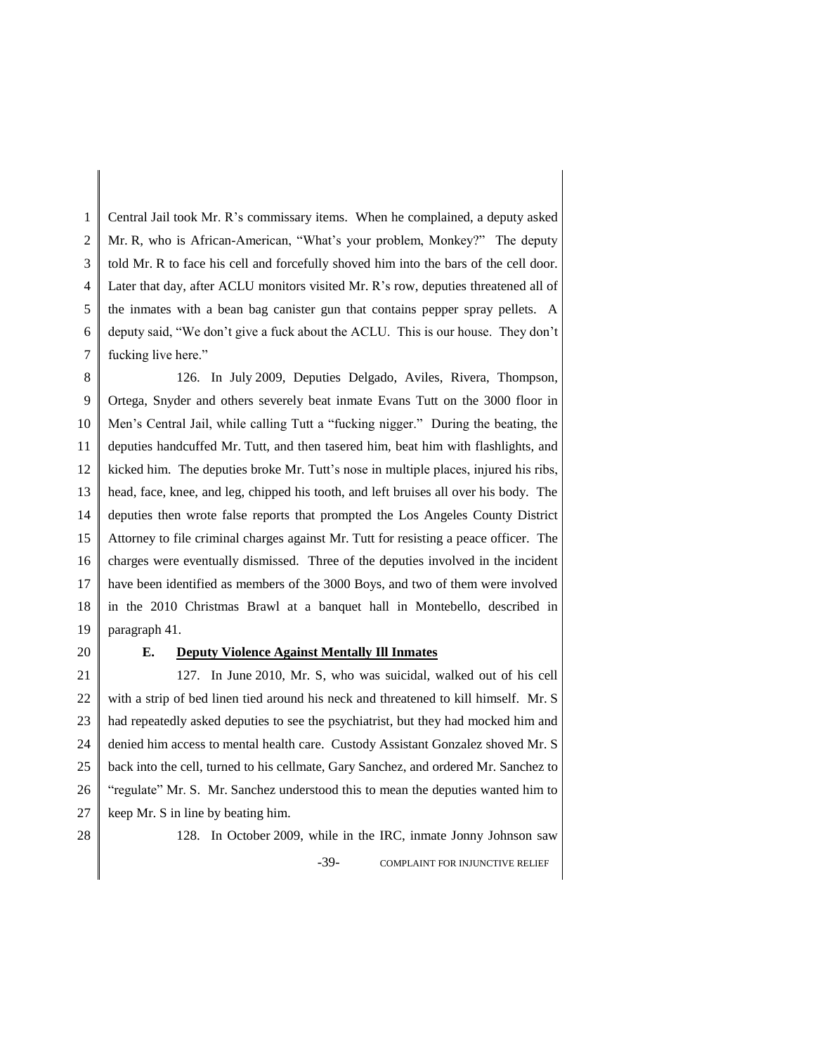1 2 3 4 5 6 7 Central Jail took Mr. R's commissary items. When he complained, a deputy asked Mr. R, who is African-American, "What's your problem, Monkey?" The deputy told Mr. R to face his cell and forcefully shoved him into the bars of the cell door. Later that day, after ACLU monitors visited Mr. R's row, deputies threatened all of the inmates with a bean bag canister gun that contains pepper spray pellets. A deputy said, "We don't give a fuck about the ACLU. This is our house. They don't fucking live here."

8 9 10 11 12 13 14 15 16 17 18 19 126. In July 2009, Deputies Delgado, Aviles, Rivera, Thompson, Ortega, Snyder and others severely beat inmate Evans Tutt on the 3000 floor in Men's Central Jail, while calling Tutt a "fucking nigger." During the beating, the deputies handcuffed Mr. Tutt, and then tasered him, beat him with flashlights, and kicked him. The deputies broke Mr. Tutt's nose in multiple places, injured his ribs, head, face, knee, and leg, chipped his tooth, and left bruises all over his body. The deputies then wrote false reports that prompted the Los Angeles County District Attorney to file criminal charges against Mr. Tutt for resisting a peace officer. The charges were eventually dismissed. Three of the deputies involved in the incident have been identified as members of the 3000 Boys, and two of them were involved in the 2010 Christmas Brawl at a banquet hall in Montebello, described in paragraph 41.

20

## **E. Deputy Violence Against Mentally Ill Inmates**

21 22 23 24 25 26 27 127. In June 2010, Mr. S, who was suicidal, walked out of his cell with a strip of bed linen tied around his neck and threatened to kill himself. Mr. S had repeatedly asked deputies to see the psychiatrist, but they had mocked him and denied him access to mental health care. Custody Assistant Gonzalez shoved Mr. S back into the cell, turned to his cellmate, Gary Sanchez, and ordered Mr. Sanchez to "regulate" Mr. S. Mr. Sanchez understood this to mean the deputies wanted him to keep Mr. S in line by beating him.

-39- COMPLAINT FOR INJUNCTIVE RELIEF 128. In October 2009, while in the IRC, inmate Jonny Johnson saw

<sup>28</sup>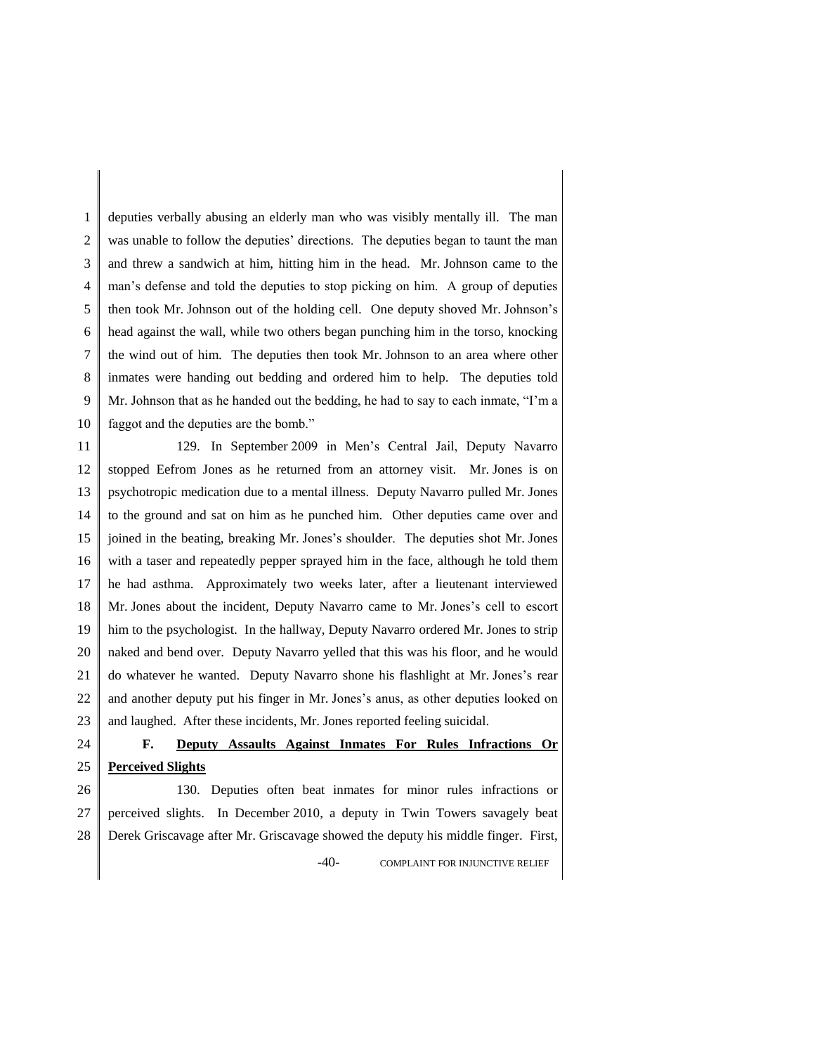1 2 3 4 5 6 7 8 9 10 deputies verbally abusing an elderly man who was visibly mentally ill. The man was unable to follow the deputies' directions. The deputies began to taunt the man and threw a sandwich at him, hitting him in the head. Mr. Johnson came to the man's defense and told the deputies to stop picking on him. A group of deputies then took Mr. Johnson out of the holding cell. One deputy shoved Mr. Johnson's head against the wall, while two others began punching him in the torso, knocking the wind out of him. The deputies then took Mr. Johnson to an area where other inmates were handing out bedding and ordered him to help. The deputies told Mr. Johnson that as he handed out the bedding, he had to say to each inmate, "I'm a faggot and the deputies are the bomb."

11 12 13 14 15 16 17 18 19 20 21 22 23 129. In September 2009 in Men's Central Jail, Deputy Navarro stopped Eefrom Jones as he returned from an attorney visit. Mr. Jones is on psychotropic medication due to a mental illness. Deputy Navarro pulled Mr. Jones to the ground and sat on him as he punched him. Other deputies came over and joined in the beating, breaking Mr. Jones's shoulder. The deputies shot Mr. Jones with a taser and repeatedly pepper sprayed him in the face, although he told them he had asthma. Approximately two weeks later, after a lieutenant interviewed Mr. Jones about the incident, Deputy Navarro came to Mr. Jones's cell to escort him to the psychologist. In the hallway, Deputy Navarro ordered Mr. Jones to strip naked and bend over. Deputy Navarro yelled that this was his floor, and he would do whatever he wanted. Deputy Navarro shone his flashlight at Mr. Jones's rear and another deputy put his finger in Mr. Jones's anus, as other deputies looked on and laughed. After these incidents, Mr. Jones reported feeling suicidal.

24 25 **F. Deputy Assaults Against Inmates For Rules Infractions Or Perceived Slights**

26 27 28 130. Deputies often beat inmates for minor rules infractions or perceived slights. In December 2010, a deputy in Twin Towers savagely beat Derek Griscavage after Mr. Griscavage showed the deputy his middle finger. First,

-40- COMPLAINT FOR INJUNCTIVE RELIEF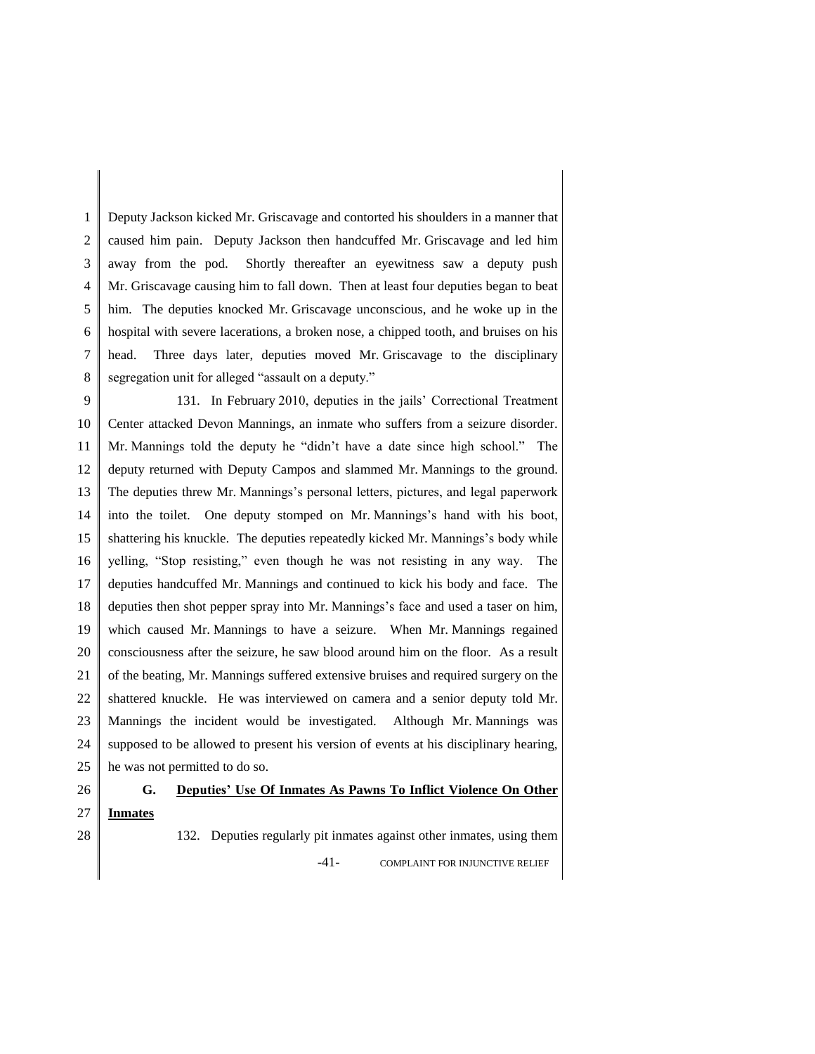1 2 3 4 5 6 7 8 Deputy Jackson kicked Mr. Griscavage and contorted his shoulders in a manner that caused him pain. Deputy Jackson then handcuffed Mr. Griscavage and led him away from the pod. Shortly thereafter an eyewitness saw a deputy push Mr. Griscavage causing him to fall down. Then at least four deputies began to beat him. The deputies knocked Mr. Griscavage unconscious, and he woke up in the hospital with severe lacerations, a broken nose, a chipped tooth, and bruises on his head. Three days later, deputies moved Mr. Griscavage to the disciplinary segregation unit for alleged "assault on a deputy."

9 10 11 12 13 14 15 16 17 18 19 20 21 22 23 24 25 131. In February 2010, deputies in the jails' Correctional Treatment Center attacked Devon Mannings, an inmate who suffers from a seizure disorder. Mr. Mannings told the deputy he "didn't have a date since high school." The deputy returned with Deputy Campos and slammed Mr. Mannings to the ground. The deputies threw Mr. Mannings's personal letters, pictures, and legal paperwork into the toilet. One deputy stomped on Mr. Mannings's hand with his boot, shattering his knuckle. The deputies repeatedly kicked Mr. Mannings's body while yelling, "Stop resisting," even though he was not resisting in any way. The deputies handcuffed Mr. Mannings and continued to kick his body and face. The deputies then shot pepper spray into Mr. Mannings's face and used a taser on him, which caused Mr. Mannings to have a seizure. When Mr. Mannings regained consciousness after the seizure, he saw blood around him on the floor. As a result of the beating, Mr. Mannings suffered extensive bruises and required surgery on the shattered knuckle. He was interviewed on camera and a senior deputy told Mr. Mannings the incident would be investigated. Although Mr. Mannings was supposed to be allowed to present his version of events at his disciplinary hearing, he was not permitted to do so.

#### 26 27 28 **G. Deputies' Use Of Inmates As Pawns To Inflict Violence On Other Inmates**

-41- COMPLAINT FOR INJUNCTIVE RELIEF 132. Deputies regularly pit inmates against other inmates, using them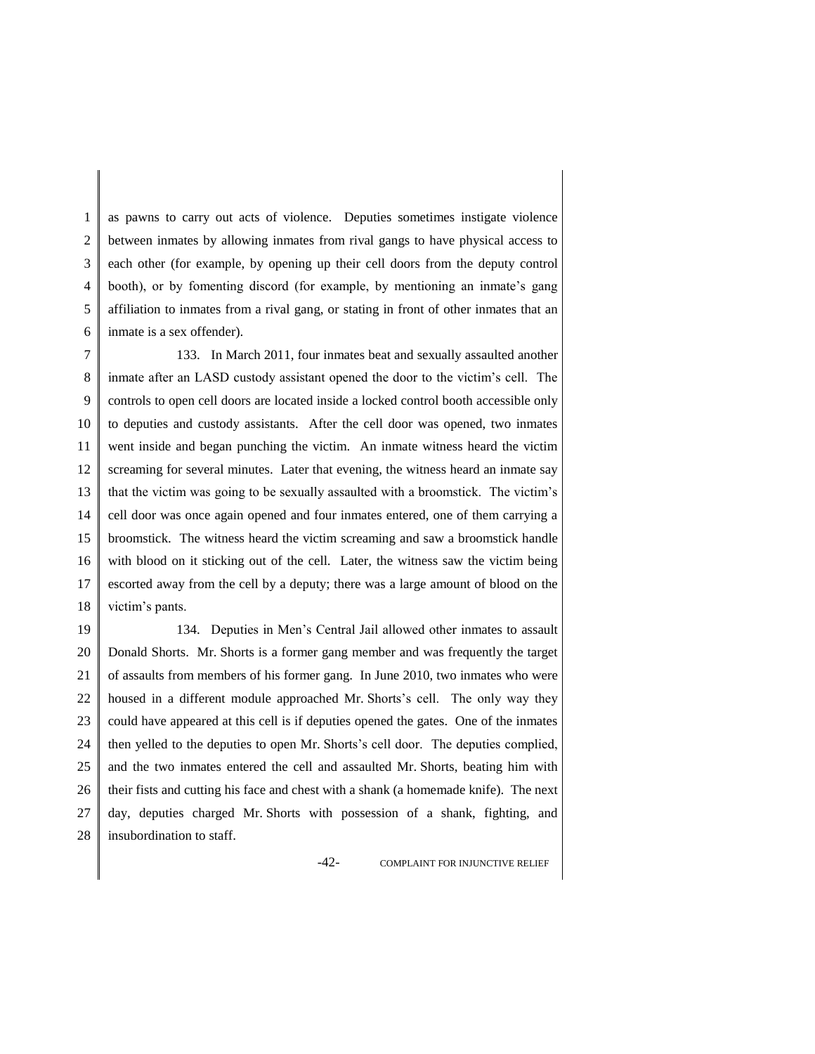1 2 3 4 5 6 as pawns to carry out acts of violence. Deputies sometimes instigate violence between inmates by allowing inmates from rival gangs to have physical access to each other (for example, by opening up their cell doors from the deputy control booth), or by fomenting discord (for example, by mentioning an inmate's gang affiliation to inmates from a rival gang, or stating in front of other inmates that an inmate is a sex offender).

7 8 9 10 11 12 13 14 15 16 17 18 133. In March 2011, four inmates beat and sexually assaulted another inmate after an LASD custody assistant opened the door to the victim's cell. The controls to open cell doors are located inside a locked control booth accessible only to deputies and custody assistants. After the cell door was opened, two inmates went inside and began punching the victim. An inmate witness heard the victim screaming for several minutes. Later that evening, the witness heard an inmate say that the victim was going to be sexually assaulted with a broomstick. The victim's cell door was once again opened and four inmates entered, one of them carrying a broomstick. The witness heard the victim screaming and saw a broomstick handle with blood on it sticking out of the cell. Later, the witness saw the victim being escorted away from the cell by a deputy; there was a large amount of blood on the victim's pants.

19 20 21 22 23 24 25 26 27 28 134. Deputies in Men's Central Jail allowed other inmates to assault Donald Shorts. Mr. Shorts is a former gang member and was frequently the target of assaults from members of his former gang. In June 2010, two inmates who were housed in a different module approached Mr. Shorts's cell. The only way they could have appeared at this cell is if deputies opened the gates. One of the inmates then yelled to the deputies to open Mr. Shorts's cell door. The deputies complied, and the two inmates entered the cell and assaulted Mr. Shorts, beating him with their fists and cutting his face and chest with a shank (a homemade knife). The next day, deputies charged Mr. Shorts with possession of a shank, fighting, and insubordination to staff.

-42- COMPLAINT FOR INJUNCTIVE RELIEF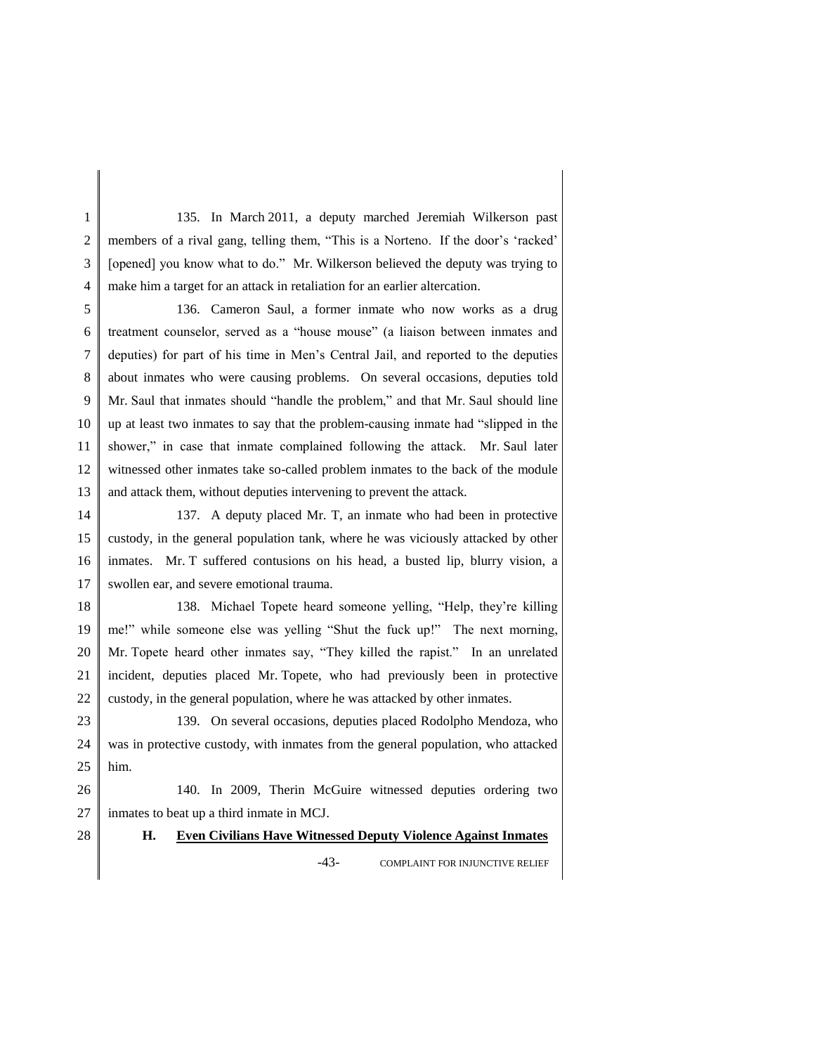1 2 3 4 135. In March 2011, a deputy marched Jeremiah Wilkerson past members of a rival gang, telling them, "This is a Norteno. If the door's 'racked' [opened] you know what to do." Mr. Wilkerson believed the deputy was trying to make him a target for an attack in retaliation for an earlier altercation.

5 6 7 8 9 10 11 12 13 136. Cameron Saul, a former inmate who now works as a drug treatment counselor, served as a "house mouse" (a liaison between inmates and deputies) for part of his time in Men's Central Jail, and reported to the deputies about inmates who were causing problems. On several occasions, deputies told Mr. Saul that inmates should "handle the problem," and that Mr. Saul should line up at least two inmates to say that the problem-causing inmate had "slipped in the shower," in case that inmate complained following the attack. Mr. Saul later witnessed other inmates take so-called problem inmates to the back of the module and attack them, without deputies intervening to prevent the attack.

14 15 16 17 137. A deputy placed Mr. T, an inmate who had been in protective custody, in the general population tank, where he was viciously attacked by other inmates. Mr. T suffered contusions on his head, a busted lip, blurry vision, a swollen ear, and severe emotional trauma.

18 19 20 21 22 138. Michael Topete heard someone yelling, "Help, they're killing me!" while someone else was yelling "Shut the fuck up!" The next morning, Mr. Topete heard other inmates say, "They killed the rapist." In an unrelated incident, deputies placed Mr. Topete, who had previously been in protective custody, in the general population, where he was attacked by other inmates.

23 24 25 139. On several occasions, deputies placed Rodolpho Mendoza, who was in protective custody, with inmates from the general population, who attacked him.

26 27 140. In 2009, Therin McGuire witnessed deputies ordering two inmates to beat up a third inmate in MCJ.

28

**H. Even Civilians Have Witnessed Deputy Violence Against Inmates**

-43- COMPLAINT FOR INJUNCTIVE RELIEF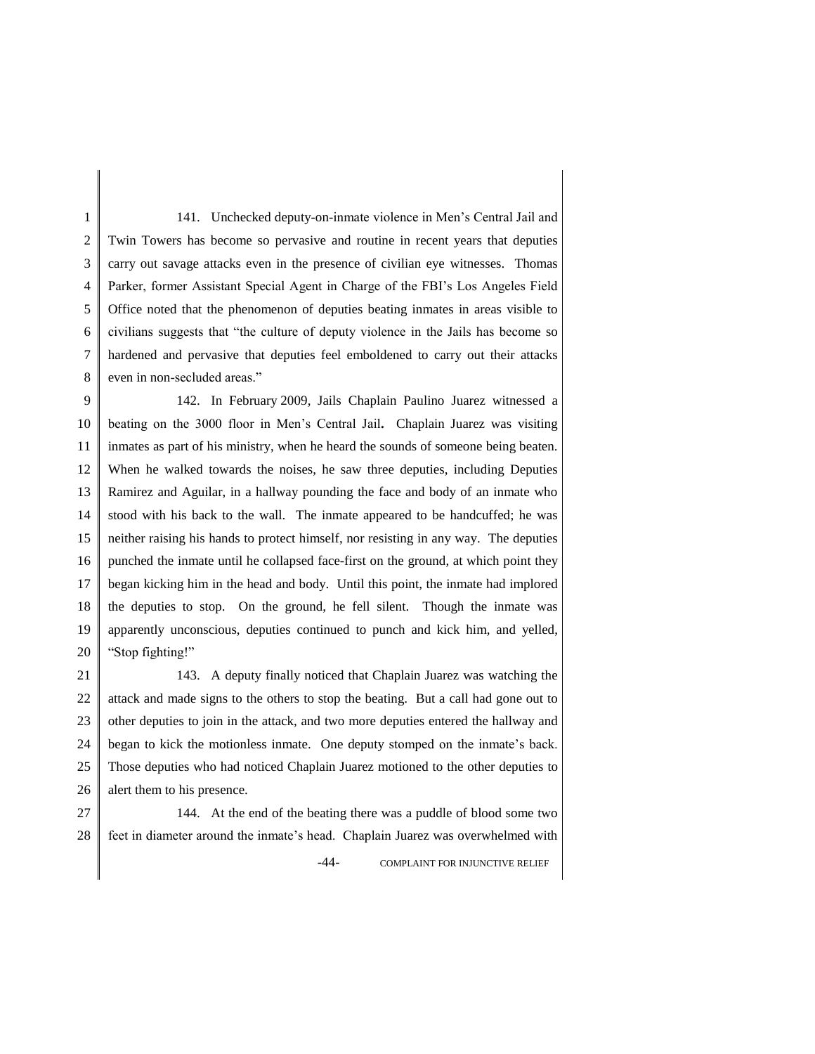1 2 3 4 5 6 7 8 141. Unchecked deputy-on-inmate violence in Men's Central Jail and Twin Towers has become so pervasive and routine in recent years that deputies carry out savage attacks even in the presence of civilian eye witnesses. Thomas Parker, former Assistant Special Agent in Charge of the FBI's Los Angeles Field Office noted that the phenomenon of deputies beating inmates in areas visible to civilians suggests that "the culture of deputy violence in the Jails has become so hardened and pervasive that deputies feel emboldened to carry out their attacks even in non-secluded areas."

9 10 11 12 13 14 15 16 17 18 19 20 142. In February 2009, Jails Chaplain Paulino Juarez witnessed a beating on the 3000 floor in Men's Central Jail**.** Chaplain Juarez was visiting inmates as part of his ministry, when he heard the sounds of someone being beaten. When he walked towards the noises, he saw three deputies, including Deputies Ramirez and Aguilar, in a hallway pounding the face and body of an inmate who stood with his back to the wall. The inmate appeared to be handcuffed; he was neither raising his hands to protect himself, nor resisting in any way. The deputies punched the inmate until he collapsed face-first on the ground, at which point they began kicking him in the head and body. Until this point, the inmate had implored the deputies to stop. On the ground, he fell silent. Though the inmate was apparently unconscious, deputies continued to punch and kick him, and yelled, "Stop fighting!"

21 22 23 24 25 26 143. A deputy finally noticed that Chaplain Juarez was watching the attack and made signs to the others to stop the beating. But a call had gone out to other deputies to join in the attack, and two more deputies entered the hallway and began to kick the motionless inmate. One deputy stomped on the inmate's back. Those deputies who had noticed Chaplain Juarez motioned to the other deputies to alert them to his presence.

27 28 144. At the end of the beating there was a puddle of blood some two feet in diameter around the inmate's head. Chaplain Juarez was overwhelmed with

-44- COMPLAINT FOR INJUNCTIVE RELIEF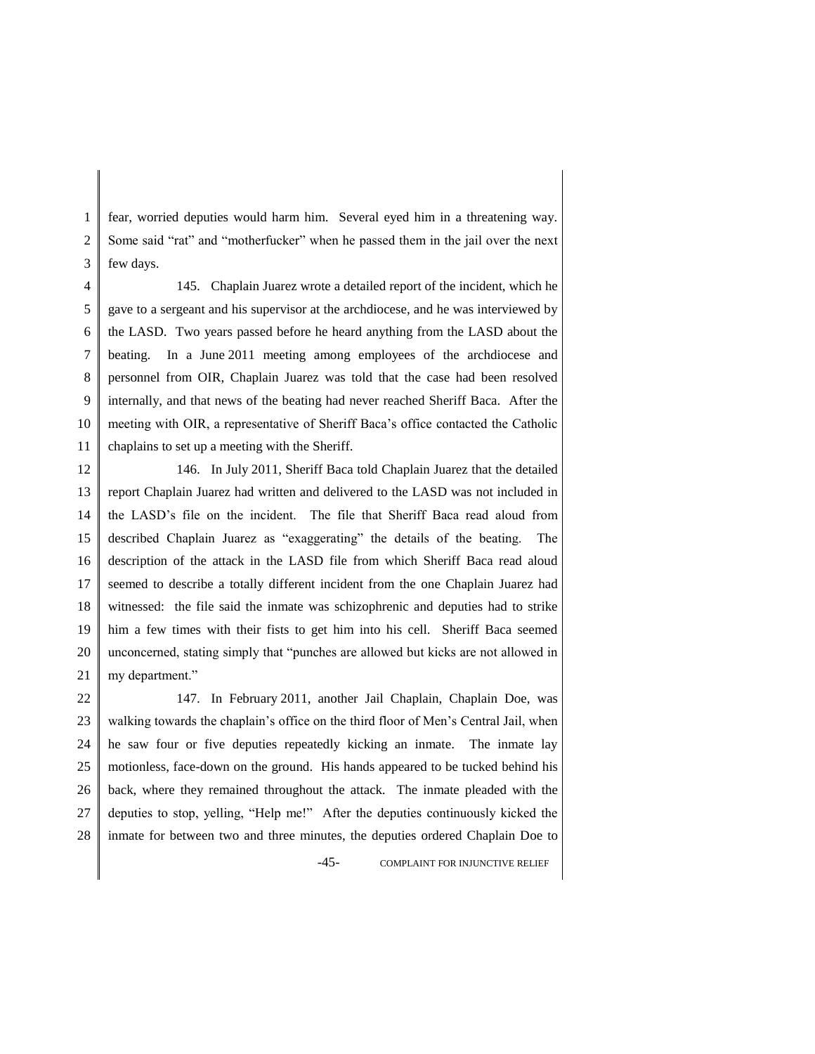1 2 3 fear, worried deputies would harm him. Several eyed him in a threatening way. Some said "rat" and "motherfucker" when he passed them in the jail over the next few days.

4 5 6 7 8 9 10 11 145. Chaplain Juarez wrote a detailed report of the incident, which he gave to a sergeant and his supervisor at the archdiocese, and he was interviewed by the LASD. Two years passed before he heard anything from the LASD about the beating. In a June 2011 meeting among employees of the archdiocese and personnel from OIR, Chaplain Juarez was told that the case had been resolved internally, and that news of the beating had never reached Sheriff Baca. After the meeting with OIR, a representative of Sheriff Baca's office contacted the Catholic chaplains to set up a meeting with the Sheriff.

12 13 14 15 16 17 18 19 20 21 146. In July 2011, Sheriff Baca told Chaplain Juarez that the detailed report Chaplain Juarez had written and delivered to the LASD was not included in the LASD's file on the incident. The file that Sheriff Baca read aloud from described Chaplain Juarez as "exaggerating" the details of the beating. The description of the attack in the LASD file from which Sheriff Baca read aloud seemed to describe a totally different incident from the one Chaplain Juarez had witnessed: the file said the inmate was schizophrenic and deputies had to strike him a few times with their fists to get him into his cell. Sheriff Baca seemed unconcerned, stating simply that "punches are allowed but kicks are not allowed in my department."

22 23 24 25 26 27 28 -45- COMPLAINT FOR INJUNCTIVE RELIEF 147. In February 2011, another Jail Chaplain, Chaplain Doe, was walking towards the chaplain's office on the third floor of Men's Central Jail, when he saw four or five deputies repeatedly kicking an inmate. The inmate lay motionless, face-down on the ground. His hands appeared to be tucked behind his back, where they remained throughout the attack. The inmate pleaded with the deputies to stop, yelling, "Help me!" After the deputies continuously kicked the inmate for between two and three minutes, the deputies ordered Chaplain Doe to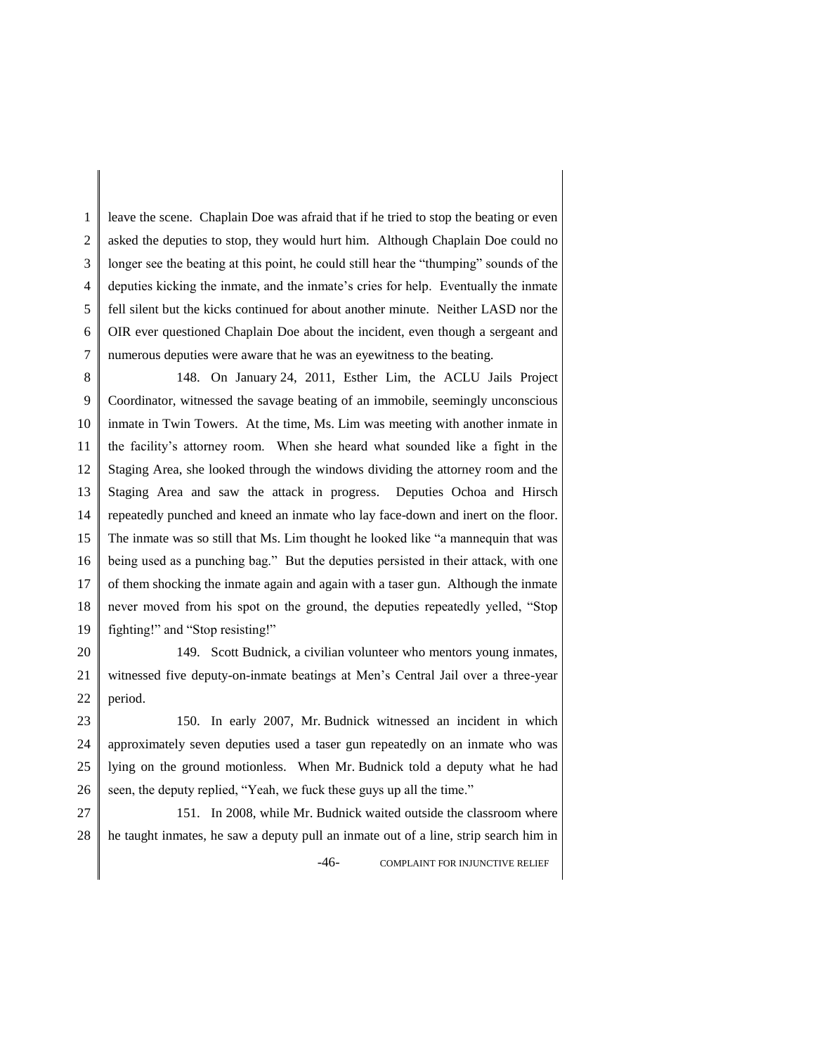1 2 3 4 5 6 7 leave the scene. Chaplain Doe was afraid that if he tried to stop the beating or even asked the deputies to stop, they would hurt him. Although Chaplain Doe could no longer see the beating at this point, he could still hear the "thumping" sounds of the deputies kicking the inmate, and the inmate's cries for help. Eventually the inmate fell silent but the kicks continued for about another minute. Neither LASD nor the OIR ever questioned Chaplain Doe about the incident, even though a sergeant and numerous deputies were aware that he was an eyewitness to the beating.

8 9 10 11 12 13 14 15 16 17 18 19 148. On January 24, 2011, Esther Lim, the ACLU Jails Project Coordinator, witnessed the savage beating of an immobile, seemingly unconscious inmate in Twin Towers. At the time, Ms. Lim was meeting with another inmate in the facility's attorney room. When she heard what sounded like a fight in the Staging Area, she looked through the windows dividing the attorney room and the Staging Area and saw the attack in progress. Deputies Ochoa and Hirsch repeatedly punched and kneed an inmate who lay face-down and inert on the floor. The inmate was so still that Ms. Lim thought he looked like "a mannequin that was being used as a punching bag." But the deputies persisted in their attack, with one of them shocking the inmate again and again with a taser gun. Although the inmate never moved from his spot on the ground, the deputies repeatedly yelled, "Stop fighting!" and "Stop resisting!"

20 21 22 149. Scott Budnick, a civilian volunteer who mentors young inmates, witnessed five deputy-on-inmate beatings at Men's Central Jail over a three-year period.

23 24 25 26 150. In early 2007, Mr. Budnick witnessed an incident in which approximately seven deputies used a taser gun repeatedly on an inmate who was lying on the ground motionless. When Mr. Budnick told a deputy what he had seen, the deputy replied, "Yeah, we fuck these guys up all the time."

27 28 -46- COMPLAINT FOR INJUNCTIVE RELIEF 151. In 2008, while Mr. Budnick waited outside the classroom where he taught inmates, he saw a deputy pull an inmate out of a line, strip search him in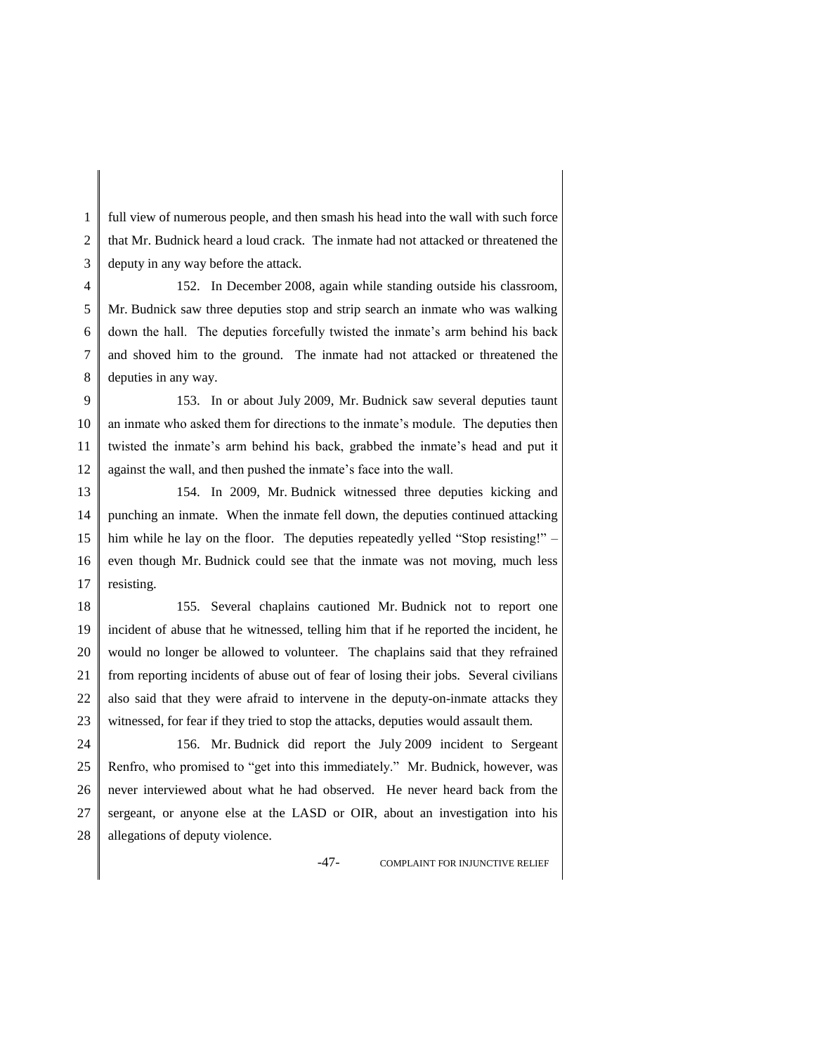1 2 3 full view of numerous people, and then smash his head into the wall with such force that Mr. Budnick heard a loud crack. The inmate had not attacked or threatened the deputy in any way before the attack.

4 5 6 7 8 152. In December 2008, again while standing outside his classroom, Mr. Budnick saw three deputies stop and strip search an inmate who was walking down the hall. The deputies forcefully twisted the inmate's arm behind his back and shoved him to the ground. The inmate had not attacked or threatened the deputies in any way.

9 10 11 12 153. In or about July 2009, Mr. Budnick saw several deputies taunt an inmate who asked them for directions to the inmate's module. The deputies then twisted the inmate's arm behind his back, grabbed the inmate's head and put it against the wall, and then pushed the inmate's face into the wall.

13 14 15 16 17 154. In 2009, Mr. Budnick witnessed three deputies kicking and punching an inmate. When the inmate fell down, the deputies continued attacking him while he lay on the floor. The deputies repeatedly yelled "Stop resisting!" – even though Mr. Budnick could see that the inmate was not moving, much less resisting.

18 19 20 21 22 23 155. Several chaplains cautioned Mr. Budnick not to report one incident of abuse that he witnessed, telling him that if he reported the incident, he would no longer be allowed to volunteer. The chaplains said that they refrained from reporting incidents of abuse out of fear of losing their jobs. Several civilians also said that they were afraid to intervene in the deputy-on-inmate attacks they witnessed, for fear if they tried to stop the attacks, deputies would assault them.

24 25 26 27 28 156. Mr. Budnick did report the July 2009 incident to Sergeant Renfro, who promised to "get into this immediately." Mr. Budnick, however, was never interviewed about what he had observed. He never heard back from the sergeant, or anyone else at the LASD or OIR, about an investigation into his allegations of deputy violence.

-47- COMPLAINT FOR INJUNCTIVE RELIEF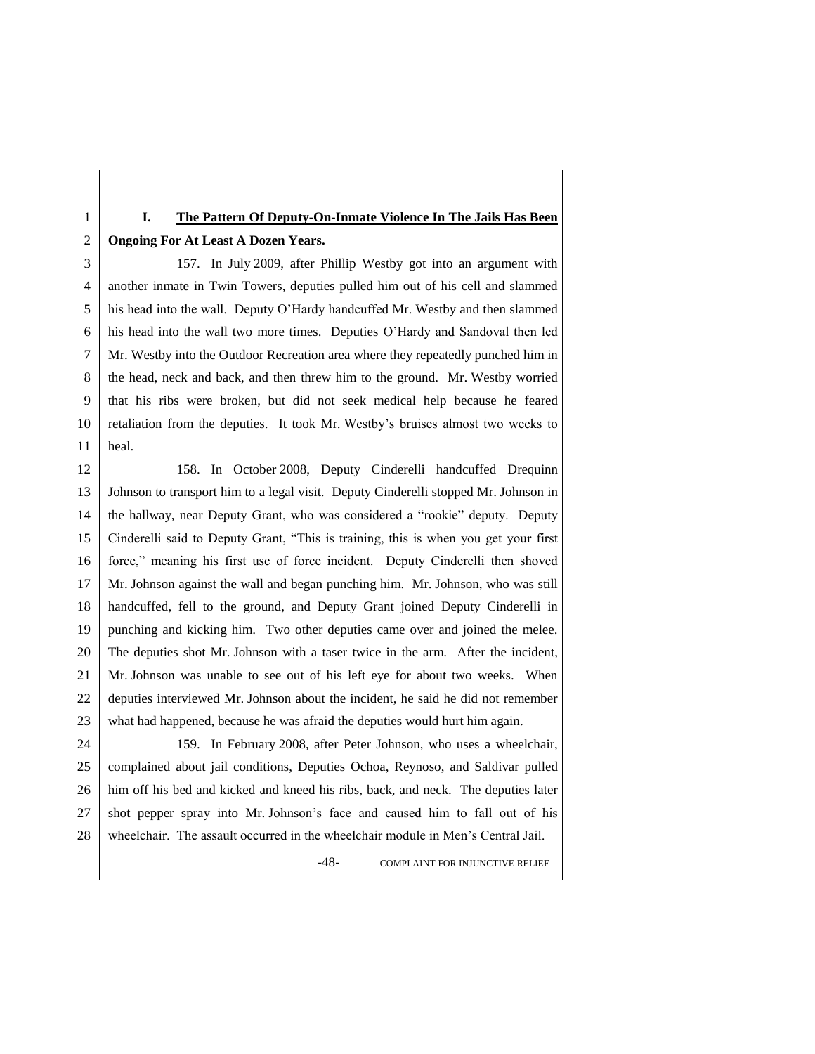# **I. The Pattern Of Deputy-On-Inmate Violence In The Jails Has Been Ongoing For At Least A Dozen Years.**

3 4 5 6 7 8 9 10 11 157. In July 2009, after Phillip Westby got into an argument with another inmate in Twin Towers, deputies pulled him out of his cell and slammed his head into the wall. Deputy O'Hardy handcuffed Mr. Westby and then slammed his head into the wall two more times. Deputies O'Hardy and Sandoval then led Mr. Westby into the Outdoor Recreation area where they repeatedly punched him in the head, neck and back, and then threw him to the ground. Mr. Westby worried that his ribs were broken, but did not seek medical help because he feared retaliation from the deputies. It took Mr. Westby's bruises almost two weeks to heal.

12 13 14 15 16 17 18 19 20 21 22 23 158. In October 2008, Deputy Cinderelli handcuffed Drequinn Johnson to transport him to a legal visit. Deputy Cinderelli stopped Mr. Johnson in the hallway, near Deputy Grant, who was considered a "rookie" deputy. Deputy Cinderelli said to Deputy Grant, "This is training, this is when you get your first force," meaning his first use of force incident. Deputy Cinderelli then shoved Mr. Johnson against the wall and began punching him. Mr. Johnson, who was still handcuffed, fell to the ground, and Deputy Grant joined Deputy Cinderelli in punching and kicking him. Two other deputies came over and joined the melee. The deputies shot Mr. Johnson with a taser twice in the arm. After the incident, Mr. Johnson was unable to see out of his left eye for about two weeks. When deputies interviewed Mr. Johnson about the incident, he said he did not remember what had happened, because he was afraid the deputies would hurt him again.

24 25 26 27 28 159. In February 2008, after Peter Johnson, who uses a wheelchair, complained about jail conditions, Deputies Ochoa, Reynoso, and Saldivar pulled him off his bed and kicked and kneed his ribs, back, and neck. The deputies later shot pepper spray into Mr. Johnson's face and caused him to fall out of his wheelchair. The assault occurred in the wheelchair module in Men's Central Jail.

-48- COMPLAINT FOR INJUNCTIVE RELIEF

1 2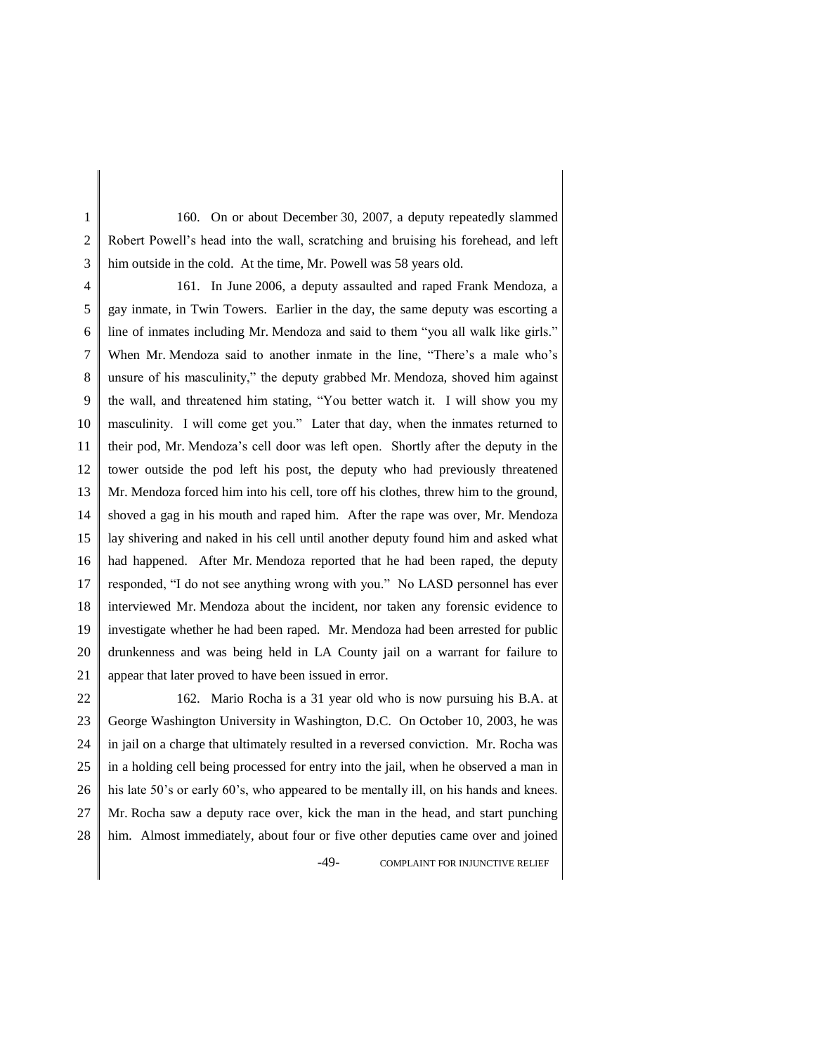1 2 3 160. On or about December 30, 2007, a deputy repeatedly slammed Robert Powell's head into the wall, scratching and bruising his forehead, and left him outside in the cold. At the time, Mr. Powell was 58 years old.

4 5 6 7 8 9 10 11 12 13 14 15 16 17 18 19 20 21 161. In June 2006, a deputy assaulted and raped Frank Mendoza, a gay inmate, in Twin Towers. Earlier in the day, the same deputy was escorting a line of inmates including Mr. Mendoza and said to them "you all walk like girls." When Mr. Mendoza said to another inmate in the line, "There's a male who's unsure of his masculinity," the deputy grabbed Mr. Mendoza, shoved him against the wall, and threatened him stating, "You better watch it. I will show you my masculinity. I will come get you." Later that day, when the inmates returned to their pod, Mr. Mendoza's cell door was left open. Shortly after the deputy in the tower outside the pod left his post, the deputy who had previously threatened Mr. Mendoza forced him into his cell, tore off his clothes, threw him to the ground, shoved a gag in his mouth and raped him. After the rape was over, Mr. Mendoza lay shivering and naked in his cell until another deputy found him and asked what had happened. After Mr. Mendoza reported that he had been raped, the deputy responded, "I do not see anything wrong with you." No LASD personnel has ever interviewed Mr. Mendoza about the incident, nor taken any forensic evidence to investigate whether he had been raped. Mr. Mendoza had been arrested for public drunkenness and was being held in LA County jail on a warrant for failure to appear that later proved to have been issued in error.

22 23 24 25 26 27 28 -49- COMPLAINT FOR INJUNCTIVE RELIEF 162. Mario Rocha is a 31 year old who is now pursuing his B.A. at George Washington University in Washington, D.C. On October 10, 2003, he was in jail on a charge that ultimately resulted in a reversed conviction. Mr. Rocha was in a holding cell being processed for entry into the jail, when he observed a man in his late 50's or early 60's, who appeared to be mentally ill, on his hands and knees. Mr. Rocha saw a deputy race over, kick the man in the head, and start punching him. Almost immediately, about four or five other deputies came over and joined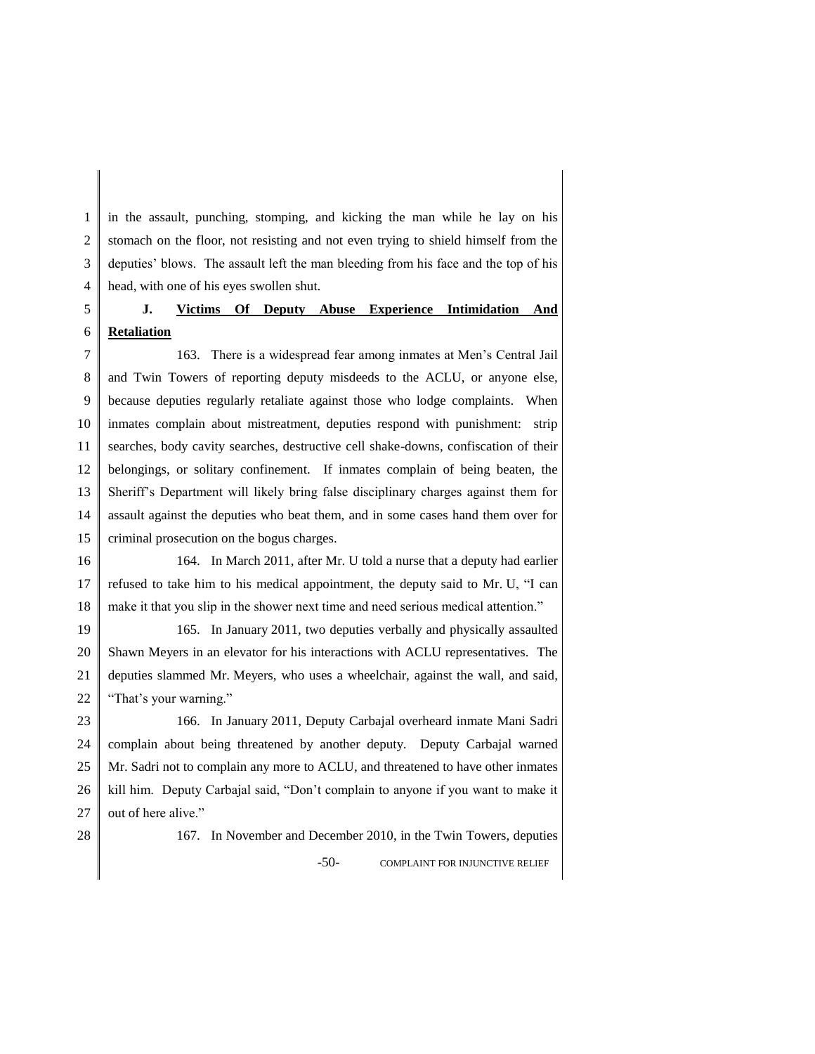1 2 3 4 in the assault, punching, stomping, and kicking the man while he lay on his stomach on the floor, not resisting and not even trying to shield himself from the deputies' blows. The assault left the man bleeding from his face and the top of his head, with one of his eyes swollen shut.

#### 5 6 **J. Victims Of Deputy Abuse Experience Intimidation And Retaliation**

7 8 9 10 11 12 13 14 15 163. There is a widespread fear among inmates at Men's Central Jail and Twin Towers of reporting deputy misdeeds to the ACLU, or anyone else, because deputies regularly retaliate against those who lodge complaints. When inmates complain about mistreatment, deputies respond with punishment: strip searches, body cavity searches, destructive cell shake-downs, confiscation of their belongings, or solitary confinement. If inmates complain of being beaten, the Sheriff's Department will likely bring false disciplinary charges against them for assault against the deputies who beat them, and in some cases hand them over for criminal prosecution on the bogus charges.

16 17 18 164. In March 2011, after Mr. U told a nurse that a deputy had earlier refused to take him to his medical appointment, the deputy said to Mr. U, "I can make it that you slip in the shower next time and need serious medical attention."

19 20 21 22 165. In January 2011, two deputies verbally and physically assaulted Shawn Meyers in an elevator for his interactions with ACLU representatives. The deputies slammed Mr. Meyers, who uses a wheelchair, against the wall, and said, "That's your warning."

23 24 25 26 27 166. In January 2011, Deputy Carbajal overheard inmate Mani Sadri complain about being threatened by another deputy. Deputy Carbajal warned Mr. Sadri not to complain any more to ACLU, and threatened to have other inmates kill him. Deputy Carbajal said, "Don't complain to anyone if you want to make it out of here alive."

28

-50- COMPLAINT FOR INJUNCTIVE RELIEF 167. In November and December 2010, in the Twin Towers, deputies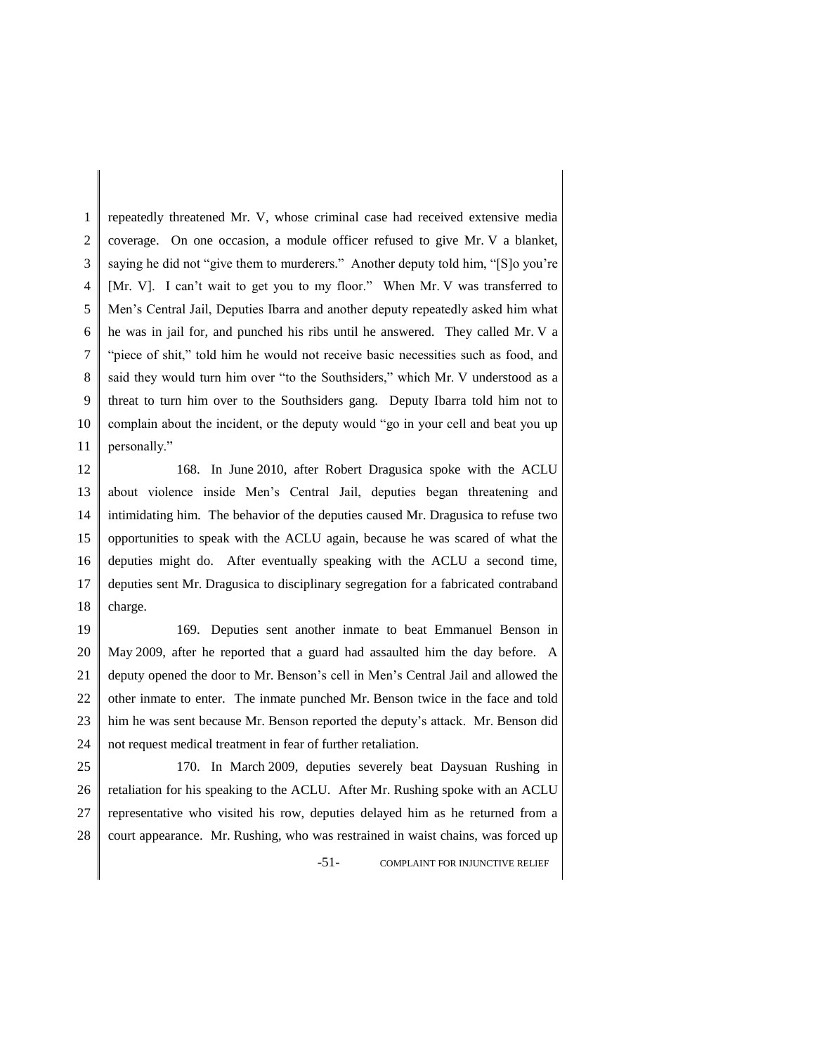1 2 3 4 5 6 7 8 9 10 11 repeatedly threatened Mr. V, whose criminal case had received extensive media coverage. On one occasion, a module officer refused to give Mr. V a blanket, saying he did not "give them to murderers." Another deputy told him, "[S]o you're [Mr. V]. I can't wait to get you to my floor." When Mr. V was transferred to Men's Central Jail, Deputies Ibarra and another deputy repeatedly asked him what he was in jail for, and punched his ribs until he answered. They called Mr. V a "piece of shit," told him he would not receive basic necessities such as food, and said they would turn him over "to the Southsiders," which Mr. V understood as a threat to turn him over to the Southsiders gang. Deputy Ibarra told him not to complain about the incident, or the deputy would "go in your cell and beat you up personally."

12 13 14 15 16 17 18 168. In June 2010, after Robert Dragusica spoke with the ACLU about violence inside Men's Central Jail, deputies began threatening and intimidating him. The behavior of the deputies caused Mr. Dragusica to refuse two opportunities to speak with the ACLU again, because he was scared of what the deputies might do. After eventually speaking with the ACLU a second time, deputies sent Mr. Dragusica to disciplinary segregation for a fabricated contraband charge.

19 20 21 22 23 24 169. Deputies sent another inmate to beat Emmanuel Benson in May 2009, after he reported that a guard had assaulted him the day before. A deputy opened the door to Mr. Benson's cell in Men's Central Jail and allowed the other inmate to enter. The inmate punched Mr. Benson twice in the face and told him he was sent because Mr. Benson reported the deputy's attack. Mr. Benson did not request medical treatment in fear of further retaliation.

25 26 27 28 170. In March 2009, deputies severely beat Daysuan Rushing in retaliation for his speaking to the ACLU. After Mr. Rushing spoke with an ACLU representative who visited his row, deputies delayed him as he returned from a court appearance. Mr. Rushing, who was restrained in waist chains, was forced up

-51- COMPLAINT FOR INJUNCTIVE RELIEF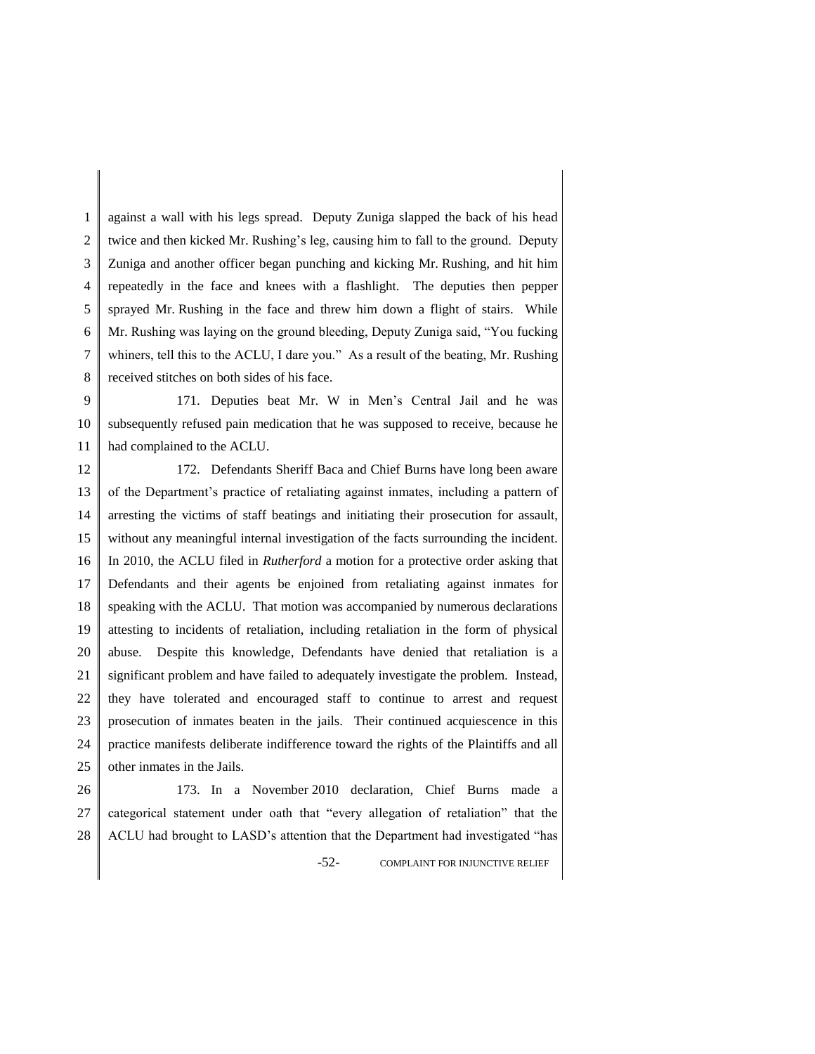1 2 3 4 5 6 7 8 against a wall with his legs spread. Deputy Zuniga slapped the back of his head twice and then kicked Mr. Rushing's leg, causing him to fall to the ground. Deputy Zuniga and another officer began punching and kicking Mr. Rushing, and hit him repeatedly in the face and knees with a flashlight. The deputies then pepper sprayed Mr. Rushing in the face and threw him down a flight of stairs. While Mr. Rushing was laying on the ground bleeding, Deputy Zuniga said, "You fucking whiners, tell this to the ACLU, I dare you." As a result of the beating, Mr. Rushing received stitches on both sides of his face.

9 10 11 171. Deputies beat Mr. W in Men's Central Jail and he was subsequently refused pain medication that he was supposed to receive, because he had complained to the ACLU.

12 13 14 15 16 17 18 19 20 21 22 23 24 25 172. Defendants Sheriff Baca and Chief Burns have long been aware of the Department's practice of retaliating against inmates, including a pattern of arresting the victims of staff beatings and initiating their prosecution for assault, without any meaningful internal investigation of the facts surrounding the incident. In 2010, the ACLU filed in *Rutherford* a motion for a protective order asking that Defendants and their agents be enjoined from retaliating against inmates for speaking with the ACLU. That motion was accompanied by numerous declarations attesting to incidents of retaliation, including retaliation in the form of physical abuse. Despite this knowledge, Defendants have denied that retaliation is a significant problem and have failed to adequately investigate the problem. Instead, they have tolerated and encouraged staff to continue to arrest and request prosecution of inmates beaten in the jails. Their continued acquiescence in this practice manifests deliberate indifference toward the rights of the Plaintiffs and all other inmates in the Jails.

26 27 28 -52- COMPLAINT FOR INJUNCTIVE RELIEF 173. In a November 2010 declaration, Chief Burns made a categorical statement under oath that "every allegation of retaliation" that the ACLU had brought to LASD's attention that the Department had investigated "has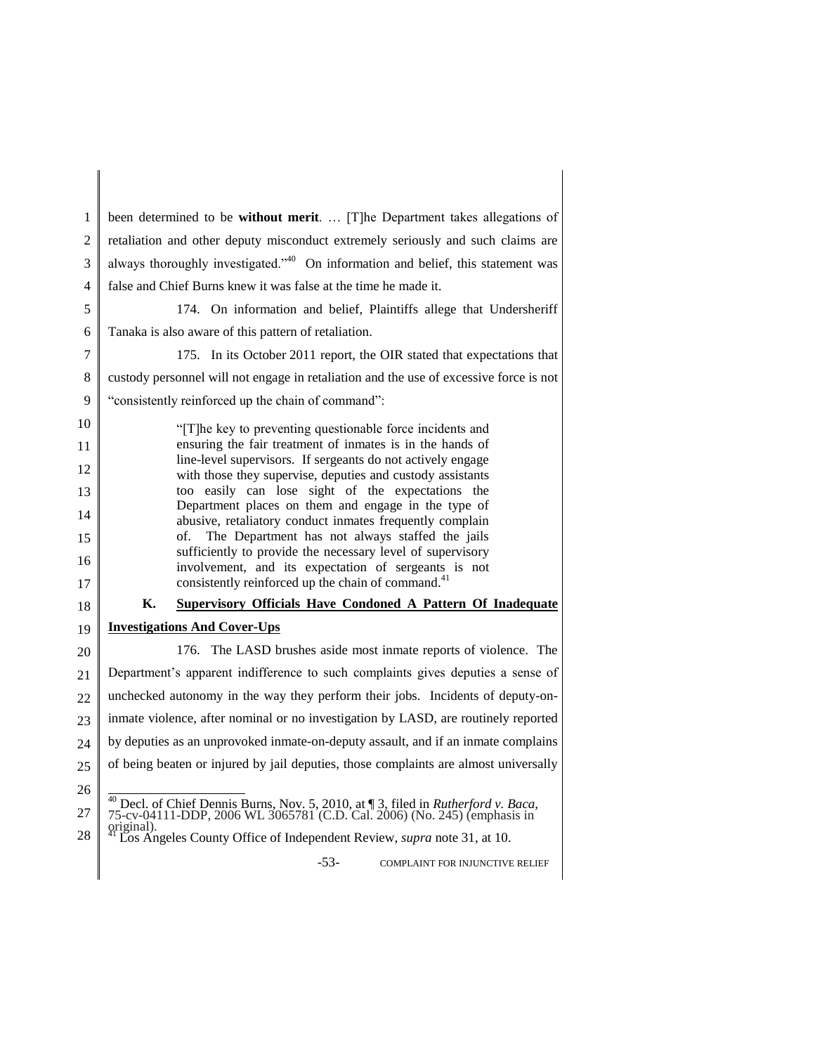1 2 3 4 5 6 7 8 9 10 11 12 13 14 15 16 17 18 19 20 21 22 23 24 25 26 27 28 -53- COMPLAINT FOR INJUNCTIVE RELIEF been determined to be **without merit**. … [T]he Department takes allegations of retaliation and other deputy misconduct extremely seriously and such claims are always thoroughly investigated.<sup> $40$ </sup> On information and belief, this statement was false and Chief Burns knew it was false at the time he made it. 174. On information and belief, Plaintiffs allege that Undersheriff Tanaka is also aware of this pattern of retaliation. 175. In its October 2011 report, the OIR stated that expectations that custody personnel will not engage in retaliation and the use of excessive force is not "consistently reinforced up the chain of command": "[T]he key to preventing questionable force incidents and ensuring the fair treatment of inmates is in the hands of line-level supervisors. If sergeants do not actively engage with those they supervise, deputies and custody assistants too easily can lose sight of the expectations the Department places on them and engage in the type of abusive, retaliatory conduct inmates frequently complain of. The Department has not always staffed the jails sufficiently to provide the necessary level of supervisory involvement, and its expectation of sergeants is not consistently reinforced up the chain of command.<sup>41</sup> **K. Supervisory Officials Have Condoned A Pattern Of Inadequate Investigations And Cover-Ups** 176. The LASD brushes aside most inmate reports of violence. The Department's apparent indifference to such complaints gives deputies a sense of unchecked autonomy in the way they perform their jobs. Incidents of deputy-oninmate violence, after nominal or no investigation by LASD, are routinely reported by deputies as an unprovoked inmate-on-deputy assault, and if an inmate complains of being beaten or injured by jail deputies, those complaints are almost universally <sup>40</sup> Decl. of Chief Dennis Burns, Nov. 5, 2010, at ¶ 3, filed in *Rutherford v. Baca*, 75-cv-04111-DDP, 2006 WL 3065781 (C.D. Cal. 2006) (No. 245) (emphasis in original). <sup>41</sup> Los Angeles County Office of Independent Review, *supra* note 31, at 10.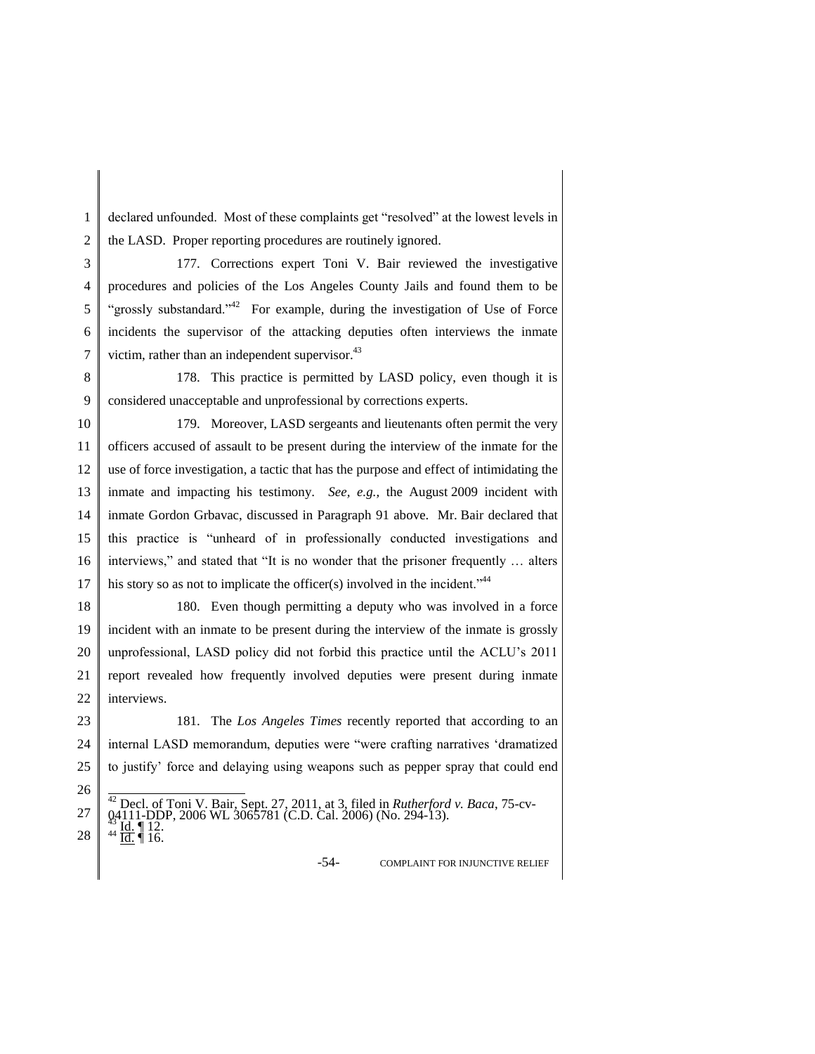1 2 declared unfounded. Most of these complaints get "resolved" at the lowest levels in the LASD. Proper reporting procedures are routinely ignored.

3 4 5 6 7 177. Corrections expert Toni V. Bair reviewed the investigative procedures and policies of the Los Angeles County Jails and found them to be "grossly substandard."<sup>42</sup> For example, during the investigation of Use of Force incidents the supervisor of the attacking deputies often interviews the inmate victim, rather than an independent supervisor.<sup>43</sup>

8 9 178. This practice is permitted by LASD policy, even though it is considered unacceptable and unprofessional by corrections experts.

10 11 12 13 14 15 16 17 179. Moreover, LASD sergeants and lieutenants often permit the very officers accused of assault to be present during the interview of the inmate for the use of force investigation, a tactic that has the purpose and effect of intimidating the inmate and impacting his testimony. *See, e.g.,* the August 2009 incident with inmate Gordon Grbavac, discussed in Paragraph 91 above. Mr. Bair declared that this practice is "unheard of in professionally conducted investigations and interviews," and stated that "It is no wonder that the prisoner frequently … alters his story so as not to implicate the officer(s) involved in the incident."<sup>44</sup>

18 19 20 21 22 180. Even though permitting a deputy who was involved in a force incident with an inmate to be present during the interview of the inmate is grossly unprofessional, LASD policy did not forbid this practice until the ACLU's 2011 report revealed how frequently involved deputies were present during inmate interviews.

23 24 25 181. The *Los Angeles Times* recently reported that according to an internal LASD memorandum, deputies were "were crafting narratives 'dramatized to justify' force and delaying using weapons such as pepper spray that could end

26

-54- COMPLAINT FOR INJUNCTIVE RELIEF

<sup>27</sup> 28 <sup>42</sup> Decl. of Toni V. Bair, Sept. 27, 2011, at 3, filed in *Rutherford v. Baca*, 75-cv-04111-DDP, 2006 WL 3065781 (C.D. Cal. 2006) (No. 294-13).<br><sup>43</sup> Id. ¶ 12.<br><sup>44</sup> <u>Id.</u> ¶ 16.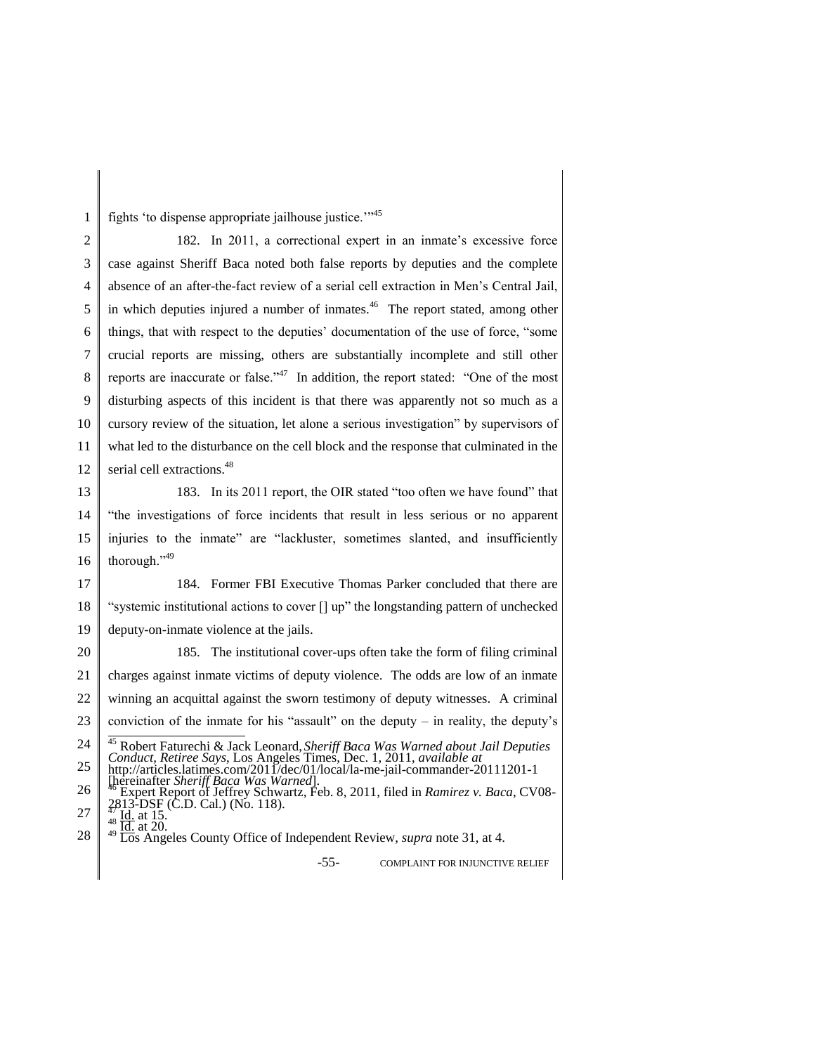1 fights 'to dispense appropriate jailhouse justice.'"<sup>45</sup>

2 3 4 5 6 7 8 9 10 11 12 182. In 2011, a correctional expert in an inmate's excessive force case against Sheriff Baca noted both false reports by deputies and the complete absence of an after-the-fact review of a serial cell extraction in Men's Central Jail, in which deputies injured a number of inmates.<sup>46</sup> The report stated, among other things, that with respect to the deputies' documentation of the use of force, "some crucial reports are missing, others are substantially incomplete and still other reports are inaccurate or false."<sup>47</sup> In addition*,* the report stated: "One of the most disturbing aspects of this incident is that there was apparently not so much as a cursory review of the situation, let alone a serious investigation" by supervisors of what led to the disturbance on the cell block and the response that culminated in the serial cell extractions.<sup>48</sup>

13 14 15 16 183. In its 2011 report, the OIR stated "too often we have found" that "the investigations of force incidents that result in less serious or no apparent injuries to the inmate" are "lackluster, sometimes slanted, and insufficiently thorough."<sup>49</sup>

17 18 19 184. Former FBI Executive Thomas Parker concluded that there are "systemic institutional actions to cover [] up" the longstanding pattern of unchecked deputy-on-inmate violence at the jails.

20 21 22 23 24 25 185. The institutional cover-ups often take the form of filing criminal charges against inmate victims of deputy violence. The odds are low of an inmate winning an acquittal against the sworn testimony of deputy witnesses. A criminal conviction of the inmate for his "assault" on the deputy – in reality, the deputy's <sup>45</sup> Robert Faturechi & Jack Leonard, *Sheriff Baca Was Warned about Jail Deputies Conduct, Retiree Says*, Los Angeles Times, Dec. 1, 2011, *available at* http://articles.latimes.com/2011/dec/01/local/la-me-jail-commander-20111201-1

-55- COMPLAINT FOR INJUNCTIVE RELIEF

<sup>26</sup> 27 Finance *Sheriff Baca Was Warned*].<br>
<sup>46</sup> Expert Report of Jeffrey Schwartz, Feb. 8, 2011, filed in *Ramirez v. Baca*, CV08-<br>
<sup>2813-DSF (C.D. Cal.) (No. 118).<br>
<sup>48</sup> Ld. at 15.<br>
<sup>48</sup> Ld. at 15.</sup>

<sup>28</sup> <sup>49</sup>  $\frac{1}{49}$   $\frac{1}{108}$  at 20.<br><sup>49</sup> Los Angeles County Office of Independent Review, *supra* note 31, at 4.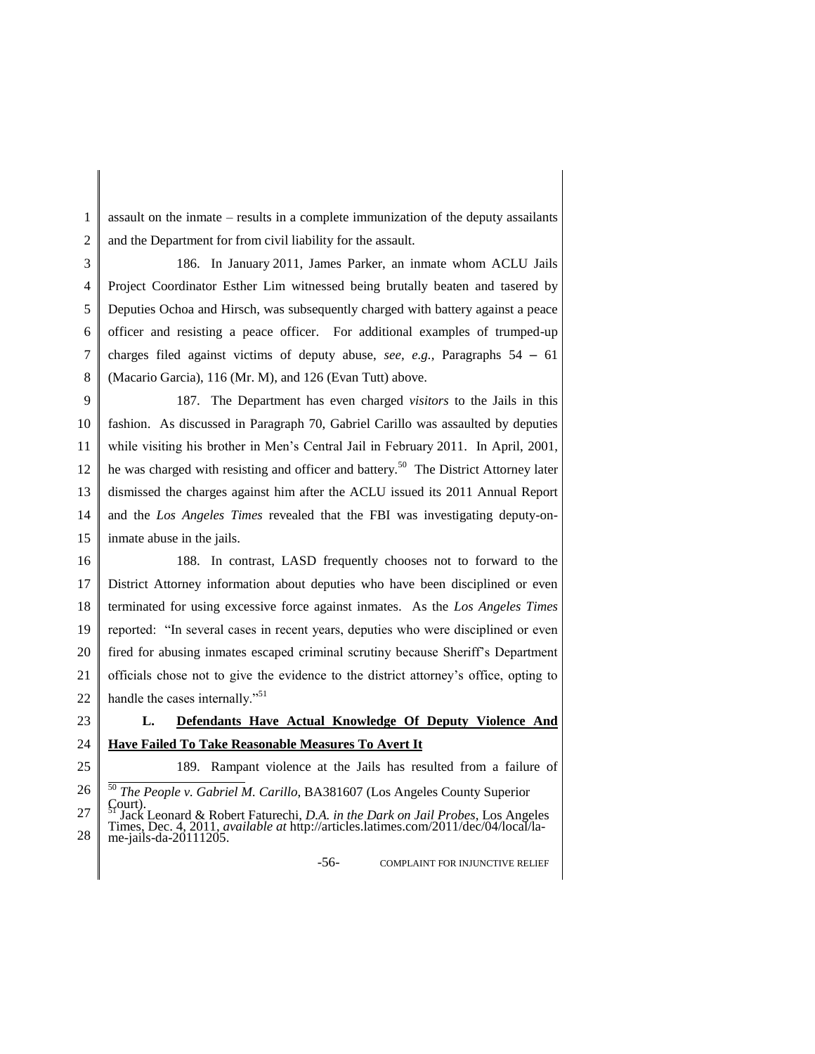1 2 assault on the inmate – results in a complete immunization of the deputy assailants and the Department for from civil liability for the assault.

3 4 5 6 7 8 186. In January 2011, James Parker, an inmate whom ACLU Jails Project Coordinator Esther Lim witnessed being brutally beaten and tasered by Deputies Ochoa and Hirsch, was subsequently charged with battery against a peace officer and resisting a peace officer. For additional examples of trumped-up charges filed against victims of deputy abuse, *see, e.g.,* Paragraphs 54 – 61 (Macario Garcia), 116 (Mr. M), and 126 (Evan Tutt) above.

9 10 11 12 13 14 15 187. The Department has even charged *visitors* to the Jails in this fashion. As discussed in Paragraph 70, Gabriel Carillo was assaulted by deputies while visiting his brother in Men's Central Jail in February 2011. In April, 2001, he was charged with resisting and officer and battery.<sup>50</sup> The District Attorney later dismissed the charges against him after the ACLU issued its 2011 Annual Report and the *Los Angeles Times* revealed that the FBI was investigating deputy-oninmate abuse in the jails.

16 17 18 19 20 21 22 188. In contrast, LASD frequently chooses not to forward to the District Attorney information about deputies who have been disciplined or even terminated for using excessive force against inmates. As the *Los Angeles Times* reported: "In several cases in recent years, deputies who were disciplined or even fired for abusing inmates escaped criminal scrutiny because Sheriff's Department officials chose not to give the evidence to the district attorney's office, opting to handle the cases internally."<sup>51</sup>

23

# **L. Defendants Have Actual Knowledge Of Deputy Violence And Have Failed To Take Reasonable Measures To Avert It**

24 25

## 189. Rampant violence at the Jails has resulted from a failure of

- 26 27 <sup>50</sup> *The People v. Gabriel M. Carillo*, BA381607 (Los Angeles County Superior
- 28 Jack Leonard & Robert Faturechi, *D.A. in the Dark on Jail Probes*, Los Angeles Times, Dec. 4, 2011, *available at* http://articles.latimes.com/2011/dec/04/local/lame-jails-da-20111205.

-56- COMPLAINT FOR INJUNCTIVE RELIEF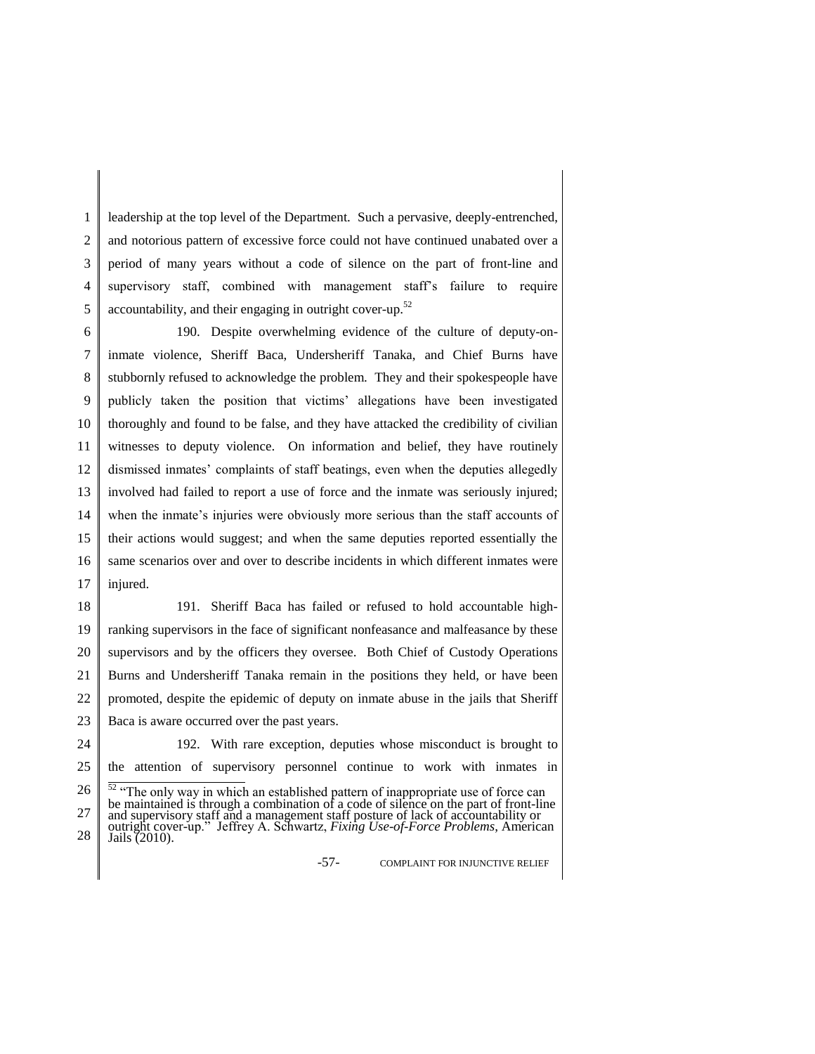1 2 3 4 5 leadership at the top level of the Department. Such a pervasive, deeply-entrenched, and notorious pattern of excessive force could not have continued unabated over a period of many years without a code of silence on the part of front-line and supervisory staff, combined with management staff's failure to require accountability, and their engaging in outright cover-up.<sup>52</sup>

6 7 8 9 10 11 12 13 14 15 16 17 190. Despite overwhelming evidence of the culture of deputy-oninmate violence, Sheriff Baca, Undersheriff Tanaka, and Chief Burns have stubbornly refused to acknowledge the problem. They and their spokespeople have publicly taken the position that victims' allegations have been investigated thoroughly and found to be false, and they have attacked the credibility of civilian witnesses to deputy violence. On information and belief, they have routinely dismissed inmates' complaints of staff beatings, even when the deputies allegedly involved had failed to report a use of force and the inmate was seriously injured; when the inmate's injuries were obviously more serious than the staff accounts of their actions would suggest; and when the same deputies reported essentially the same scenarios over and over to describe incidents in which different inmates were injured.

18 19 20 21 22 191. Sheriff Baca has failed or refused to hold accountable highranking supervisors in the face of significant nonfeasance and malfeasance by these supervisors and by the officers they oversee. Both Chief of Custody Operations Burns and Undersheriff Tanaka remain in the positions they held, or have been promoted, despite the epidemic of deputy on inmate abuse in the jails that Sheriff

- 23 Baca is aware occurred over the past years.
- 24

192. With rare exception, deputies whose misconduct is brought to

-57- COMPLAINT FOR INJUNCTIVE RELIEF

<sup>25</sup> the attention of supervisory personnel continue to work with inmates in

<sup>26</sup> 27 28 <sup>52</sup> "The only way in which an established pattern of inappropriate use of force can be maintained is through a combination of a code of silence on the part of front-line and supervisory staff and a management staff posture of lack of accountability or outright cover-up." Jeffrey A. Schwartz, *Fixing Use-of-Force Problems*, American Jails (2010).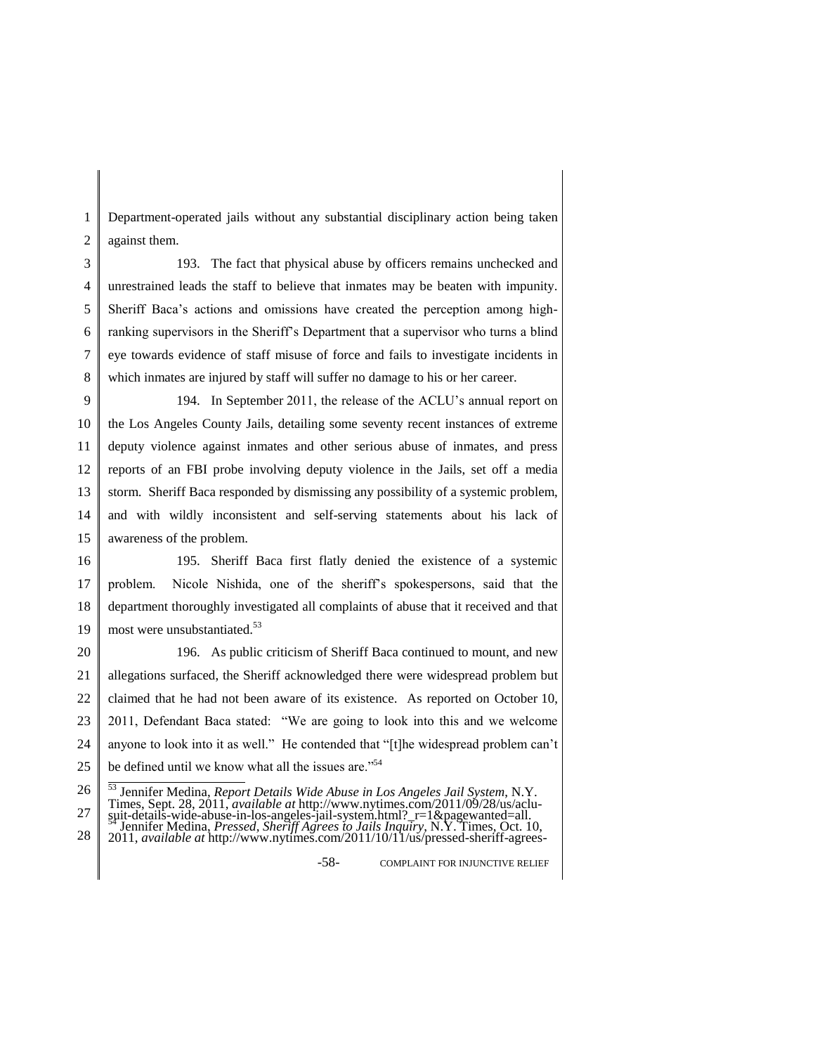1 2 Department-operated jails without any substantial disciplinary action being taken against them.

3 4 5 6 7 8 193. The fact that physical abuse by officers remains unchecked and unrestrained leads the staff to believe that inmates may be beaten with impunity. Sheriff Baca's actions and omissions have created the perception among highranking supervisors in the Sheriff's Department that a supervisor who turns a blind eye towards evidence of staff misuse of force and fails to investigate incidents in which inmates are injured by staff will suffer no damage to his or her career.

9 10 11 12 13 14 15 194. In September 2011, the release of the ACLU's annual report on the Los Angeles County Jails, detailing some seventy recent instances of extreme deputy violence against inmates and other serious abuse of inmates, and press reports of an FBI probe involving deputy violence in the Jails, set off a media storm. Sheriff Baca responded by dismissing any possibility of a systemic problem, and with wildly inconsistent and self-serving statements about his lack of awareness of the problem.

16 17 18 19 195. Sheriff Baca first flatly denied the existence of a systemic problem. Nicole Nishida, one of the sheriff's spokespersons, said that the department thoroughly investigated all complaints of abuse that it received and that most were unsubstantiated.<sup>53</sup>

20 21 22 23 24 25 196. As public criticism of Sheriff Baca continued to mount, and new allegations surfaced, the Sheriff acknowledged there were widespread problem but claimed that he had not been aware of its existence. As reported on October 10, 2011, Defendant Baca stated: "We are going to look into this and we welcome anyone to look into it as well." He contended that "[t]he widespread problem can't be defined until we know what all the issues are."<sup>54</sup>

-58- COMPLAINT FOR INJUNCTIVE RELIEF

<sup>26</sup> 27 <sup>53</sup> Jennifer Medina, *Report Details Wide Abuse in Los Angeles Jail System*, N.Y. Times, Sept. 28, 2011, *available at* http://www.nytimes.com/2011/09/28/us/aclusuit-details-wide-abuse-in-los-angeles-jail-system.html?\_r=1&pagewanted=all. <sup>54</sup> Jennifer Medina, *Pressed, Sheriff Agrees to Jails Inquiry*, N.Y. Times, Oct. 10,

<sup>28</sup> 2011, *available at* http://www.nytimes.com/2011/10/11/us/pressed-sheriff-agrees-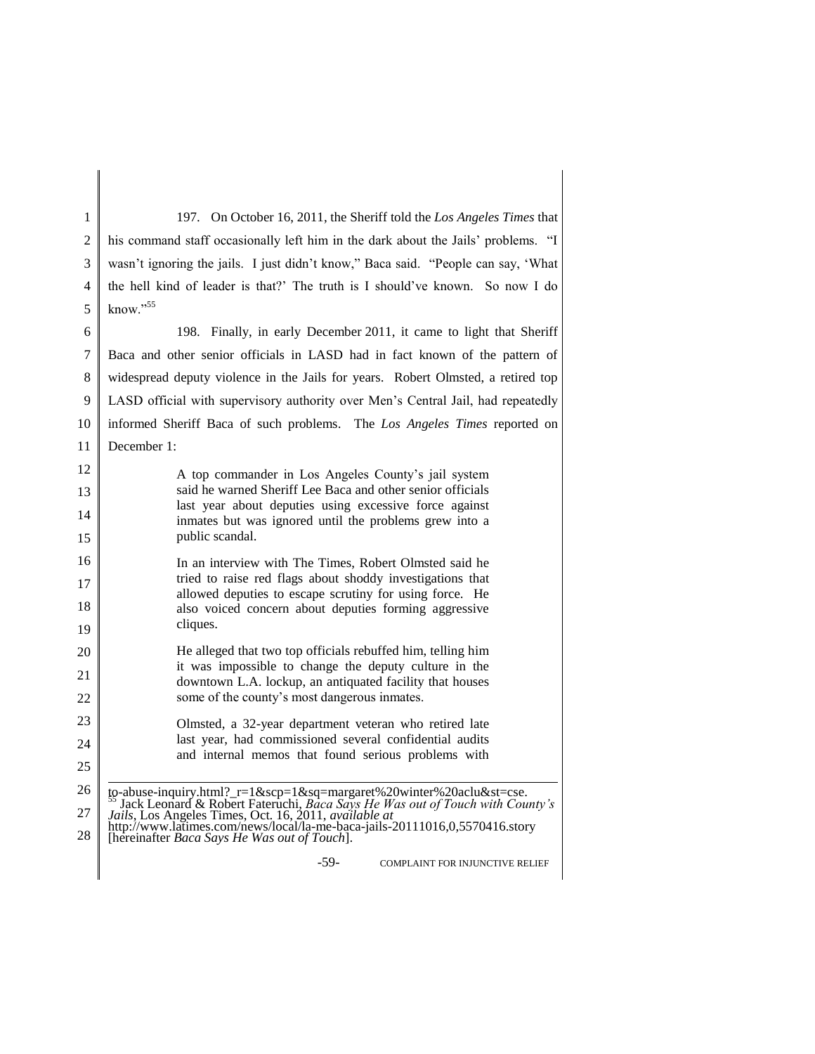1 2 3 4 5 6 7 197. On October 16, 2011, the Sheriff told the *Los Angeles Times* that his command staff occasionally left him in the dark about the Jails' problems. "I wasn't ignoring the jails. I just didn't know," Baca said. "People can say, 'What the hell kind of leader is that?' The truth is I should've known. So now I do know."<sup>55</sup> 198. Finally, in early December 2011, it came to light that Sheriff Baca and other senior officials in LASD had in fact known of the pattern of

8 9 10 11 widespread deputy violence in the Jails for years. Robert Olmsted, a retired top LASD official with supervisory authority over Men's Central Jail, had repeatedly informed Sheriff Baca of such problems. The *Los Angeles Times* reported on December 1:

A top commander in Los Angeles County's jail system said he warned Sheriff Lee Baca and other senior officials last year about deputies using excessive force against inmates but was ignored until the problems grew into a public scandal.

16 17 18 19 In an interview with The Times, Robert Olmsted said he tried to raise red flags about shoddy investigations that allowed deputies to escape scrutiny for using force. He also voiced concern about deputies forming aggressive cliques.

20 21 22 He alleged that two top officials rebuffed him, telling him it was impossible to change the deputy culture in the downtown L.A. lockup, an antiquated facility that houses some of the county's most dangerous inmates.

> Olmsted, a 32-year department veteran who retired late last year, had commissioned several confidential audits and internal memos that found serious problems with

26 27 28 l to-abuse-inquiry.html?\_r=1&scp=1&sq=margaret%20winter%20aclu&st=cse. <sup>55</sup> Jack Leonard & Robert Fateruchi, *Baca Says He Was out of Touch with County's Jails*, Los Angeles Times, Oct. 16, 2011, *available at* http://www.latimes.com/news/local/la-me-baca-jails-20111016,0,5570416.story

[hereinafter *Baca Says He Was out of Touch*].

23 24 25

-59- COMPLAINT FOR INJUNCTIVE RELIEF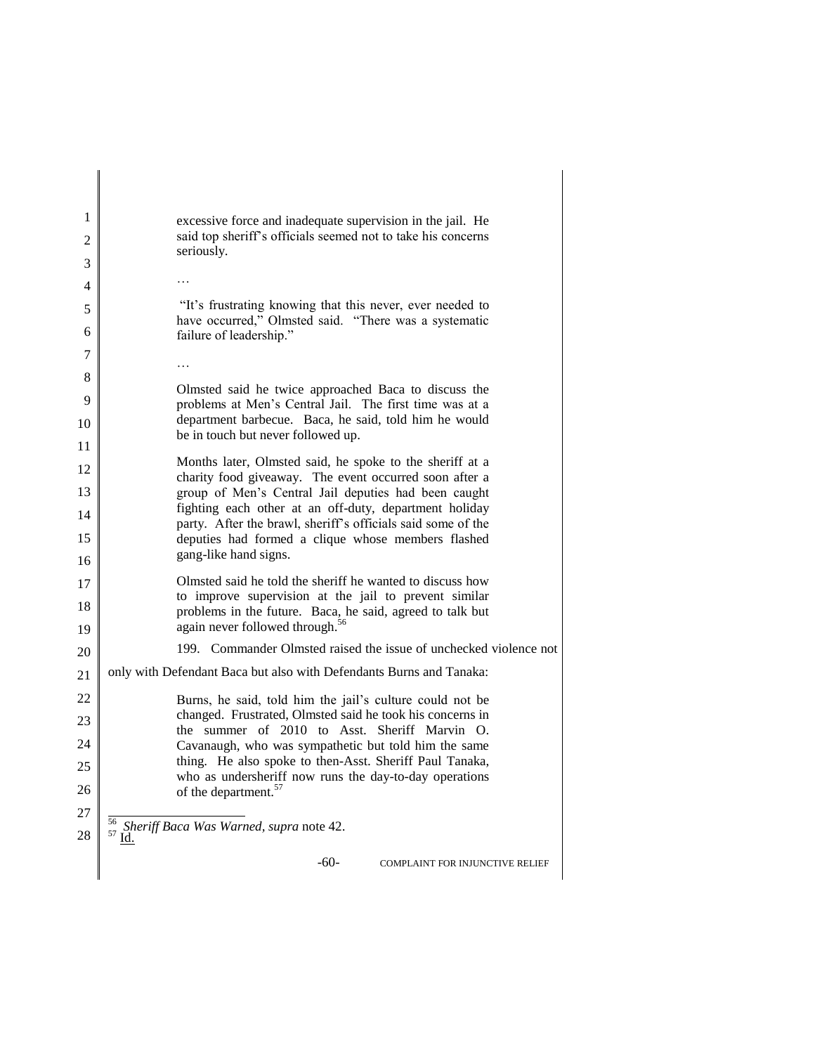| 1  | excessive force and inadequate supervision in the jail. He                                                             |
|----|------------------------------------------------------------------------------------------------------------------------|
| 2  | said top sheriff's officials seemed not to take his concerns                                                           |
| 3  | seriously.                                                                                                             |
| 4  |                                                                                                                        |
| 5  | "It's frustrating knowing that this never, ever needed to                                                              |
| 6  | have occurred," Olmsted said. "There was a systematic<br>failure of leadership."                                       |
| 7  |                                                                                                                        |
| 8  |                                                                                                                        |
| 9  | Olmsted said he twice approached Baca to discuss the<br>problems at Men's Central Jail. The first time was at a        |
| 10 | department barbecue. Baca, he said, told him he would<br>be in touch but never followed up.                            |
| 11 |                                                                                                                        |
| 12 | Months later, Olmsted said, he spoke to the sheriff at a<br>charity food giveaway. The event occurred soon after a     |
| 13 | group of Men's Central Jail deputies had been caught                                                                   |
| 14 | fighting each other at an off-duty, department holiday<br>party. After the brawl, sheriff's officials said some of the |
| 15 | deputies had formed a clique whose members flashed                                                                     |
| 16 | gang-like hand signs.                                                                                                  |
| 17 | Olmsted said he told the sheriff he wanted to discuss how                                                              |
| 18 | to improve supervision at the jail to prevent similar<br>problems in the future. Baca, he said, agreed to talk but     |
| 19 | again never followed through. <sup>56</sup>                                                                            |
| 20 | 199. Commander Olmsted raised the issue of unchecked violence not                                                      |
| 21 | only with Defendant Baca but also with Defendants Burns and Tanaka:                                                    |
| 22 | Burns, he said, told him the jail's culture could not be                                                               |
| 23 | changed. Frustrated, Olmsted said he took his concerns in<br>the summer of 2010 to Asst. Sheriff Marvin O.             |
| 24 | Cavanaugh, who was sympathetic but told him the same                                                                   |
| 25 | thing. He also spoke to then-Asst. Sheriff Paul Tanaka,<br>who as undersheriff now runs the day-to-day operations      |
| 26 | of the department. <sup>57</sup>                                                                                       |
| 27 |                                                                                                                        |
| 28 | <sup>56</sup> Sheriff Baca Was Warned, supra note 42.<br>$57 \underline{\mathsf{Id}}$ .                                |
|    | $-60-$<br>COMPLAINT FOR INJUNCTIVE RELIEF                                                                              |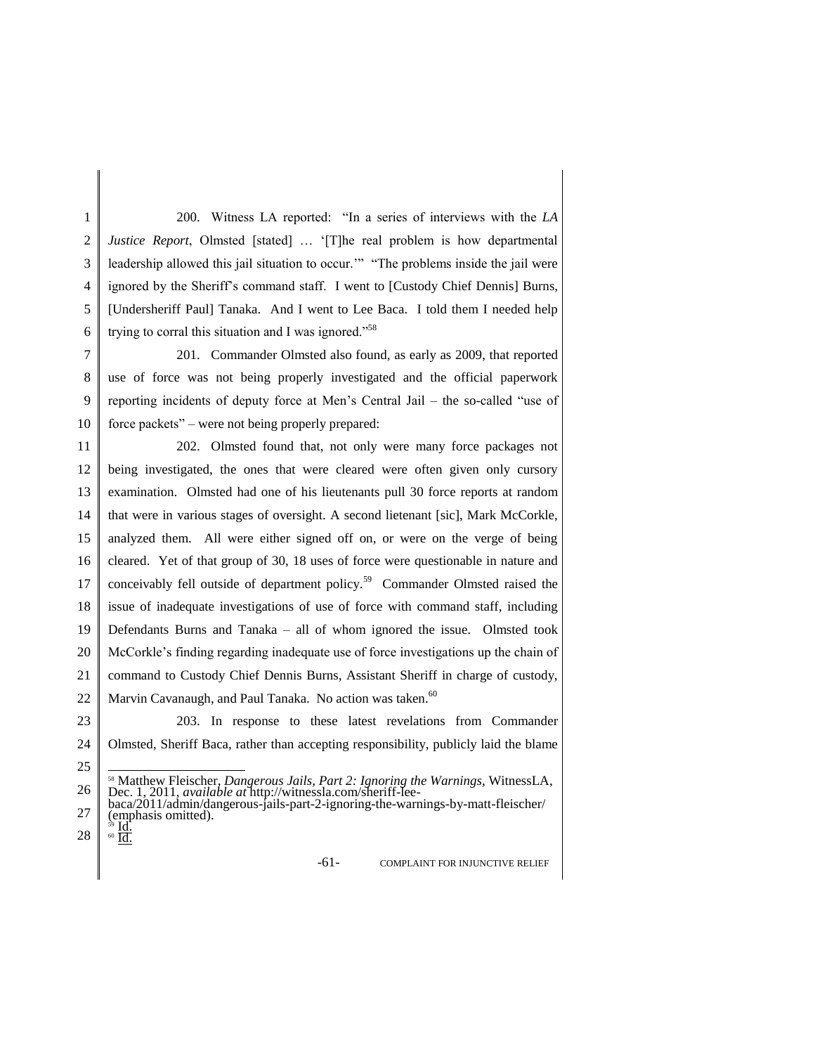1 2 3 4 5 6 200. Witness LA reported: "In a series of interviews with the *LA Justice Report*, Olmsted [stated] … '[T]he real problem is how departmental leadership allowed this jail situation to occur.'" "The problems inside the jail were ignored by the Sheriff's command staff. I went to [Custody Chief Dennis] Burns, [Undersheriff Paul] Tanaka. And I went to Lee Baca. I told them I needed help trying to corral this situation and I was ignored."<sup>58</sup>

7 8 9 10 201. Commander Olmsted also found, as early as 2009, that reported use of force was not being properly investigated and the official paperwork reporting incidents of deputy force at Men's Central Jail – the so-called "use of force packets" – were not being properly prepared:

11 12 13 14 15 16 17 18 19 20 21 22 202. Olmsted found that, not only were many force packages not being investigated, the ones that were cleared were often given only cursory examination. Olmsted had one of his lieutenants pull 30 force reports at random that were in various stages of oversight. A second lietenant [sic], Mark McCorkle, analyzed them. All were either signed off on, or were on the verge of being cleared. Yet of that group of 30, 18 uses of force were questionable in nature and conceivably fell outside of department policy.<sup>59</sup> Commander Olmsted raised the issue of inadequate investigations of use of force with command staff, including Defendants Burns and Tanaka – all of whom ignored the issue. Olmsted took McCorkle's finding regarding inadequate use of force investigations up the chain of command to Custody Chief Dennis Burns, Assistant Sheriff in charge of custody, Marvin Cavanaugh, and Paul Tanaka. No action was taken.<sup>60</sup>

23 24 25 203. In response to these latest revelations from Commander Olmsted, Sheriff Baca, rather than accepting responsibility, publicly laid the blame l

28 <sup>60</sup> Id.

-61- COMPLAINT FOR INJUNCTIVE RELIEF

<sup>26</sup> <sup>58</sup> Matthew Fleischer, *Dangerous Jails, Part 2: Ignoring the Warnings*, WitnessLA, Dec. 1, 2011, *available at* http://witnessla.com/sheriff-leebaca/2011/admin/dangerous-jails-part-2-ignoring-the-warnings-by-matt-fleischer/

<sup>27</sup>  $\lim_{s \to 1}$  contracts omitted). <sup>59</sup> Id.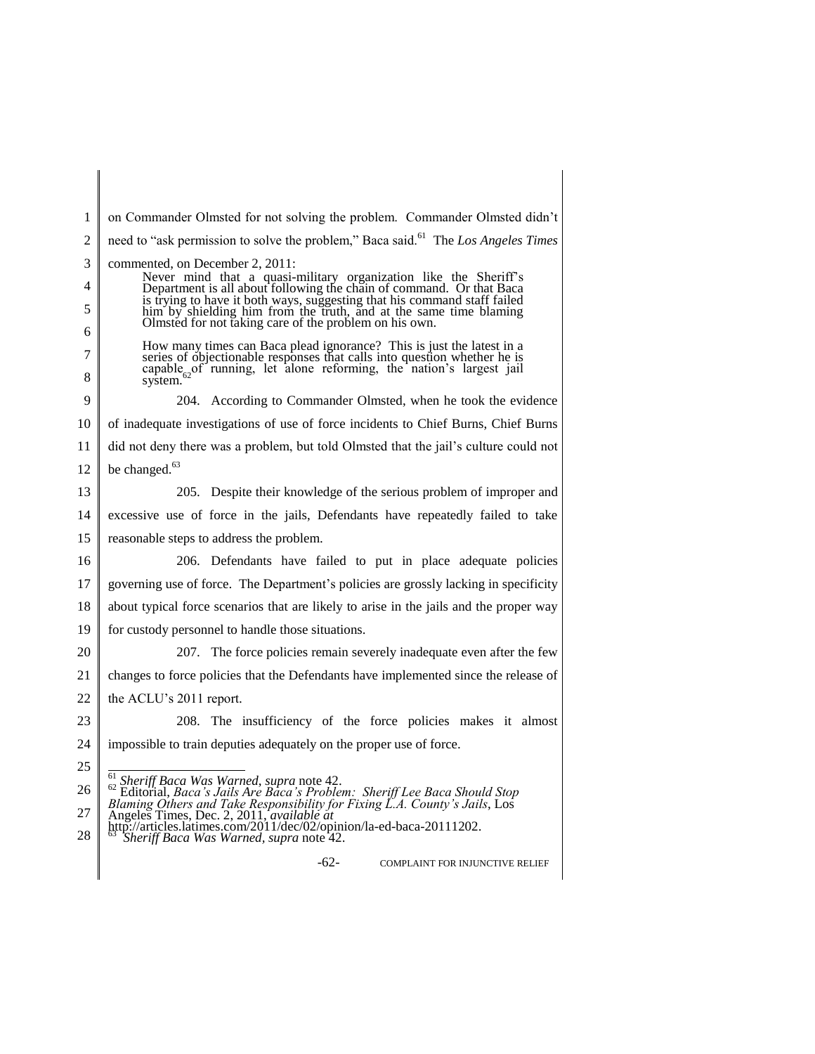| 1      | on Commander Olmsted for not solving the problem. Commander Olmsted didn't                                                                                                                              |
|--------|---------------------------------------------------------------------------------------------------------------------------------------------------------------------------------------------------------|
| 2      | need to "ask permission to solve the problem," Baca said. <sup>61</sup> The Los Angeles Times                                                                                                           |
| 3      | commented, on December 2, 2011:                                                                                                                                                                         |
| 4      | Never mind that a quasi-military organization like the Sheriff's Department is all about following the chain of command. Or that Baca                                                                   |
| 5      | is trying to have it both ways, suggesting that his command staff failed<br>him by shielding him from the truth, and at the same time blaming<br>Olmsted for not taking care of the problem on his own. |
| 6      | How many times can Baca plead ignorance? This is just the latest in a                                                                                                                                   |
| 7<br>8 | series of objectionable responses that calls into question whether he is<br>capable <sub>co</sub> of running, let alone reforming, the nation's largest jail<br>system.                                 |
| 9      | 204. According to Commander Olmsted, when he took the evidence                                                                                                                                          |
| 10     | of inadequate investigations of use of force incidents to Chief Burns, Chief Burns                                                                                                                      |
| 11     | did not deny there was a problem, but told Olmsted that the jail's culture could not                                                                                                                    |
| 12     | be changed. $63$                                                                                                                                                                                        |
| 13     | 205. Despite their knowledge of the serious problem of improper and                                                                                                                                     |
| 14     | excessive use of force in the jails, Defendants have repeatedly failed to take                                                                                                                          |
| 15     | reasonable steps to address the problem.                                                                                                                                                                |
| 16     | 206. Defendants have failed to put in place adequate policies                                                                                                                                           |
| 17     | governing use of force. The Department's policies are grossly lacking in specificity                                                                                                                    |
| 18     | about typical force scenarios that are likely to arise in the jails and the proper way                                                                                                                  |
| 19     | for custody personnel to handle those situations.                                                                                                                                                       |
| 20     | 207. The force policies remain severely inadequate even after the few                                                                                                                                   |
| 21     | changes to force policies that the Defendants have implemented since the release of                                                                                                                     |
| 22     | the ACLU's 2011 report.                                                                                                                                                                                 |
| 23     | 208. The insufficiency of the force policies makes it almost                                                                                                                                            |
| 24     | impossible to train deputies adequately on the proper use of force.                                                                                                                                     |
| 25     |                                                                                                                                                                                                         |
| 26     | <sup>61</sup> Sheriff Baca Was Warned, supra note 42.<br>62 Editorial, Baca's Jails Are Baca's Problem: Sheriff Lee Baca Should Stop                                                                    |
| 27     | Blaming Others and Take Responsibility for Fixing L.A. County's Jails, Los<br>Angeles Times, Dec. 2, 2011, <i>available at</i>                                                                          |
| 28     | http://articles.latimes.com/2011/dec/02/opinion/la-ed-baca-20111202.<br>Sheriff Baca Was Warned, supra note 42.                                                                                         |
|        | $-62-$<br><b>COMPLAINT FOR INJUNCTIVE RELIEF</b>                                                                                                                                                        |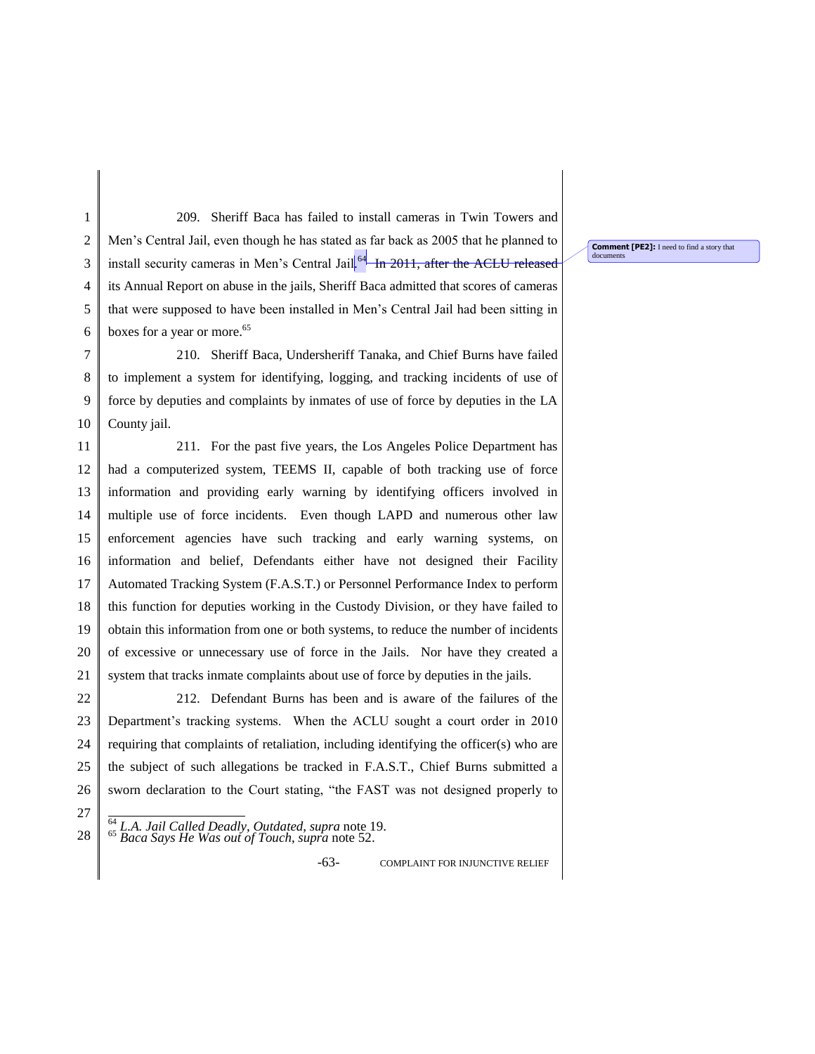1 2 3 4 5 6 209. Sheriff Baca has failed to install cameras in Twin Towers and Men's Central Jail, even though he has stated as far back as 2005 that he planned to install security cameras in Men's Central Jail<sup>[64</sup> In 2011, after the ACLU released its Annual Report on abuse in the jails, Sheriff Baca admitted that scores of cameras that were supposed to have been installed in Men's Central Jail had been sitting in boxes for a year or more.<sup>65</sup>

7 8 9 10 210. Sheriff Baca, Undersheriff Tanaka, and Chief Burns have failed to implement a system for identifying, logging, and tracking incidents of use of force by deputies and complaints by inmates of use of force by deputies in the LA County jail.

11 12 13 14 15 16 17 18 19 20 21 211. For the past five years, the Los Angeles Police Department has had a computerized system, TEEMS II, capable of both tracking use of force information and providing early warning by identifying officers involved in multiple use of force incidents. Even though LAPD and numerous other law enforcement agencies have such tracking and early warning systems, on information and belief, Defendants either have not designed their Facility Automated Tracking System (F.A.S.T.) or Personnel Performance Index to perform this function for deputies working in the Custody Division, or they have failed to obtain this information from one or both systems, to reduce the number of incidents of excessive or unnecessary use of force in the Jails. Nor have they created a system that tracks inmate complaints about use of force by deputies in the jails.

22 23 24 25 26 212. Defendant Burns has been and is aware of the failures of the Department's tracking systems. When the ACLU sought a court order in 2010 requiring that complaints of retaliation, including identifying the officer(s) who are the subject of such allegations be tracked in F.A.S.T., Chief Burns submitted a sworn declaration to the Court stating, "the FAST was not designed properly to

<sup>64</sup> *L.A. Jail Called Deadly, Outdated*, *supra* note 19. <sup>65</sup> *Baca Says He Was out of Touch*, *supra* note 52.

27 28

-63- COMPLAINT FOR INJUNCTIVE RELIEF

**Comment [PE2]:** I need to find a story that documents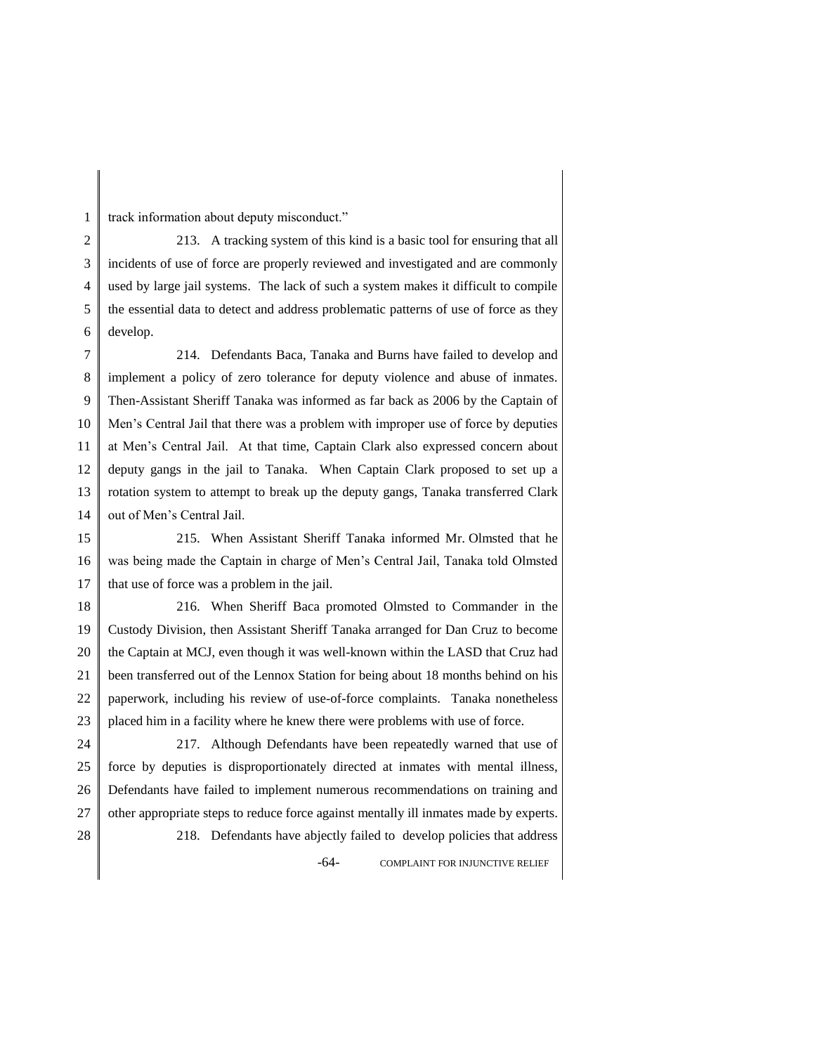track information about deputy misconduct."

1

2 3 4 5 6 213. A tracking system of this kind is a basic tool for ensuring that all incidents of use of force are properly reviewed and investigated and are commonly used by large jail systems. The lack of such a system makes it difficult to compile the essential data to detect and address problematic patterns of use of force as they develop.

7 8 9 10 11 12 13 14 214. Defendants Baca, Tanaka and Burns have failed to develop and implement a policy of zero tolerance for deputy violence and abuse of inmates. Then-Assistant Sheriff Tanaka was informed as far back as 2006 by the Captain of Men's Central Jail that there was a problem with improper use of force by deputies at Men's Central Jail. At that time, Captain Clark also expressed concern about deputy gangs in the jail to Tanaka. When Captain Clark proposed to set up a rotation system to attempt to break up the deputy gangs, Tanaka transferred Clark out of Men's Central Jail.

15 16 17 215. When Assistant Sheriff Tanaka informed Mr. Olmsted that he was being made the Captain in charge of Men's Central Jail, Tanaka told Olmsted that use of force was a problem in the jail.

18 19 20 21 22 23 216. When Sheriff Baca promoted Olmsted to Commander in the Custody Division, then Assistant Sheriff Tanaka arranged for Dan Cruz to become the Captain at MCJ, even though it was well-known within the LASD that Cruz had been transferred out of the Lennox Station for being about 18 months behind on his paperwork, including his review of use-of-force complaints. Tanaka nonetheless placed him in a facility where he knew there were problems with use of force.

24 25 26 27 28 -64- COMPLAINT FOR INJUNCTIVE RELIEF 217. Although Defendants have been repeatedly warned that use of force by deputies is disproportionately directed at inmates with mental illness, Defendants have failed to implement numerous recommendations on training and other appropriate steps to reduce force against mentally ill inmates made by experts. 218. Defendants have abjectly failed to develop policies that address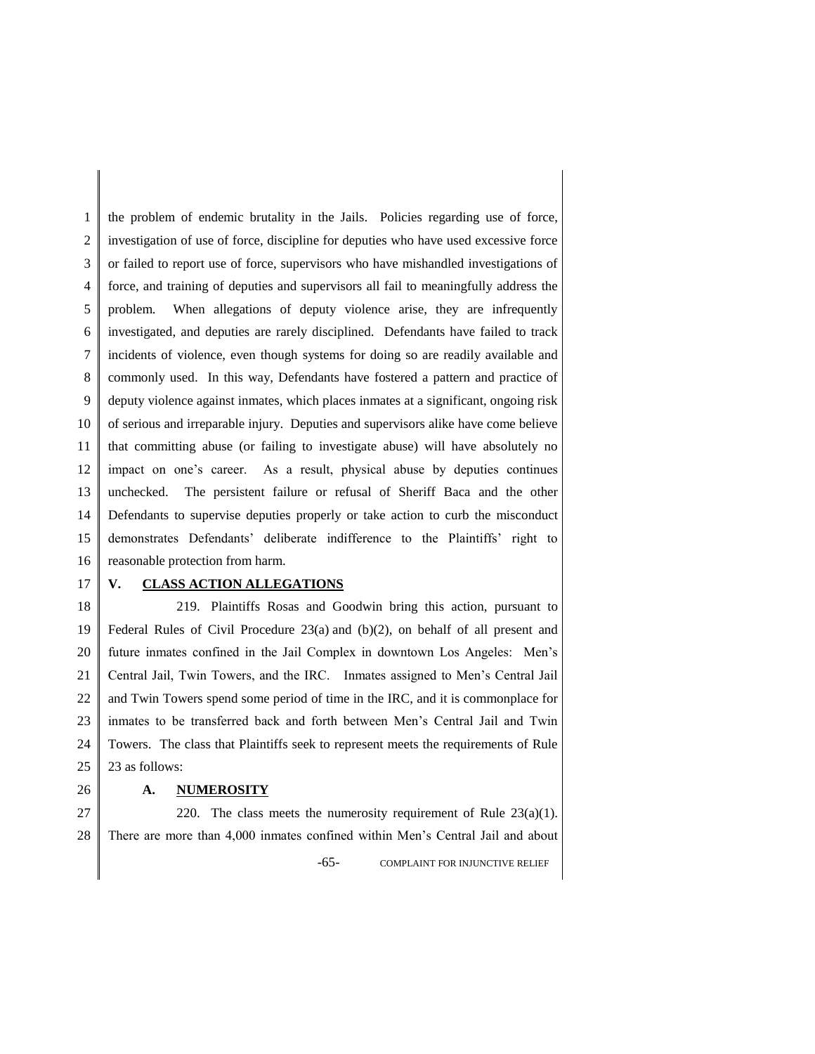1 2 3 4 5 6 7 8 9 10 11 12 13 14 15 16 the problem of endemic brutality in the Jails. Policies regarding use of force, investigation of use of force, discipline for deputies who have used excessive force or failed to report use of force, supervisors who have mishandled investigations of force, and training of deputies and supervisors all fail to meaningfully address the problem. When allegations of deputy violence arise, they are infrequently investigated, and deputies are rarely disciplined. Defendants have failed to track incidents of violence, even though systems for doing so are readily available and commonly used. In this way, Defendants have fostered a pattern and practice of deputy violence against inmates, which places inmates at a significant, ongoing risk of serious and irreparable injury. Deputies and supervisors alike have come believe that committing abuse (or failing to investigate abuse) will have absolutely no impact on one's career. As a result, physical abuse by deputies continues unchecked. The persistent failure or refusal of Sheriff Baca and the other Defendants to supervise deputies properly or take action to curb the misconduct demonstrates Defendants' deliberate indifference to the Plaintiffs' right to reasonable protection from harm.

17

26

## **V. CLASS ACTION ALLEGATIONS**

18 19 20 21 22 23 24 25 219. Plaintiffs Rosas and Goodwin bring this action, pursuant to Federal Rules of Civil Procedure 23(a) and (b)(2), on behalf of all present and future inmates confined in the Jail Complex in downtown Los Angeles: Men's Central Jail, Twin Towers, and the IRC. Inmates assigned to Men's Central Jail and Twin Towers spend some period of time in the IRC, and it is commonplace for inmates to be transferred back and forth between Men's Central Jail and Twin Towers. The class that Plaintiffs seek to represent meets the requirements of Rule 23 as follows:

### **A. NUMEROSITY**

27 28 -65- COMPLAINT FOR INJUNCTIVE RELIEF 220. The class meets the numerosity requirement of Rule  $23(a)(1)$ . There are more than 4,000 inmates confined within Men's Central Jail and about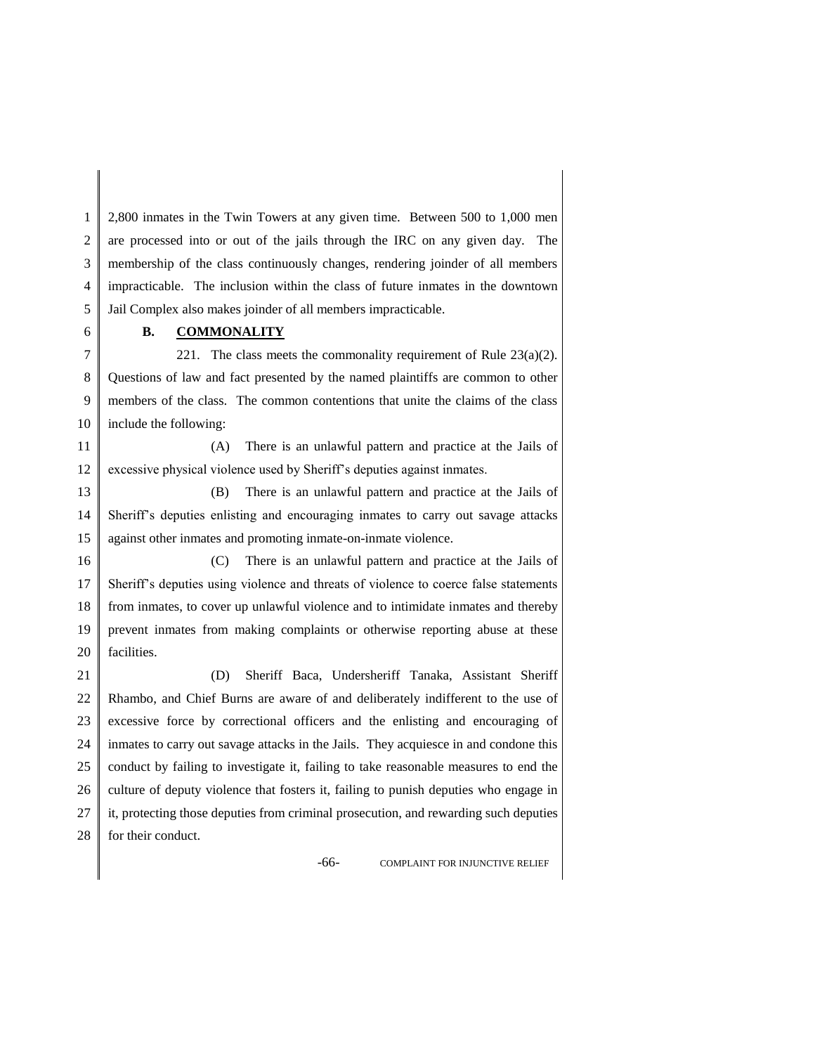1 2 3 4 5 2,800 inmates in the Twin Towers at any given time. Between 500 to 1,000 men are processed into or out of the jails through the IRC on any given day. The membership of the class continuously changes, rendering joinder of all members impracticable. The inclusion within the class of future inmates in the downtown Jail Complex also makes joinder of all members impracticable.

## **B. COMMONALITY**

6

7 8 9 10 221. The class meets the commonality requirement of Rule  $23(a)(2)$ . Questions of law and fact presented by the named plaintiffs are common to other members of the class. The common contentions that unite the claims of the class include the following:

11 12 (A) There is an unlawful pattern and practice at the Jails of excessive physical violence used by Sheriff's deputies against inmates.

13 14 15 (B) There is an unlawful pattern and practice at the Jails of Sheriff's deputies enlisting and encouraging inmates to carry out savage attacks against other inmates and promoting inmate-on-inmate violence.

16 17 18 19 20 (C) There is an unlawful pattern and practice at the Jails of Sheriff's deputies using violence and threats of violence to coerce false statements from inmates, to cover up unlawful violence and to intimidate inmates and thereby prevent inmates from making complaints or otherwise reporting abuse at these facilities.

21 22 23 24 25 26 27 28 (D) Sheriff Baca, Undersheriff Tanaka, Assistant Sheriff Rhambo, and Chief Burns are aware of and deliberately indifferent to the use of excessive force by correctional officers and the enlisting and encouraging of inmates to carry out savage attacks in the Jails. They acquiesce in and condone this conduct by failing to investigate it, failing to take reasonable measures to end the culture of deputy violence that fosters it, failing to punish deputies who engage in it, protecting those deputies from criminal prosecution, and rewarding such deputies for their conduct.

-66- COMPLAINT FOR INJUNCTIVE RELIEF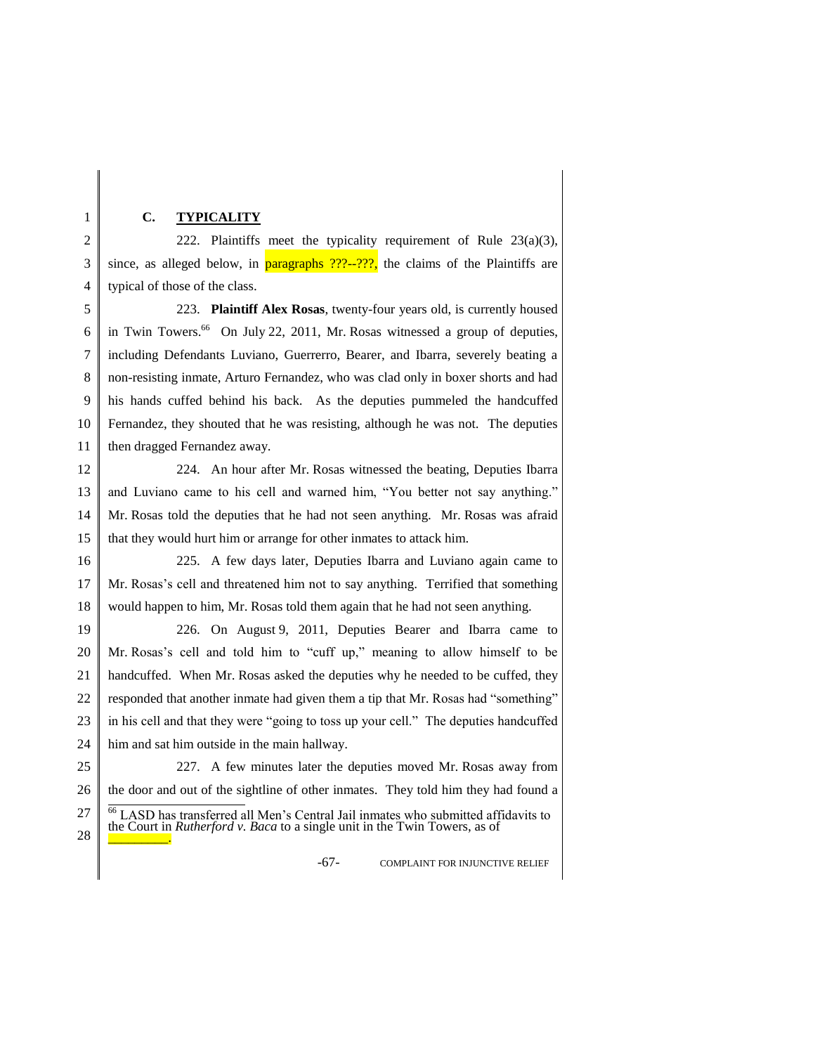#### **C. TYPICALITY**

1

2 3 4 222. Plaintiffs meet the typicality requirement of Rule  $23(a)(3)$ , since, as alleged below, in **paragraphs**  $???$ --???, the claims of the Plaintiffs are typical of those of the class.

5 6 7 8 9 10 11 223. **Plaintiff Alex Rosas**, twenty-four years old, is currently housed in Twin Towers.<sup>66</sup> On July 22, 2011, Mr. Rosas witnessed a group of deputies, including Defendants Luviano, Guerrerro, Bearer, and Ibarra, severely beating a non-resisting inmate, Arturo Fernandez, who was clad only in boxer shorts and had his hands cuffed behind his back. As the deputies pummeled the handcuffed Fernandez, they shouted that he was resisting, although he was not. The deputies then dragged Fernandez away.

12 13 14 15 224. An hour after Mr. Rosas witnessed the beating, Deputies Ibarra and Luviano came to his cell and warned him, "You better not say anything." Mr. Rosas told the deputies that he had not seen anything. Mr. Rosas was afraid that they would hurt him or arrange for other inmates to attack him.

16 17 18 225. A few days later, Deputies Ibarra and Luviano again came to Mr. Rosas's cell and threatened him not to say anything. Terrified that something would happen to him, Mr. Rosas told them again that he had not seen anything.

19 20 21 22 23 24 226. On August 9, 2011, Deputies Bearer and Ibarra came to Mr. Rosas's cell and told him to "cuff up," meaning to allow himself to be handcuffed. When Mr. Rosas asked the deputies why he needed to be cuffed, they responded that another inmate had given them a tip that Mr. Rosas had "something" in his cell and that they were "going to toss up your cell." The deputies handcuffed him and sat him outside in the main hallway.

25 26 27 28 227. A few minutes later the deputies moved Mr. Rosas away from the door and out of the sightline of other inmates. They told him they had found a <sup>66</sup> LASD has transferred all Men's Central Jail inmates who submitted affidavits to the Court in *Rutherford v. Baca* to a single unit in the Twin Towers, as of \_\_\_\_\_\_\_\_\_.

-67- COMPLAINT FOR INJUNCTIVE RELIEF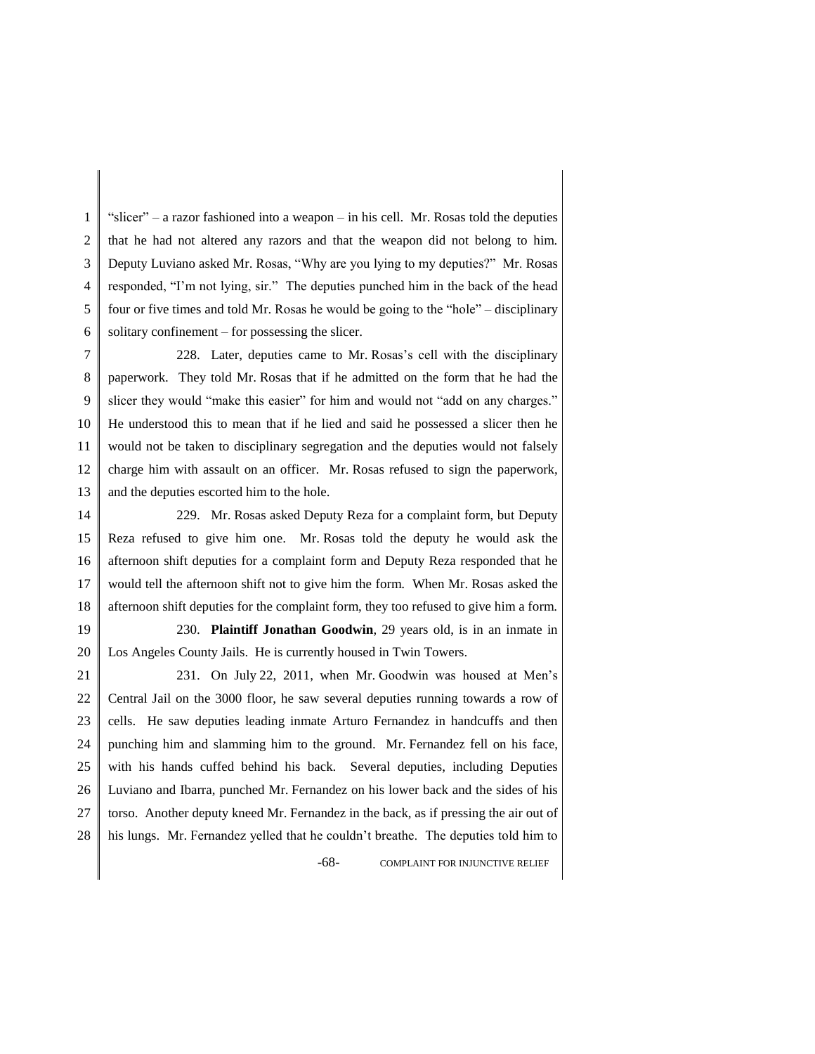1 2 3 4 5 6 "slicer" – a razor fashioned into a weapon – in his cell. Mr. Rosas told the deputies that he had not altered any razors and that the weapon did not belong to him. Deputy Luviano asked Mr. Rosas, "Why are you lying to my deputies?" Mr. Rosas responded, "I'm not lying, sir." The deputies punched him in the back of the head four or five times and told Mr. Rosas he would be going to the "hole" – disciplinary solitary confinement – for possessing the slicer.

7 8 9 10 11 12 13 228. Later, deputies came to Mr. Rosas's cell with the disciplinary paperwork. They told Mr. Rosas that if he admitted on the form that he had the slicer they would "make this easier" for him and would not "add on any charges." He understood this to mean that if he lied and said he possessed a slicer then he would not be taken to disciplinary segregation and the deputies would not falsely charge him with assault on an officer. Mr. Rosas refused to sign the paperwork, and the deputies escorted him to the hole.

14 15 16 17 18 229. Mr. Rosas asked Deputy Reza for a complaint form, but Deputy Reza refused to give him one. Mr. Rosas told the deputy he would ask the afternoon shift deputies for a complaint form and Deputy Reza responded that he would tell the afternoon shift not to give him the form. When Mr. Rosas asked the afternoon shift deputies for the complaint form, they too refused to give him a form.

19 20

230. **Plaintiff Jonathan Goodwin**, 29 years old, is in an inmate in Los Angeles County Jails. He is currently housed in Twin Towers.

21 22 23 24 25 26 27 28 -68- COMPLAINT FOR INJUNCTIVE RELIEF 231. On July 22, 2011, when Mr. Goodwin was housed at Men's Central Jail on the 3000 floor, he saw several deputies running towards a row of cells. He saw deputies leading inmate Arturo Fernandez in handcuffs and then punching him and slamming him to the ground. Mr. Fernandez fell on his face, with his hands cuffed behind his back. Several deputies, including Deputies Luviano and Ibarra, punched Mr. Fernandez on his lower back and the sides of his torso. Another deputy kneed Mr. Fernandez in the back, as if pressing the air out of his lungs. Mr. Fernandez yelled that he couldn't breathe. The deputies told him to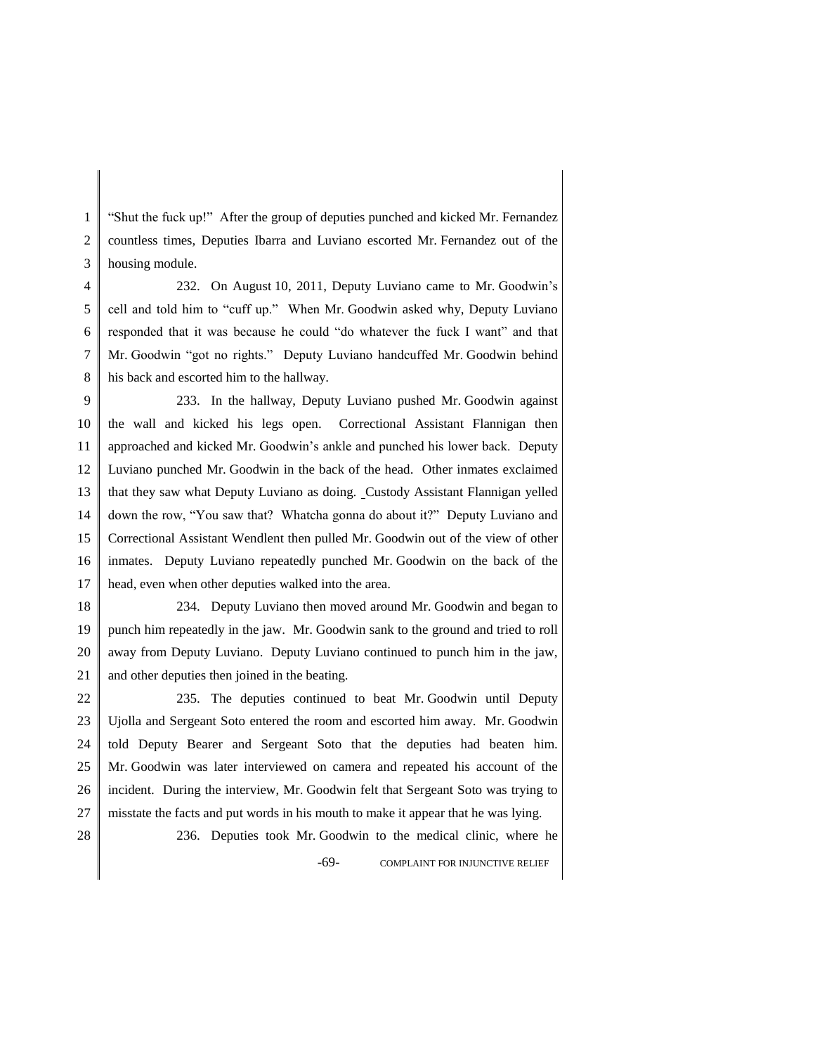1 2 3 "Shut the fuck up!" After the group of deputies punched and kicked Mr. Fernandez countless times, Deputies Ibarra and Luviano escorted Mr. Fernandez out of the housing module.

4 5 6 7 8 232. On August 10, 2011, Deputy Luviano came to Mr. Goodwin's cell and told him to "cuff up." When Mr. Goodwin asked why, Deputy Luviano responded that it was because he could "do whatever the fuck I want" and that Mr. Goodwin "got no rights." Deputy Luviano handcuffed Mr. Goodwin behind his back and escorted him to the hallway.

9 10 11 12 13 14 15 16 17 233. In the hallway, Deputy Luviano pushed Mr. Goodwin against the wall and kicked his legs open. Correctional Assistant Flannigan then approached and kicked Mr. Goodwin's ankle and punched his lower back. Deputy Luviano punched Mr. Goodwin in the back of the head. Other inmates exclaimed that they saw what Deputy Luviano as doing. Custody Assistant Flannigan yelled down the row, "You saw that? Whatcha gonna do about it?" Deputy Luviano and Correctional Assistant Wendlent then pulled Mr. Goodwin out of the view of other inmates. Deputy Luviano repeatedly punched Mr. Goodwin on the back of the head, even when other deputies walked into the area.

18 19 20 21 234. Deputy Luviano then moved around Mr. Goodwin and began to punch him repeatedly in the jaw. Mr. Goodwin sank to the ground and tried to roll away from Deputy Luviano. Deputy Luviano continued to punch him in the jaw, and other deputies then joined in the beating.

22 23 24 25 26 27 235. The deputies continued to beat Mr. Goodwin until Deputy Ujolla and Sergeant Soto entered the room and escorted him away. Mr. Goodwin told Deputy Bearer and Sergeant Soto that the deputies had beaten him. Mr. Goodwin was later interviewed on camera and repeated his account of the incident. During the interview, Mr. Goodwin felt that Sergeant Soto was trying to misstate the facts and put words in his mouth to make it appear that he was lying.

28

-69- COMPLAINT FOR INJUNCTIVE RELIEF 236. Deputies took Mr. Goodwin to the medical clinic, where he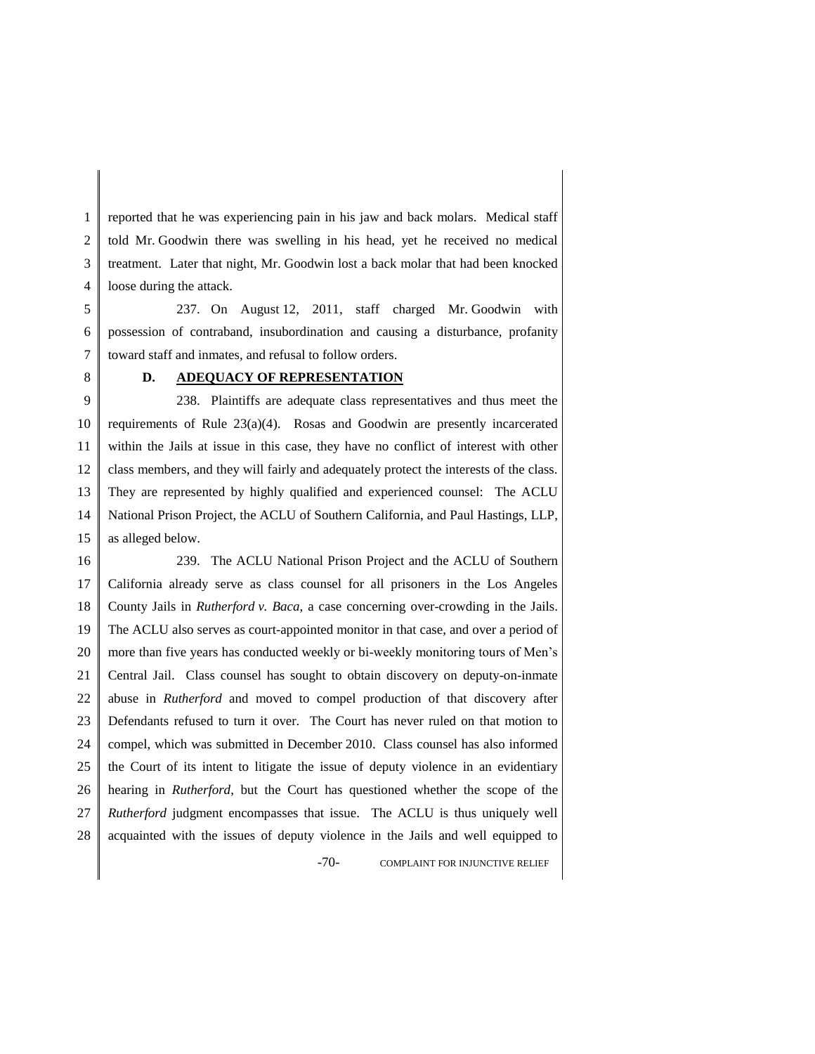1 2 3 4 reported that he was experiencing pain in his jaw and back molars. Medical staff told Mr. Goodwin there was swelling in his head, yet he received no medical treatment. Later that night, Mr. Goodwin lost a back molar that had been knocked loose during the attack.

5 6 7 237. On August 12, 2011, staff charged Mr. Goodwin with possession of contraband, insubordination and causing a disturbance, profanity toward staff and inmates, and refusal to follow orders.

8

### **D. ADEQUACY OF REPRESENTATION**

9 10 11 12 13 14 15 238. Plaintiffs are adequate class representatives and thus meet the requirements of Rule 23(a)(4). Rosas and Goodwin are presently incarcerated within the Jails at issue in this case, they have no conflict of interest with other class members, and they will fairly and adequately protect the interests of the class. They are represented by highly qualified and experienced counsel: The ACLU National Prison Project, the ACLU of Southern California, and Paul Hastings, LLP, as alleged below.

16 17 18 19 20 21 22 23 24 25 26 27 28 -70- COMPLAINT FOR INJUNCTIVE RELIEF 239. The ACLU National Prison Project and the ACLU of Southern California already serve as class counsel for all prisoners in the Los Angeles County Jails in *Rutherford v. Baca*, a case concerning over-crowding in the Jails. The ACLU also serves as court-appointed monitor in that case, and over a period of more than five years has conducted weekly or bi-weekly monitoring tours of Men's Central Jail. Class counsel has sought to obtain discovery on deputy-on-inmate abuse in *Rutherford* and moved to compel production of that discovery after Defendants refused to turn it over. The Court has never ruled on that motion to compel, which was submitted in December 2010. Class counsel has also informed the Court of its intent to litigate the issue of deputy violence in an evidentiary hearing in *Rutherford*, but the Court has questioned whether the scope of the *Rutherford* judgment encompasses that issue. The ACLU is thus uniquely well acquainted with the issues of deputy violence in the Jails and well equipped to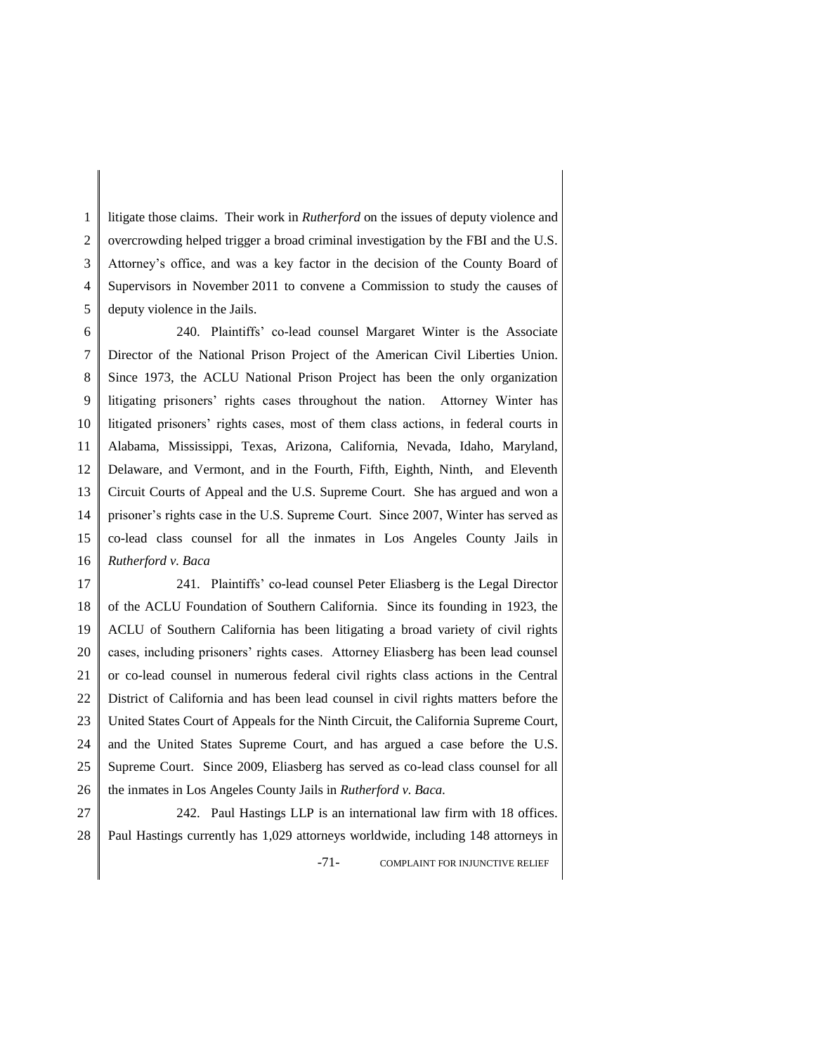1 2 3 4 5 litigate those claims. Their work in *Rutherford* on the issues of deputy violence and overcrowding helped trigger a broad criminal investigation by the FBI and the U.S. Attorney's office, and was a key factor in the decision of the County Board of Supervisors in November 2011 to convene a Commission to study the causes of deputy violence in the Jails.

6 7 8 9 10 11 12 13 14 15 16 240. Plaintiffs' co-lead counsel Margaret Winter is the Associate Director of the National Prison Project of the American Civil Liberties Union. Since 1973, the ACLU National Prison Project has been the only organization litigating prisoners' rights cases throughout the nation. Attorney Winter has litigated prisoners' rights cases, most of them class actions, in federal courts in Alabama, Mississippi, Texas, Arizona, California, Nevada, Idaho, Maryland, Delaware, and Vermont, and in the Fourth, Fifth, Eighth, Ninth, and Eleventh Circuit Courts of Appeal and the U.S. Supreme Court. She has argued and won a prisoner's rights case in the U.S. Supreme Court. Since 2007, Winter has served as co-lead class counsel for all the inmates in Los Angeles County Jails in *Rutherford v. Baca*

17 18 19 20 21 22 23 24 25 26 241. Plaintiffs' co-lead counsel Peter Eliasberg is the Legal Director of the ACLU Foundation of Southern California. Since its founding in 1923, the ACLU of Southern California has been litigating a broad variety of civil rights cases, including prisoners' rights cases. Attorney Eliasberg has been lead counsel or co-lead counsel in numerous federal civil rights class actions in the Central District of California and has been lead counsel in civil rights matters before the United States Court of Appeals for the Ninth Circuit, the California Supreme Court, and the United States Supreme Court, and has argued a case before the U.S. Supreme Court. Since 2009, Eliasberg has served as co-lead class counsel for all the inmates in Los Angeles County Jails in *Rutherford v. Baca.*

27 28 -71- COMPLAINT FOR INJUNCTIVE RELIEF 242. Paul Hastings LLP is an international law firm with 18 offices. Paul Hastings currently has 1,029 attorneys worldwide, including 148 attorneys in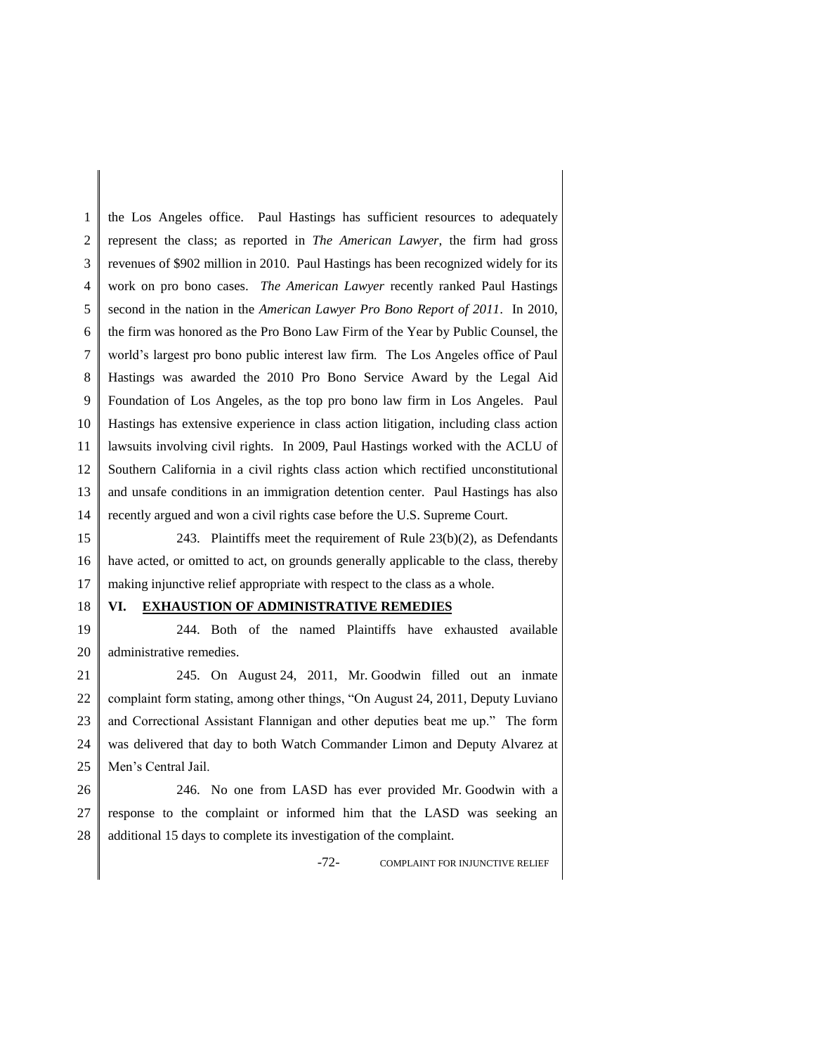1 2 3 4 5 6 7 8 9 10 11 12 13 14 the Los Angeles office. Paul Hastings has sufficient resources to adequately represent the class; as reported in *The American Lawyer*, the firm had gross revenues of \$902 million in 2010. Paul Hastings has been recognized widely for its work on pro bono cases. *The American Lawyer* recently ranked Paul Hastings second in the nation in the *American Lawyer Pro Bono Report of 2011*. In 2010, the firm was honored as the Pro Bono Law Firm of the Year by Public Counsel, the world's largest pro bono public interest law firm. The Los Angeles office of Paul Hastings was awarded the 2010 Pro Bono Service Award by the Legal Aid Foundation of Los Angeles, as the top pro bono law firm in Los Angeles. Paul Hastings has extensive experience in class action litigation, including class action lawsuits involving civil rights. In 2009, Paul Hastings worked with the ACLU of Southern California in a civil rights class action which rectified unconstitutional and unsafe conditions in an immigration detention center. Paul Hastings has also recently argued and won a civil rights case before the U.S. Supreme Court.

15 16 17 243. Plaintiffs meet the requirement of Rule  $23(b)(2)$ , as Defendants have acted, or omitted to act, on grounds generally applicable to the class, thereby making injunctive relief appropriate with respect to the class as a whole.

# 18

#### **VI. EXHAUSTION OF ADMINISTRATIVE REMEDIES**

19 20 244. Both of the named Plaintiffs have exhausted available administrative remedies.

21 22 23 24 25 245. On August 24, 2011, Mr. Goodwin filled out an inmate complaint form stating, among other things, "On August 24, 2011, Deputy Luviano and Correctional Assistant Flannigan and other deputies beat me up." The form was delivered that day to both Watch Commander Limon and Deputy Alvarez at Men's Central Jail.

26 27 28 246. No one from LASD has ever provided Mr. Goodwin with a response to the complaint or informed him that the LASD was seeking an additional 15 days to complete its investigation of the complaint.

-72- COMPLAINT FOR INJUNCTIVE RELIEF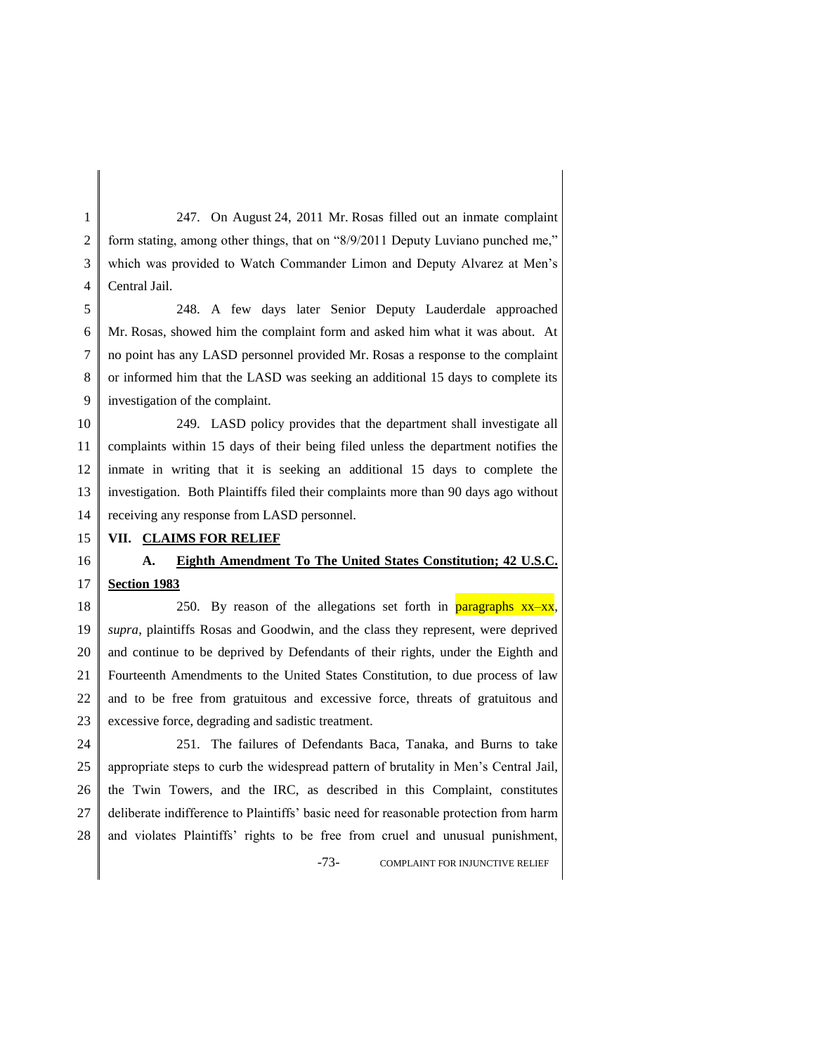1 2 3 4 247. On August 24, 2011 Mr. Rosas filled out an inmate complaint form stating, among other things, that on "8/9/2011 Deputy Luviano punched me," which was provided to Watch Commander Limon and Deputy Alvarez at Men's Central Jail.

5 6 7 8 9 248. A few days later Senior Deputy Lauderdale approached Mr. Rosas, showed him the complaint form and asked him what it was about. At no point has any LASD personnel provided Mr. Rosas a response to the complaint or informed him that the LASD was seeking an additional 15 days to complete its investigation of the complaint.

10 11 12 13 14 249. LASD policy provides that the department shall investigate all complaints within 15 days of their being filed unless the department notifies the inmate in writing that it is seeking an additional 15 days to complete the investigation. Both Plaintiffs filed their complaints more than 90 days ago without receiving any response from LASD personnel.

#### 15 **VII. CLAIMS FOR RELIEF**

16 17

## **A. Eighth Amendment To The United States Constitution; 42 U.S.C. Section 1983**

18 19 20 21 22 23 250. By reason of the allegations set forth in **paragraphs**  $xx-xx$ , *supra*, plaintiffs Rosas and Goodwin, and the class they represent, were deprived and continue to be deprived by Defendants of their rights, under the Eighth and Fourteenth Amendments to the United States Constitution, to due process of law and to be free from gratuitous and excessive force, threats of gratuitous and excessive force, degrading and sadistic treatment.

24 25 26 27 28 251. The failures of Defendants Baca, Tanaka, and Burns to take appropriate steps to curb the widespread pattern of brutality in Men's Central Jail, the Twin Towers, and the IRC, as described in this Complaint, constitutes deliberate indifference to Plaintiffs' basic need for reasonable protection from harm and violates Plaintiffs' rights to be free from cruel and unusual punishment,

-73- COMPLAINT FOR INJUNCTIVE RELIEF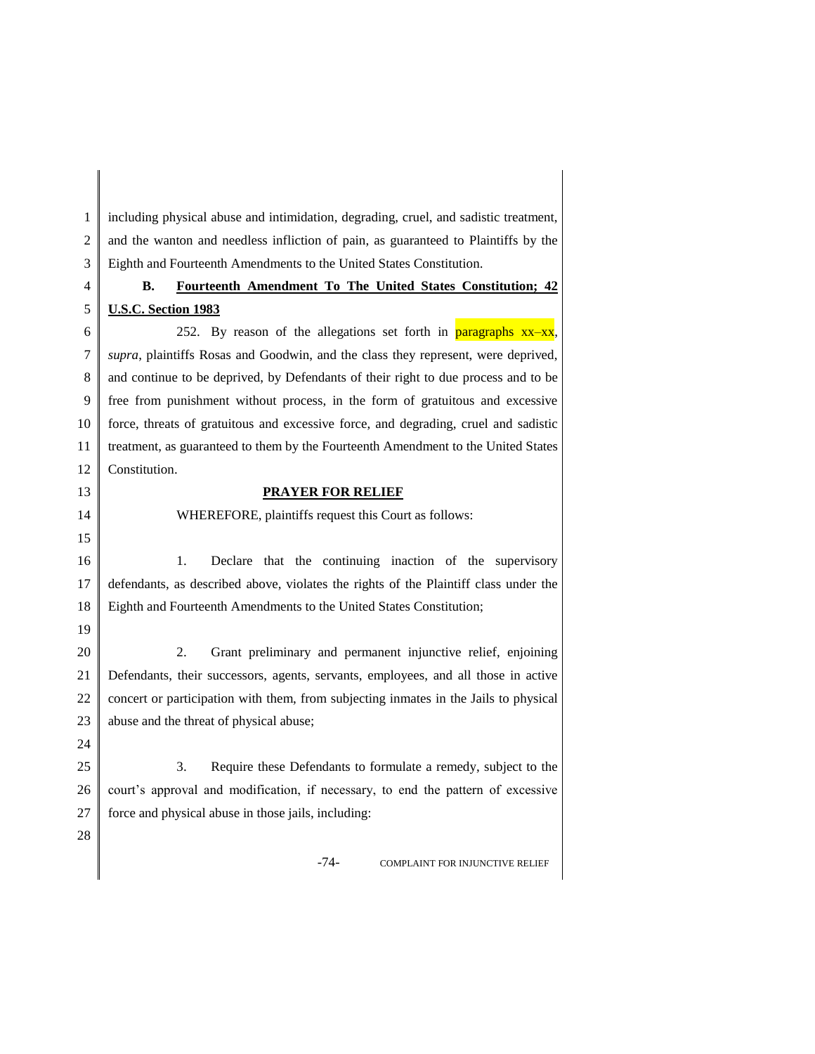1 2 3 including physical abuse and intimidation, degrading, cruel, and sadistic treatment, and the wanton and needless infliction of pain, as guaranteed to Plaintiffs by the Eighth and Fourteenth Amendments to the United States Constitution.

### 4 5

13 14 15

19

24

28

## **B. Fourteenth Amendment To The United States Constitution; 42 U.S.C. Section 1983**

6 7 8 9 10 11 12 252. By reason of the allegations set forth in **paragraphs**  $xx-xx$ , *supra*, plaintiffs Rosas and Goodwin, and the class they represent, were deprived, and continue to be deprived, by Defendants of their right to due process and to be free from punishment without process, in the form of gratuitous and excessive force, threats of gratuitous and excessive force, and degrading, cruel and sadistic treatment, as guaranteed to them by the Fourteenth Amendment to the United States Constitution.

#### **PRAYER FOR RELIEF**

WHEREFORE, plaintiffs request this Court as follows:

16 17 18 1. Declare that the continuing inaction of the supervisory defendants, as described above, violates the rights of the Plaintiff class under the Eighth and Fourteenth Amendments to the United States Constitution;

20 21 22 23 2. Grant preliminary and permanent injunctive relief, enjoining Defendants, their successors, agents, servants, employees, and all those in active concert or participation with them, from subjecting inmates in the Jails to physical abuse and the threat of physical abuse;

25 26 27 3. Require these Defendants to formulate a remedy, subject to the court's approval and modification, if necessary, to end the pattern of excessive force and physical abuse in those jails, including:

-74- COMPLAINT FOR INJUNCTIVE RELIEF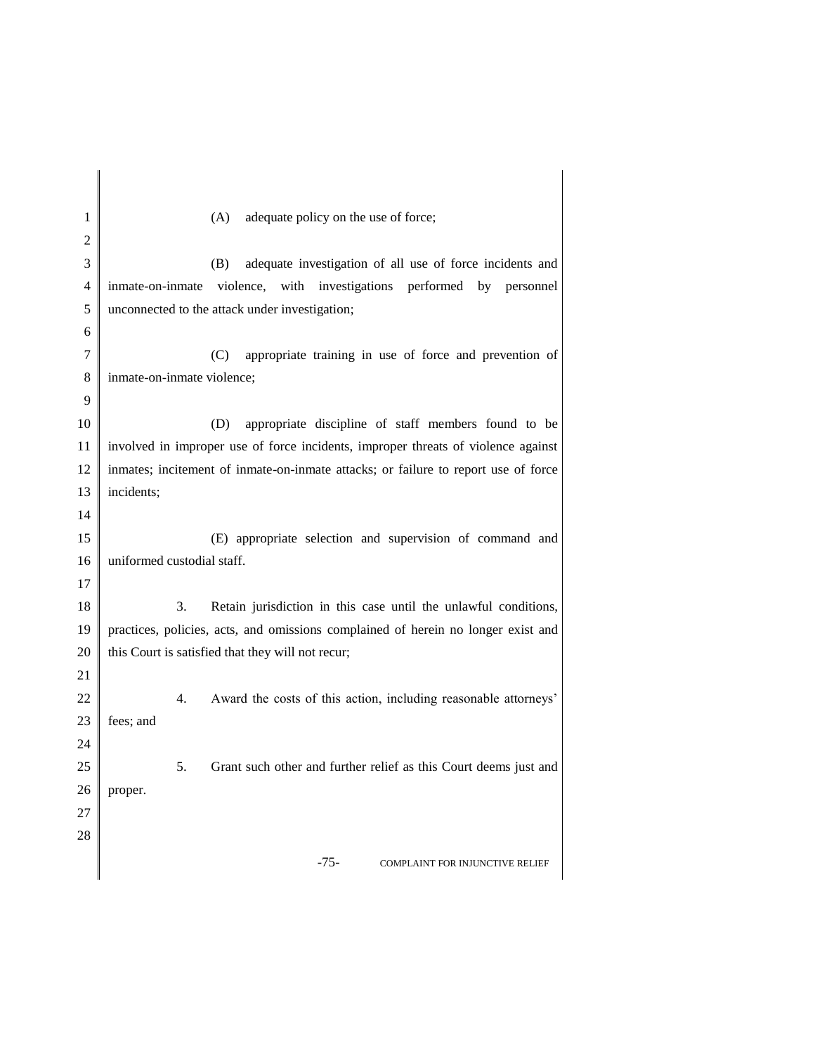| 1        | adequate policy on the use of force;<br>(A)                                        |  |  |
|----------|------------------------------------------------------------------------------------|--|--|
| 2        |                                                                                    |  |  |
| 3        | adequate investigation of all use of force incidents and<br>(B)                    |  |  |
| 4        | inmate-on-inmate violence, with investigations performed by personnel              |  |  |
| 5        | unconnected to the attack under investigation;                                     |  |  |
| 6        |                                                                                    |  |  |
| 7        | appropriate training in use of force and prevention of<br>(C)                      |  |  |
| 8        | inmate-on-inmate violence;                                                         |  |  |
| 9        |                                                                                    |  |  |
| 10       | appropriate discipline of staff members found to be<br>(D)                         |  |  |
| 11       | involved in improper use of force incidents, improper threats of violence against  |  |  |
| 12       | inmates; incitement of inmate-on-inmate attacks; or failure to report use of force |  |  |
| 13       | incidents;                                                                         |  |  |
| 14       |                                                                                    |  |  |
| 15       | (E) appropriate selection and supervision of command and                           |  |  |
| 16<br>17 | uniformed custodial staff.                                                         |  |  |
| 18       | 3.<br>Retain jurisdiction in this case until the unlawful conditions,              |  |  |
| 19       | practices, policies, acts, and omissions complained of herein no longer exist and  |  |  |
| 20       | this Court is satisfied that they will not recur;                                  |  |  |
| 21       |                                                                                    |  |  |
| 22       | Award the costs of this action, including reasonable attorneys'<br>4.              |  |  |
| 23       | fees; and                                                                          |  |  |
| 24       |                                                                                    |  |  |
| 25       | Grant such other and further relief as this Court deems just and<br>5.             |  |  |
| 26       | proper.                                                                            |  |  |
| 27       |                                                                                    |  |  |
| 28       |                                                                                    |  |  |
|          | $-75-$<br><b>COMPLAINT FOR INJUNCTIVE RELIEF</b>                                   |  |  |
|          |                                                                                    |  |  |